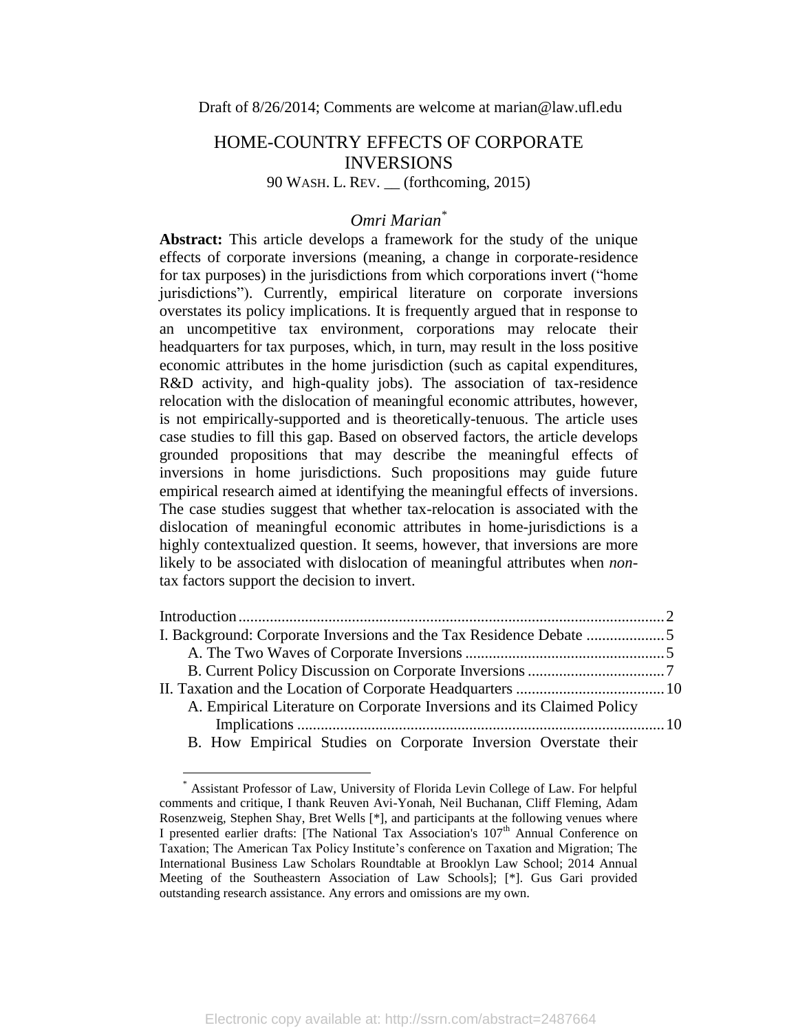# HOME-COUNTRY EFFECTS OF CORPORATE INVERSIONS

### 90 WASH. L. REV. \_\_ (forthcoming, 2015)

## *Omri Marian\**

**Abstract:** This article develops a framework for the study of the unique effects of corporate inversions (meaning, a change in corporate-residence for tax purposes) in the jurisdictions from which corporations invert ("home jurisdictions"). Currently, empirical literature on corporate inversions overstates its policy implications. It is frequently argued that in response to an uncompetitive tax environment, corporations may relocate their headquarters for tax purposes, which, in turn, may result in the loss positive economic attributes in the home jurisdiction (such as capital expenditures, R&D activity, and high-quality jobs). The association of tax-residence relocation with the dislocation of meaningful economic attributes, however, is not empirically-supported and is theoretically-tenuous. The article uses case studies to fill this gap. Based on observed factors, the article develops grounded propositions that may describe the meaningful effects of inversions in home jurisdictions. Such propositions may guide future empirical research aimed at identifying the meaningful effects of inversions. The case studies suggest that whether tax-relocation is associated with the dislocation of meaningful economic attributes in home-jurisdictions is a highly contextualized question. It seems, however, that inversions are more likely to be associated with dislocation of meaningful attributes when *non*tax factors support the decision to invert.

| A. Empirical Literature on Corporate Inversions and its Claimed Policy |  |
|------------------------------------------------------------------------|--|
|                                                                        |  |
| B. How Empirical Studies on Corporate Inversion Overstate their        |  |

Assistant Professor of Law, University of Florida Levin College of Law. For helpful comments and critique, I thank Reuven Avi-Yonah, Neil Buchanan, Cliff Fleming, Adam Rosenzweig, Stephen Shay, Bret Wells [\*], and participants at the following venues where I presented earlier drafts: [The National Tax Association's 107<sup>th</sup> Annual Conference on Taxation; The American Tax Policy Institute's conference on Taxation and Migration; The International Business Law Scholars Roundtable at Brooklyn Law School; 2014 Annual Meeting of the Southeastern Association of Law Schools]; [\*]. Gus Gari provided outstanding research assistance. Any errors and omissions are my own.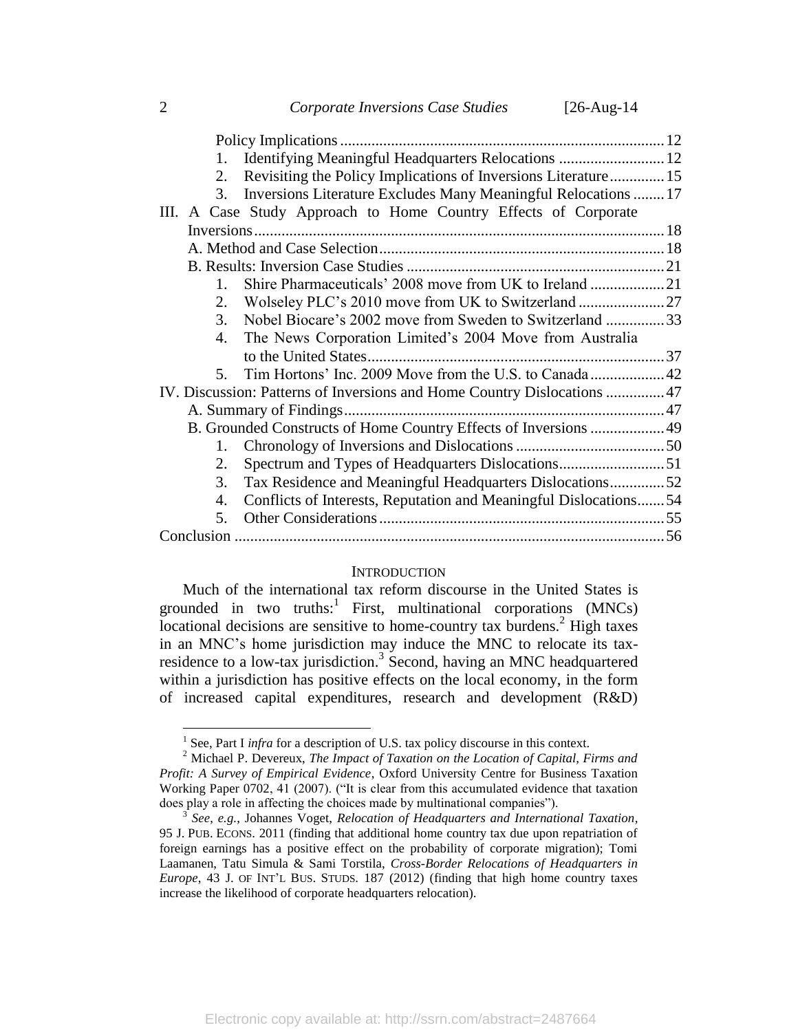| Identifying Meaningful Headquarters Relocations  12                     |
|-------------------------------------------------------------------------|
| Revisiting the Policy Implications of Inversions Literature 15<br>2.    |
| Inversions Literature Excludes Many Meaningful Relocations  17<br>3.    |
| III. A Case Study Approach to Home Country Effects of Corporate         |
|                                                                         |
|                                                                         |
|                                                                         |
| $1_{-}$                                                                 |
| 2.                                                                      |
| Nobel Biocare's 2002 move from Sweden to Switzerland 33<br>3.           |
| The News Corporation Limited's 2004 Move from Australia<br>4.           |
|                                                                         |
| 5.                                                                      |
| IV. Discussion: Patterns of Inversions and Home Country Dislocations 47 |
|                                                                         |
| B. Grounded Constructs of Home Country Effects of Inversions  49        |
| $1_{-}$                                                                 |
| Spectrum and Types of Headquarters Dislocations51<br>2.                 |
| Tax Residence and Meaningful Headquarters Dislocations52<br>3.          |
| Conflicts of Interests, Reputation and Meaningful Dislocations 54<br>4. |
| 5.                                                                      |
|                                                                         |

#### <span id="page-1-2"></span><span id="page-1-1"></span>**INTRODUCTION**

<span id="page-1-0"></span>Much of the international tax reform discourse in the United States is grounded in two truths:  $\frac{1}{1}$  First, multinational corporations (MNCs) locational decisions are sensitive to home-country tax burdens.<sup>2</sup> High taxes in an MNC's home jurisdiction may induce the MNC to relocate its taxresidence to a low-tax jurisdiction.<sup>3</sup> Second, having an MNC headquartered within a jurisdiction has positive effects on the local economy, in the form of increased capital expenditures, research and development (R&D)

<sup>&</sup>lt;sup>1</sup> See, Part I *infra* for a description of U.S. tax policy discourse in this context.

<sup>2</sup> Michael P. Devereux, *The Impact of Taxation on the Location of Capital, Firms and Profit: A Survey of Empirical Evidence*, Oxford University Centre for Business Taxation Working Paper 0702, 41 (2007). ("It is clear from this accumulated evidence that taxation does play a role in affecting the choices made by multinational companies").

<sup>3</sup> *See*, *e.g.*, Johannes Voget, *Relocation of Headquarters and International Taxation*, 95 J. PUB. ECONS. 2011 (finding that additional home country tax due upon repatriation of foreign earnings has a positive effect on the probability of corporate migration); Tomi Laamanen, Tatu Simula & Sami Torstila, *Cross-Border Relocations of Headquarters in Europe*, 43 J. OF INT'L BUS. STUDS. 187 (2012) (finding that high home country taxes increase the likelihood of corporate headquarters relocation).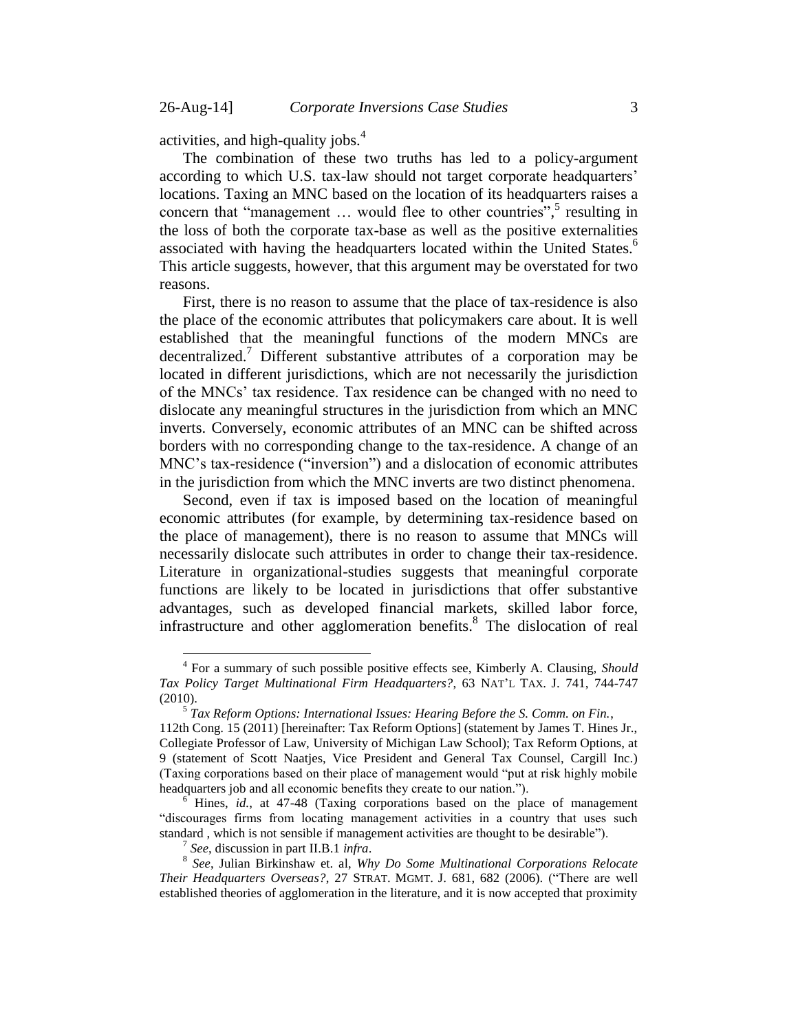<span id="page-2-3"></span>activities, and high-quality jobs. $4$ 

<span id="page-2-1"></span>The combination of these two truths has led to a policy-argument according to which U.S. tax-law should not target corporate headquarters' locations. Taxing an MNC based on the location of its headquarters raises a concern that "management ... would flee to other countries",<sup>5</sup> resulting in the loss of both the corporate tax-base as well as the positive externalities associated with having the headquarters located within the United States.<sup>6</sup> This article suggests, however, that this argument may be overstated for two reasons.

<span id="page-2-2"></span>First, there is no reason to assume that the place of tax-residence is also the place of the economic attributes that policymakers care about. It is well established that the meaningful functions of the modern MNCs are decentralized.<sup>7</sup> Different substantive attributes of a corporation may be located in different jurisdictions, which are not necessarily the jurisdiction of the MNCs' tax residence. Tax residence can be changed with no need to dislocate any meaningful structures in the jurisdiction from which an MNC inverts. Conversely, economic attributes of an MNC can be shifted across borders with no corresponding change to the tax-residence. A change of an MNC's tax-residence ("inversion") and a dislocation of economic attributes in the jurisdiction from which the MNC inverts are two distinct phenomena.

Second, even if tax is imposed based on the location of meaningful economic attributes (for example, by determining tax-residence based on the place of management), there is no reason to assume that MNCs will necessarily dislocate such attributes in order to change their tax-residence. Literature in organizational-studies suggests that meaningful corporate functions are likely to be located in jurisdictions that offer substantive advantages, such as developed financial markets, skilled labor force, infrastructure and other agglomeration benefits.<sup>8</sup> The dislocation of real

<sup>4</sup> For a summary of such possible positive effects see, Kimberly A. Clausing, *Should Tax Policy Target Multinational Firm Headquarters?*, 63 NAT'L TAX. J. 741, 744-747 (2010).

<span id="page-2-0"></span><sup>5</sup> *Tax Reform Options: International Issues: Hearing Before the S. Comm. on Fin.*,

<sup>112</sup>th Cong. 15 (2011) [hereinafter: Tax Reform Options] (statement by James T. Hines Jr., Collegiate Professor of Law, University of Michigan Law School); Tax Reform Options, at 9 (statement of Scott Naatjes, Vice President and General Tax Counsel, Cargill Inc.) (Taxing corporations based on their place of management would "put at risk highly mobile headquarters job and all economic benefits they create to our nation.").

<sup>6</sup> Hines, *id.*, at 47-48 (Taxing corporations based on the place of management "discourages firms from locating management activities in a country that uses such standard , which is not sensible if management activities are thought to be desirable").

<sup>7</sup> *See*, discussion in part II.B.1 *infra*.

<sup>8</sup> *See*, Julian Birkinshaw et. al, *Why Do Some Multinational Corporations Relocate Their Headquarters Overseas?*, 27 STRAT. MGMT. J. 681, 682 (2006). ("There are well established theories of agglomeration in the literature, and it is now accepted that proximity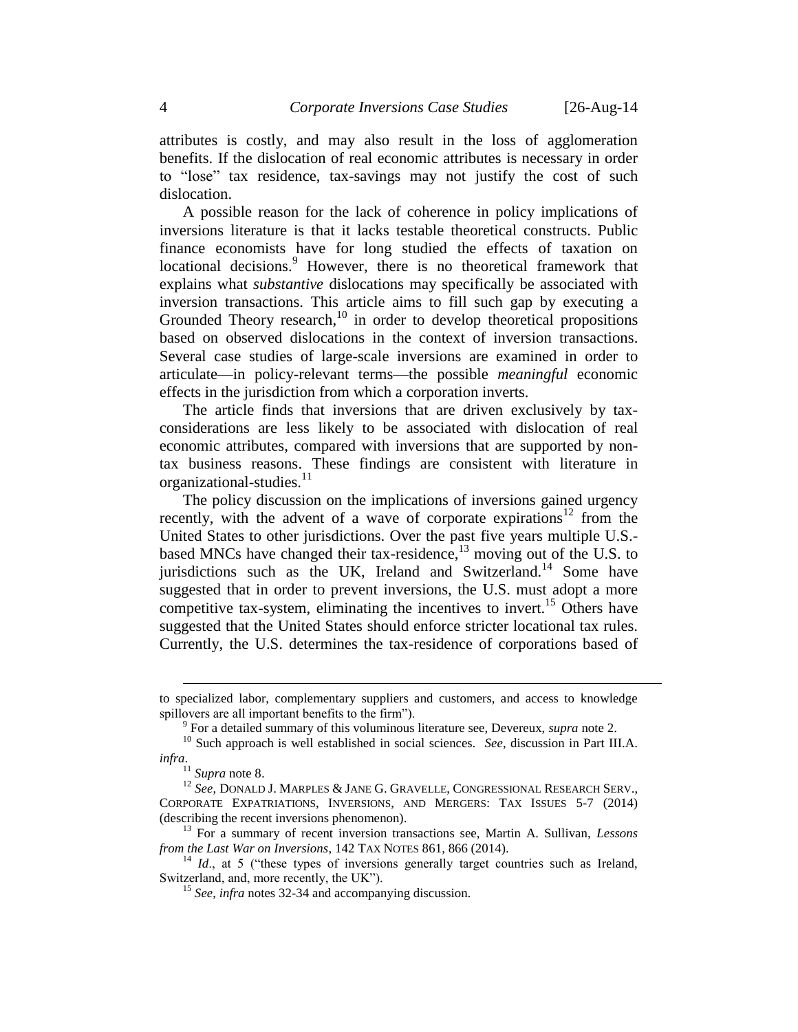attributes is costly, and may also result in the loss of agglomeration benefits. If the dislocation of real economic attributes is necessary in order to "lose" tax residence, tax-savings may not justify the cost of such dislocation.

A possible reason for the lack of coherence in policy implications of inversions literature is that it lacks testable theoretical constructs. Public finance economists have for long studied the effects of taxation on locational decisions.<sup>9</sup> However, there is no theoretical framework that explains what *substantive* dislocations may specifically be associated with inversion transactions. This article aims to fill such gap by executing a Grounded Theory research,<sup>10</sup> in order to develop theoretical propositions based on observed dislocations in the context of inversion transactions. Several case studies of large-scale inversions are examined in order to articulate—in policy-relevant terms—the possible *meaningful* economic effects in the jurisdiction from which a corporation inverts.

The article finds that inversions that are driven exclusively by taxconsiderations are less likely to be associated with dislocation of real economic attributes, compared with inversions that are supported by nontax business reasons. These findings are consistent with literature in organizational-studies. $11$ 

<span id="page-3-0"></span>The policy discussion on the implications of inversions gained urgency recently, with the advent of a wave of corporate expirations<sup>12</sup> from the United States to other jurisdictions. Over the past five years multiple U.S. based MNCs have changed their tax-residence,<sup>13</sup> moving out of the U.S. to jurisdictions such as the UK, Ireland and Switzerland.<sup>14</sup> Some have suggested that in order to prevent inversions, the U.S. must adopt a more competitive tax-system, eliminating the incentives to invert.<sup>15</sup> Others have suggested that the United States should enforce stricter locational tax rules. Currently, the U.S. determines the tax-residence of corporations based of

to specialized labor, complementary suppliers and customers, and access to knowledge spillovers are all important benefits to the firm").

<sup>9</sup> For a detailed summary of this voluminous literature see, Devereux, *supra* note [2.](#page-1-1)

<sup>10</sup> Such approach is well established in social sciences. *See*, discussion in Part III.A. *infra*.

<sup>11</sup> *Supra* not[e 8.](#page-2-0)

<sup>&</sup>lt;sup>12</sup> See, DONALD J. MARPLES & JANE G. GRAVELLE, CONGRESSIONAL RESEARCH SERV., CORPORATE EXPATRIATIONS, INVERSIONS, AND MERGERS: TAX ISSUES 5-7 (2014) (describing the recent inversions phenomenon).

<sup>13</sup> For a summary of recent inversion transactions see, Martin A. Sullivan, *Lessons from the Last War on Inversions*, 142 TAX NOTES 861, 866 (2014).

<sup>&</sup>lt;sup>14</sup> *Id.*, at 5 ("these types of inversions generally target countries such as Ireland, Switzerland, and, more recently, the UK").

<sup>15</sup> *See*, *infra* notes [32](#page-7-0)[-34](#page-7-1) and accompanying discussion.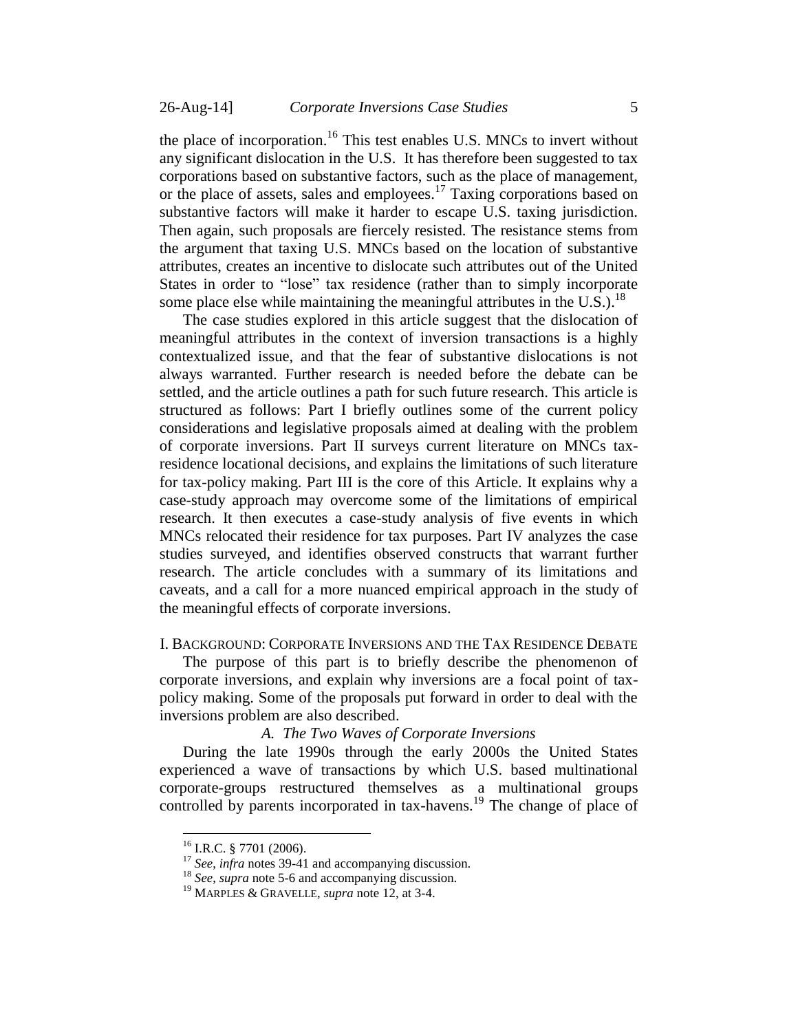the place of incorporation.<sup>16</sup> This test enables U.S. MNCs to invert without any significant dislocation in the U.S. It has therefore been suggested to tax corporations based on substantive factors, such as the place of management, or the place of assets, sales and employees. <sup>17</sup> Taxing corporations based on substantive factors will make it harder to escape U.S. taxing jurisdiction. Then again, such proposals are fiercely resisted. The resistance stems from the argument that taxing U.S. MNCs based on the location of substantive attributes, creates an incentive to dislocate such attributes out of the United States in order to "lose" tax residence (rather than to simply incorporate some place else while maintaining the meaningful attributes in the U.S.).<sup>18</sup>

The case studies explored in this article suggest that the dislocation of meaningful attributes in the context of inversion transactions is a highly contextualized issue, and that the fear of substantive dislocations is not always warranted. Further research is needed before the debate can be settled, and the article outlines a path for such future research. This article is structured as follows: Part I briefly outlines some of the current policy considerations and legislative proposals aimed at dealing with the problem of corporate inversions. Part II surveys current literature on MNCs taxresidence locational decisions, and explains the limitations of such literature for tax-policy making. Part III is the core of this Article. It explains why a case-study approach may overcome some of the limitations of empirical research. It then executes a case-study analysis of five events in which MNCs relocated their residence for tax purposes. Part IV analyzes the case studies surveyed, and identifies observed constructs that warrant further research. The article concludes with a summary of its limitations and caveats, and a call for a more nuanced empirical approach in the study of the meaningful effects of corporate inversions.

### <span id="page-4-0"></span>I. BACKGROUND: CORPORATE INVERSIONS AND THE TAX RESIDENCE DEBATE

The purpose of this part is to briefly describe the phenomenon of corporate inversions, and explain why inversions are a focal point of taxpolicy making. Some of the proposals put forward in order to deal with the inversions problem are also described.

### *A. The Two Waves of Corporate Inversions*

<span id="page-4-1"></span>During the late 1990s through the early 2000s the United States experienced a wave of transactions by which U.S. based multinational corporate-groups restructured themselves as a multinational groups controlled by parents incorporated in tax-havens.<sup>19</sup> The change of place of

<sup>&</sup>lt;sup>16</sup> I.R.C. § 7701 (2006).

<sup>17</sup> *See*, *infra* notes [39](#page-8-0)[-41](#page-8-1) and accompanying discussion.

<sup>&</sup>lt;sup>18</sup> *See*, *supra* note [5](#page-2-1)[-6](#page-2-2) and accompanying discussion.

<sup>19</sup> MARPLES & GRAVELLE, *supra* not[e 12,](#page-3-0) at 3-4.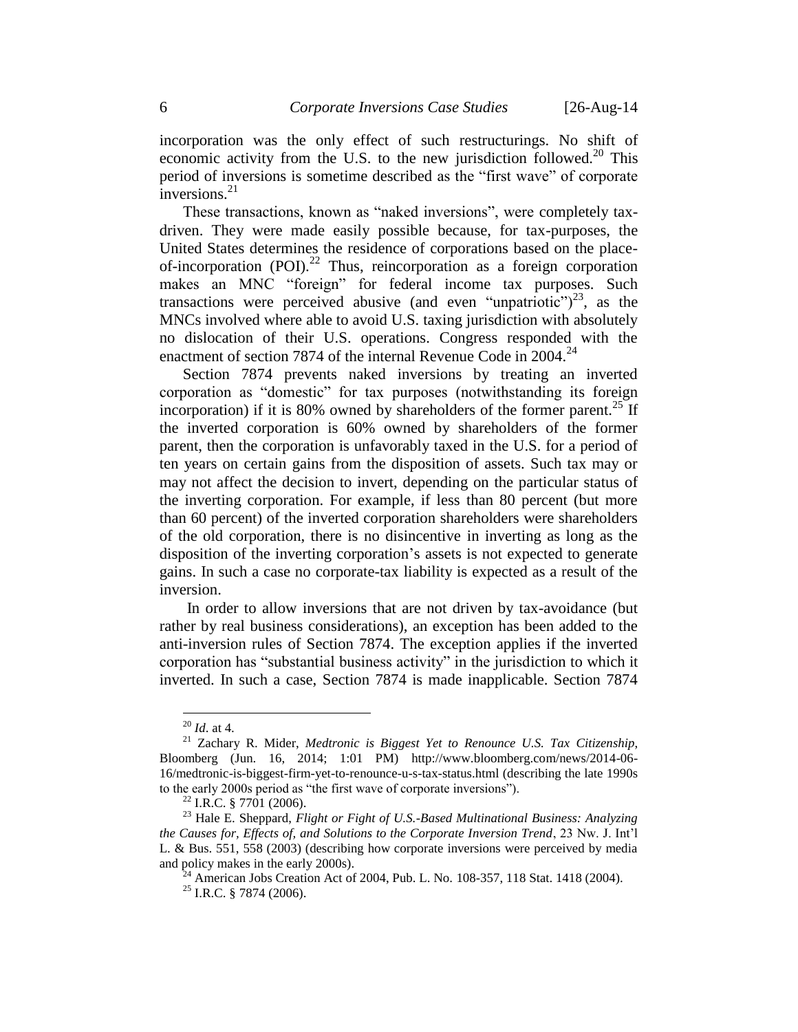incorporation was the only effect of such restructurings. No shift of economic activity from the U.S. to the new jurisdiction followed.<sup>20</sup> This period of inversions is sometime described as the "first wave" of corporate inversions. $^{21}$ 

These transactions, known as "naked inversions", were completely taxdriven. They were made easily possible because, for tax-purposes, the United States determines the residence of corporations based on the placeof-incorporation (POI).<sup>22</sup> Thus, reincorporation as a foreign corporation makes an MNC "foreign" for federal income tax purposes. Such transactions were perceived abusive (and even "unpatriotic")<sup>23</sup>, as the MNCs involved where able to avoid U.S. taxing jurisdiction with absolutely no dislocation of their U.S. operations. Congress responded with the enactment of section 7874 of the internal Revenue Code in  $2004.<sup>24</sup>$ 

Section 7874 prevents naked inversions by treating an inverted corporation as "domestic" for tax purposes (notwithstanding its foreign incorporation) if it is 80% owned by shareholders of the former parent.<sup>25</sup> If the inverted corporation is 60% owned by shareholders of the former parent, then the corporation is unfavorably taxed in the U.S. for a period of ten years on certain gains from the disposition of assets. Such tax may or may not affect the decision to invert, depending on the particular status of the inverting corporation. For example, if less than 80 percent (but more than 60 percent) of the inverted corporation shareholders were shareholders of the old corporation, there is no disincentive in inverting as long as the disposition of the inverting corporation's assets is not expected to generate gains. In such a case no corporate-tax liability is expected as a result of the inversion.

In order to allow inversions that are not driven by tax-avoidance (but rather by real business considerations), an exception has been added to the anti-inversion rules of Section 7874. The exception applies if the inverted corporation has "substantial business activity" in the jurisdiction to which it inverted. In such a case, Section 7874 is made inapplicable. Section 7874

<sup>20</sup> *Id*. at 4.

<sup>21</sup> Zachary R. Mider, *Medtronic is Biggest Yet to Renounce U.S. Tax Citizenship*, Bloomberg (Jun. 16, 2014; 1:01 PM) http://www.bloomberg.com/news/2014-06- 16/medtronic-is-biggest-firm-yet-to-renounce-u-s-tax-status.html (describing the late 1990s to the early 2000s period as "the first wave of corporate inversions").

 $22$  I.R.C. § 7701 (2006).

<sup>23</sup> Hale E. Sheppard, *Flight or Fight of U.S.-Based Multinational Business: Analyzing the Causes for, Effects of, and Solutions to the Corporate Inversion Trend*, 23 Nw. J. Int'l L. & Bus. 551, 558 (2003) (describing how corporate inversions were perceived by media and policy makes in the early 2000s).

 $^{24}$  American Jobs Creation Act of 2004, Pub. L. No. 108-357, 118 Stat. 1418 (2004).

 $25$  I.R.C. § 7874 (2006).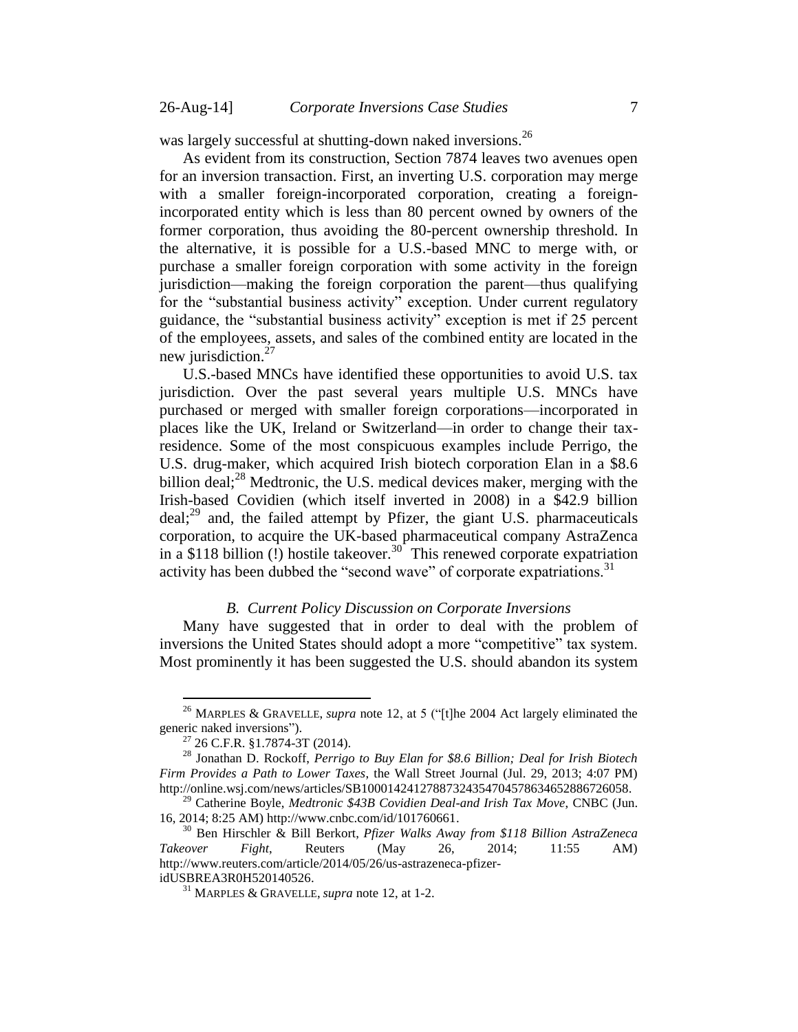was largely successful at shutting-down naked inversions.<sup>26</sup>

As evident from its construction, Section 7874 leaves two avenues open for an inversion transaction. First, an inverting U.S. corporation may merge with a smaller foreign-incorporated corporation, creating a foreignincorporated entity which is less than 80 percent owned by owners of the former corporation, thus avoiding the 80-percent ownership threshold. In the alternative, it is possible for a U.S.-based MNC to merge with, or purchase a smaller foreign corporation with some activity in the foreign jurisdiction—making the foreign corporation the parent—thus qualifying for the "substantial business activity" exception. Under current regulatory guidance, the "substantial business activity" exception is met if 25 percent of the employees, assets, and sales of the combined entity are located in the new jurisdiction. $27$ 

<span id="page-6-1"></span>U.S.-based MNCs have identified these opportunities to avoid U.S. tax jurisdiction. Over the past several years multiple U.S. MNCs have purchased or merged with smaller foreign corporations—incorporated in places like the UK, Ireland or Switzerland—in order to change their taxresidence. Some of the most conspicuous examples include Perrigo, the U.S. drug-maker, which acquired Irish biotech corporation Elan in a \$8.6 billion deal; $^{28}$  Medtronic, the U.S. medical devices maker, merging with the Irish-based Covidien (which itself inverted in 2008) in a \$42.9 billion deal; $^{29}$  and, the failed attempt by Pfizer, the giant U.S. pharmaceuticals corporation, to acquire the UK-based pharmaceutical company AstraZenca in a \$118 billion  $(!)$  hostile takeover.<sup>30</sup> This renewed corporate expatriation activity has been dubbed the "second wave" of corporate expatriations.<sup>31</sup>

### <span id="page-6-2"></span>*B. Current Policy Discussion on Corporate Inversions*

<span id="page-6-0"></span>Many have suggested that in order to deal with the problem of inversions the United States should adopt a more "competitive" tax system. Most prominently it has been suggested the U.S. should abandon its system

<sup>26</sup> MARPLES & GRAVELLE, *supra* note [12,](#page-3-0) at 5 ("[t]he 2004 Act largely eliminated the generic naked inversions").

<sup>27</sup> 26 C.F.R. §1.7874-3T (2014).

<sup>28</sup> Jonathan D. Rockoff, *Perrigo to Buy Elan for \$8.6 Billion; Deal for Irish Biotech Firm Provides a Path to Lower Taxes*, the Wall Street Journal (Jul. 29, 2013; 4:07 PM) http://online.wsj.com/news/articles/SB10001424127887324354704578634652886726058.

<sup>29</sup> Catherine Boyle, *Medtronic \$43B Covidien Deal-and Irish Tax Move*, CNBC (Jun. 16, 2014; 8:25 AM) http://www.cnbc.com/id/101760661.

<sup>30</sup> Ben Hirschler & Bill Berkort, *Pfizer Walks Away from \$118 Billion AstraZeneca Takeover Fight*, Reuters (May 26, 2014; 11:55 AM) http://www.reuters.com/article/2014/05/26/us-astrazeneca-pfizeridUSBREA3R0H520140526.

<sup>31</sup> MARPLES & GRAVELLE, *supra* note [12,](#page-3-0) at 1-2.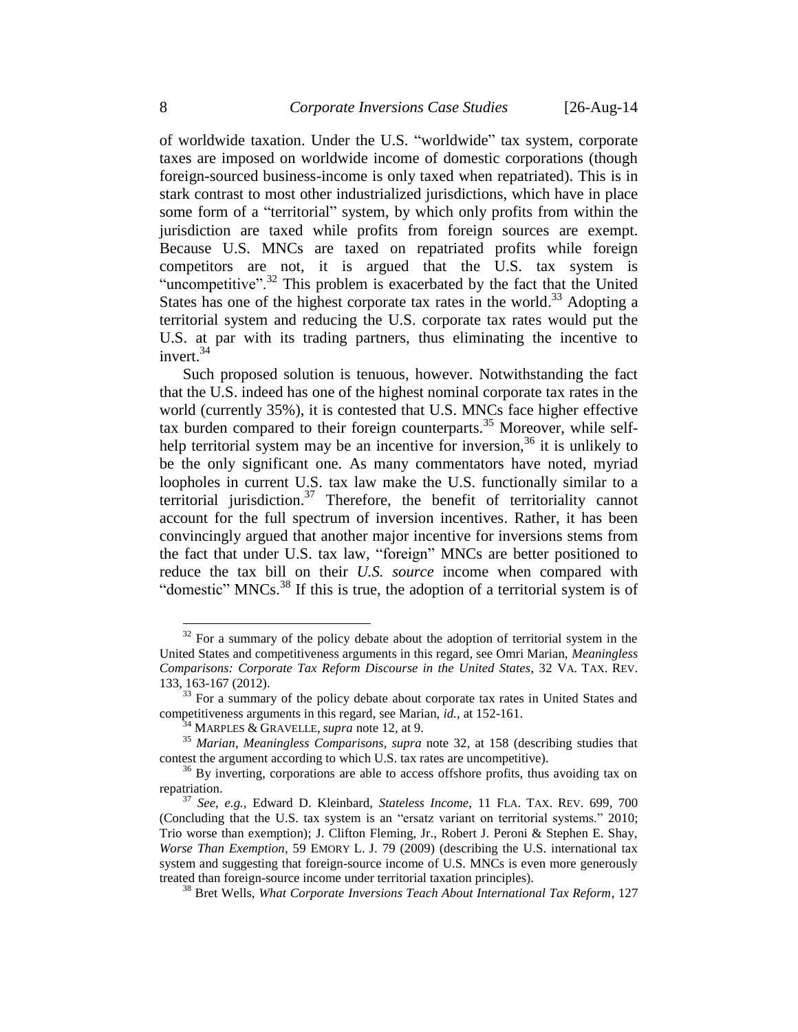of worldwide taxation. Under the U.S. "worldwide" tax system, corporate taxes are imposed on worldwide income of domestic corporations (though foreign-sourced business-income is only taxed when repatriated). This is in stark contrast to most other industrialized jurisdictions, which have in place some form of a "territorial" system, by which only profits from within the jurisdiction are taxed while profits from foreign sources are exempt. Because U.S. MNCs are taxed on repatriated profits while foreign competitors are not, it is argued that the U.S. tax system is "uncompetitive".<sup>32</sup> This problem is exacerbated by the fact that the United States has one of the highest corporate tax rates in the world.<sup>33</sup> Adopting a territorial system and reducing the U.S. corporate tax rates would put the U.S. at par with its trading partners, thus eliminating the incentive to invert.<sup>34</sup>

<span id="page-7-2"></span><span id="page-7-1"></span><span id="page-7-0"></span>Such proposed solution is tenuous, however. Notwithstanding the fact that the U.S. indeed has one of the highest nominal corporate tax rates in the world (currently 35%), it is contested that U.S. MNCs face higher effective tax burden compared to their foreign counterparts.<sup>35</sup> Moreover, while selfhelp territorial system may be an incentive for inversion,  $36$  it is unlikely to be the only significant one. As many commentators have noted, myriad loopholes in current U.S. tax law make the U.S. functionally similar to a territorial jurisdiction. $37$  Therefore, the benefit of territoriality cannot account for the full spectrum of inversion incentives. Rather, it has been convincingly argued that another major incentive for inversions stems from the fact that under U.S. tax law, "foreign" MNCs are better positioned to reduce the tax bill on their *U.S. source* income when compared with "domestic" MNCs.<sup>38</sup> If this is true, the adoption of a territorial system is of

 $32$  For a summary of the policy debate about the adoption of territorial system in the United States and competitiveness arguments in this regard, see Omri Marian, *Meaningless Comparisons: Corporate Tax Reform Discourse in the United States*, 32 VA. TAX. REV. 133, 163-167 (2012).

 $33$  For a summary of the policy debate about corporate tax rates in United States and competitiveness arguments in this regard, see Marian, *id.*, at 152-161.

<sup>34</sup> MARPLES & GRAVELLE, *supra* note [12,](#page-3-0) at 9.

<sup>35</sup> *Marian*, *Meaningless Comparisons*, *supra* note [32,](#page-7-0) at 158 (describing studies that contest the argument according to which U.S. tax rates are uncompetitive).

 $36$  By inverting, corporations are able to access offshore profits, thus avoiding tax on repatriation.

<sup>37</sup> *See*, *e.g.*, Edward D. Kleinbard, *Stateless Income*, 11 FLA. TAX. REV. 699, 700 (Concluding that the U.S. tax system is an "ersatz variant on territorial systems." 2010; Trio worse than exemption); J. Clifton Fleming, Jr., Robert J. Peroni & Stephen E. Shay, *Worse Than Exemption*, 59 EMORY L. J. 79 (2009) (describing the U.S. international tax system and suggesting that foreign-source income of U.S. MNCs is even more generously treated than foreign-source income under territorial taxation principles).

<sup>38</sup> Bret Wells, *What Corporate Inversions Teach About International Tax Reform*, 127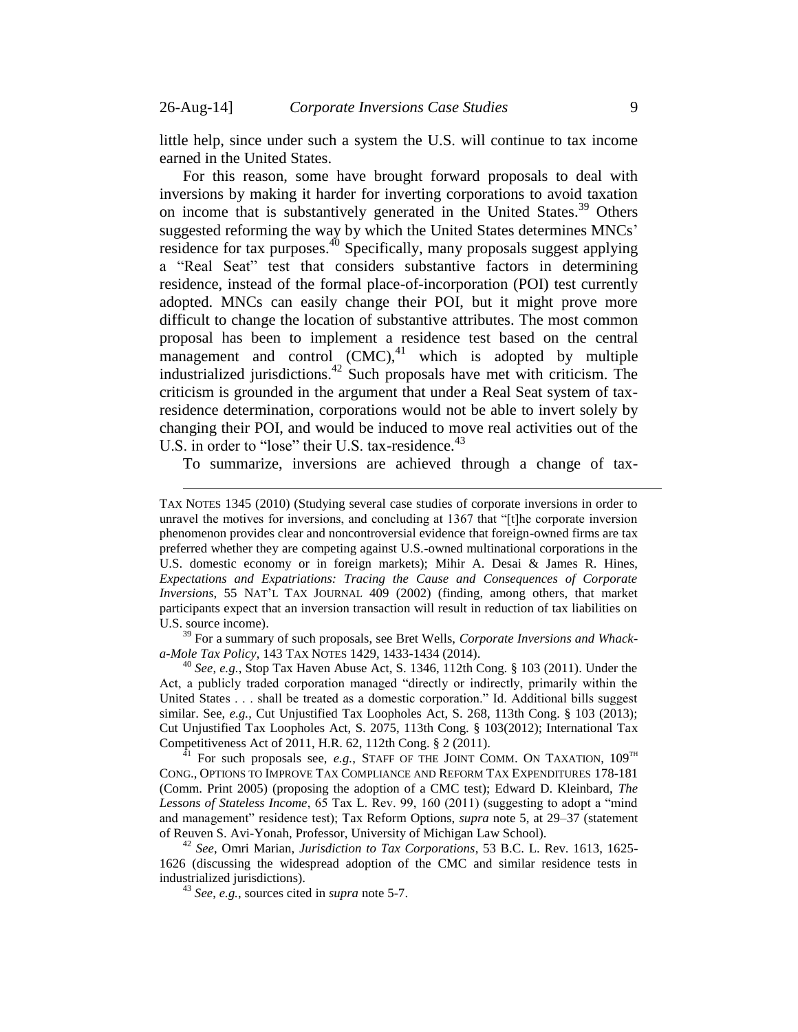little help, since under such a system the U.S. will continue to tax income earned in the United States.

<span id="page-8-0"></span>For this reason, some have brought forward proposals to deal with inversions by making it harder for inverting corporations to avoid taxation on income that is substantively generated in the United States. <sup>39</sup> Others suggested reforming the way by which the United States determines MNCs' residence for tax purposes.<sup>40</sup> Specifically, many proposals suggest applying a "Real Seat" test that considers substantive factors in determining residence, instead of the formal place-of-incorporation (POI) test currently adopted. MNCs can easily change their POI, but it might prove more difficult to change the location of substantive attributes. The most common proposal has been to implement a residence test based on the central  $m$ anagement and control  $(CMC)$ ,<sup>41</sup> which is adopted by multiple industrialized jurisdictions.<sup>42</sup> Such proposals have met with criticism. The criticism is grounded in the argument that under a Real Seat system of taxresidence determination, corporations would not be able to invert solely by changing their POI, and would be induced to move real activities out of the U.S. in order to "lose" their U.S. tax-residence.<sup>43</sup>

<span id="page-8-1"></span>To summarize, inversions are achieved through a change of tax-

<sup>39</sup> For a summary of such proposals, see Bret Wells, *Corporate Inversions and Whacka-Mole Tax Policy*, 143 TAX NOTES 1429, 1433-1434 (2014).

<sup>40</sup> *See*, *e.g.*, Stop Tax Haven Abuse Act, S. 1346, 112th Cong. § 103 (2011). Under the Act, a publicly traded corporation managed "directly or indirectly, primarily within the United States . . . shall be treated as a domestic corporation." Id. Additional bills suggest similar. See, *e.g.*, Cut Unjustified Tax Loopholes Act, S. 268, 113th Cong. § 103 (2013); Cut Unjustified Tax Loopholes Act, S. 2075, 113th Cong. § 103(2012); International Tax Competitiveness Act of 2011, H.R. 62, 112th Cong. § 2 (2011).

For such proposals see, *e.g.*, STAFF OF THE JOINT COMM. ON TAXATION, 109<sup>TH</sup> CONG., OPTIONS TO IMPROVE TAX COMPLIANCE AND REFORM TAX EXPENDITURES 178-181 (Comm. Print 2005) (proposing the adoption of a CMC test); Edward D. Kleinbard, *The Lessons of Stateless Income*, 65 Tax L. Rev. 99, 160 (2011) (suggesting to adopt a "mind and management" residence test); Tax Reform Options, *supra* note [5,](#page-2-1) at 29–37 (statement of Reuven S. Avi-Yonah, Professor, University of Michigan Law School).

<sup>42</sup> *See*, Omri Marian, *Jurisdiction to Tax Corporations*, 53 B.C. L. Rev. 1613, 1625- 1626 (discussing the widespread adoption of the CMC and similar residence tests in industrialized jurisdictions).

<sup>43</sup> *See*, *e.g.*, sources cited in *supra* note [5-](#page-2-1)7.

TAX NOTES 1345 (2010) (Studying several case studies of corporate inversions in order to unravel the motives for inversions, and concluding at 1367 that "[t]he corporate inversion phenomenon provides clear and noncontroversial evidence that foreign-owned firms are tax preferred whether they are competing against U.S.-owned multinational corporations in the U.S. domestic economy or in foreign markets); Mihir A. Desai & James R. Hines, *Expectations and Expatriations: Tracing the Cause and Consequences of Corporate Inversions*, 55 NAT'L TAX JOURNAL 409 (2002) (finding, among others, that market participants expect that an inversion transaction will result in reduction of tax liabilities on U.S. source income).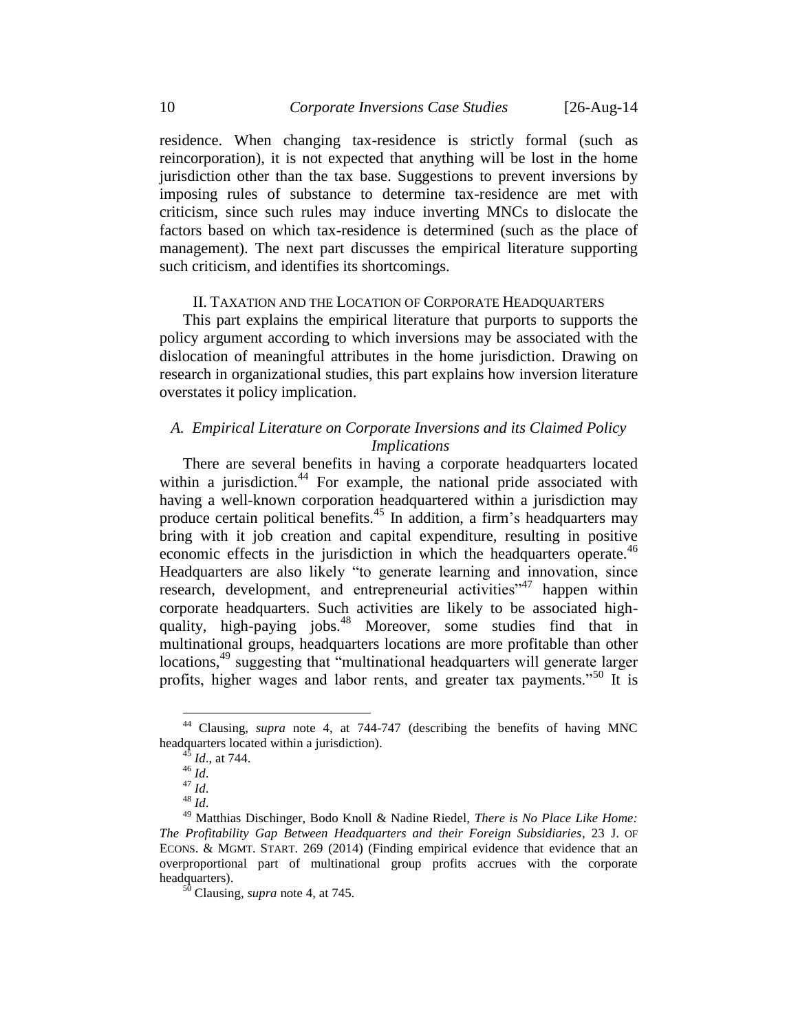residence. When changing tax-residence is strictly formal (such as reincorporation), it is not expected that anything will be lost in the home jurisdiction other than the tax base. Suggestions to prevent inversions by imposing rules of substance to determine tax-residence are met with criticism, since such rules may induce inverting MNCs to dislocate the factors based on which tax-residence is determined (such as the place of management). The next part discusses the empirical literature supporting such criticism, and identifies its shortcomings.

### II. TAXATION AND THE LOCATION OF CORPORATE HEADQUARTERS

<span id="page-9-0"></span>This part explains the empirical literature that purports to supports the policy argument according to which inversions may be associated with the dislocation of meaningful attributes in the home jurisdiction. Drawing on research in organizational studies, this part explains how inversion literature overstates it policy implication.

### <span id="page-9-1"></span>*A. Empirical Literature on Corporate Inversions and its Claimed Policy Implications*

There are several benefits in having a corporate headquarters located within a jurisdiction. $44$  For example, the national pride associated with having a well-known corporation headquartered within a jurisdiction may produce certain political benefits.<sup>45</sup> In addition, a firm's headquarters may bring with it job creation and capital expenditure, resulting in positive economic effects in the jurisdiction in which the headquarters operate.<sup>46</sup> Headquarters are also likely "to generate learning and innovation, since research, development, and entrepreneurial activities<sup>"47</sup> happen within corporate headquarters. Such activities are likely to be associated highquality, high-paying jobs.<sup>48</sup> Moreover, some studies find that in multinational groups, headquarters locations are more profitable than other locations,<sup>49</sup> suggesting that "multinational headquarters will generate larger profits, higher wages and labor rents, and greater tax payments."<sup>50</sup> It is

<sup>44</sup> Clausing, *supra* note [4,](#page-2-3) at 744-747 (describing the benefits of having MNC headquarters located within a jurisdiction).

*Id.*, at 744.

 $^{46}$  *Id.* 

 $^{47}$  *Id.* 

<sup>48</sup> *Id*.

<sup>49</sup> Matthias Dischinger, Bodo Knoll & Nadine Riedel, *There is No Place Like Home: The Profitability Gap Between Headquarters and their Foreign Subsidiaries*, 23 J. OF ECONS. & MGMT. START. 269 (2014) (Finding empirical evidence that evidence that an overproportional part of multinational group profits accrues with the corporate headquarters).

<sup>50</sup> Clausing, *supra* note [4,](#page-2-3) at 745.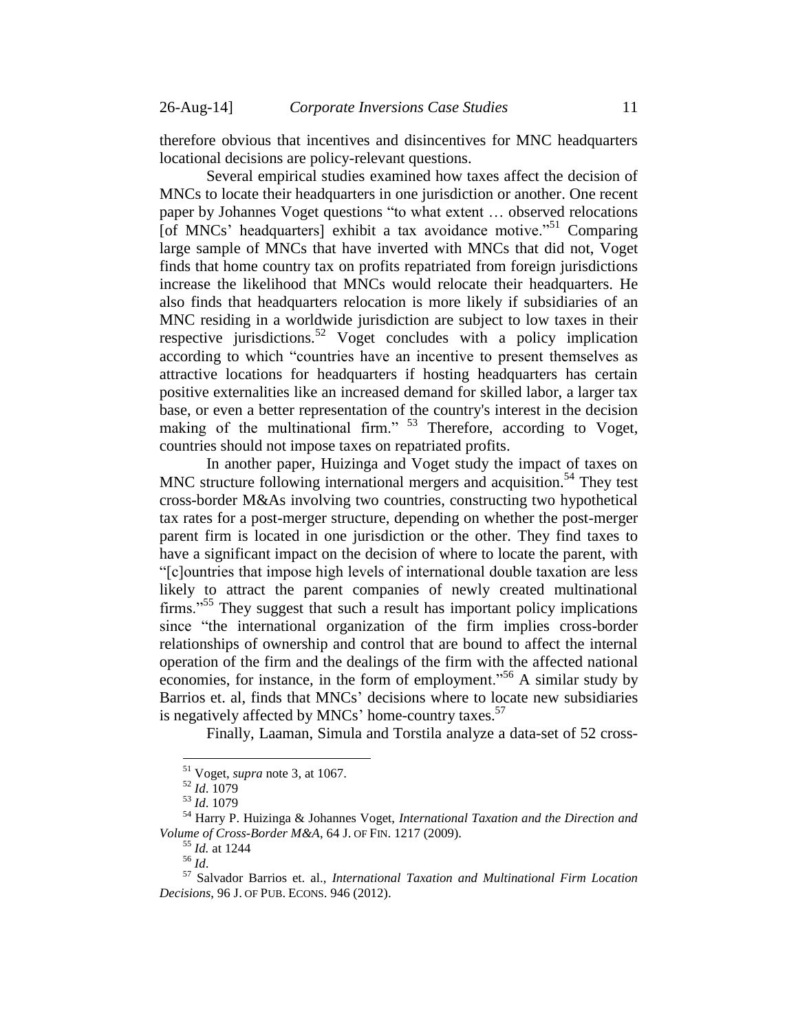therefore obvious that incentives and disincentives for MNC headquarters locational decisions are policy-relevant questions.

Several empirical studies examined how taxes affect the decision of MNCs to locate their headquarters in one jurisdiction or another. One recent paper by Johannes Voget questions "to what extent … observed relocations [of MNCs' headquarters] exhibit a tax avoidance motive.<sup> $51$ </sup> Comparing large sample of MNCs that have inverted with MNCs that did not, Voget finds that home country tax on profits repatriated from foreign jurisdictions increase the likelihood that MNCs would relocate their headquarters. He also finds that headquarters relocation is more likely if subsidiaries of an MNC residing in a worldwide jurisdiction are subject to low taxes in their respective jurisdictions.<sup>52</sup> Voget concludes with a policy implication according to which "countries have an incentive to present themselves as attractive locations for headquarters if hosting headquarters has certain positive externalities like an increased demand for skilled labor, a larger tax base, or even a better representation of the country's interest in the decision making of the multinational firm." <sup>53</sup> Therefore, according to Voget, countries should not impose taxes on repatriated profits.

<span id="page-10-0"></span>In another paper, Huizinga and Voget study the impact of taxes on MNC structure following international mergers and acquisition.<sup>54</sup> They test cross-border M&As involving two countries, constructing two hypothetical tax rates for a post-merger structure, depending on whether the post-merger parent firm is located in one jurisdiction or the other. They find taxes to have a significant impact on the decision of where to locate the parent, with "[c]ountries that impose high levels of international double taxation are less likely to attract the parent companies of newly created multinational firms."<sup>55</sup> They suggest that such a result has important policy implications since "the international organization of the firm implies cross-border relationships of ownership and control that are bound to affect the internal operation of the firm and the dealings of the firm with the affected national economies, for instance, in the form of employment."<sup>56</sup> A similar study by Barrios et. al, finds that MNCs' decisions where to locate new subsidiaries is negatively affected by MNCs' home-country taxes. $57$ 

Finally, Laaman, Simula and Torstila analyze a data-set of 52 cross-

 $\overline{a}$ 

<sup>55</sup> *Id.* at 1244

<sup>51</sup> Voget, *supra* note [3,](#page-1-2) at 1067.

<sup>52</sup> *Id*. 1079

<sup>53</sup> *Id*. 1079

<sup>54</sup> Harry P. Huizinga & Johannes Voget, *International Taxation and the Direction and Volume of Cross-Border M&A*, 64 J. OF FIN. 1217 (2009).

<sup>56</sup> *Id*.

<sup>57</sup> Salvador Barrios et. al., *International Taxation and Multinational Firm Location Decisions*, 96 J. OF PUB. ECONS. 946 (2012).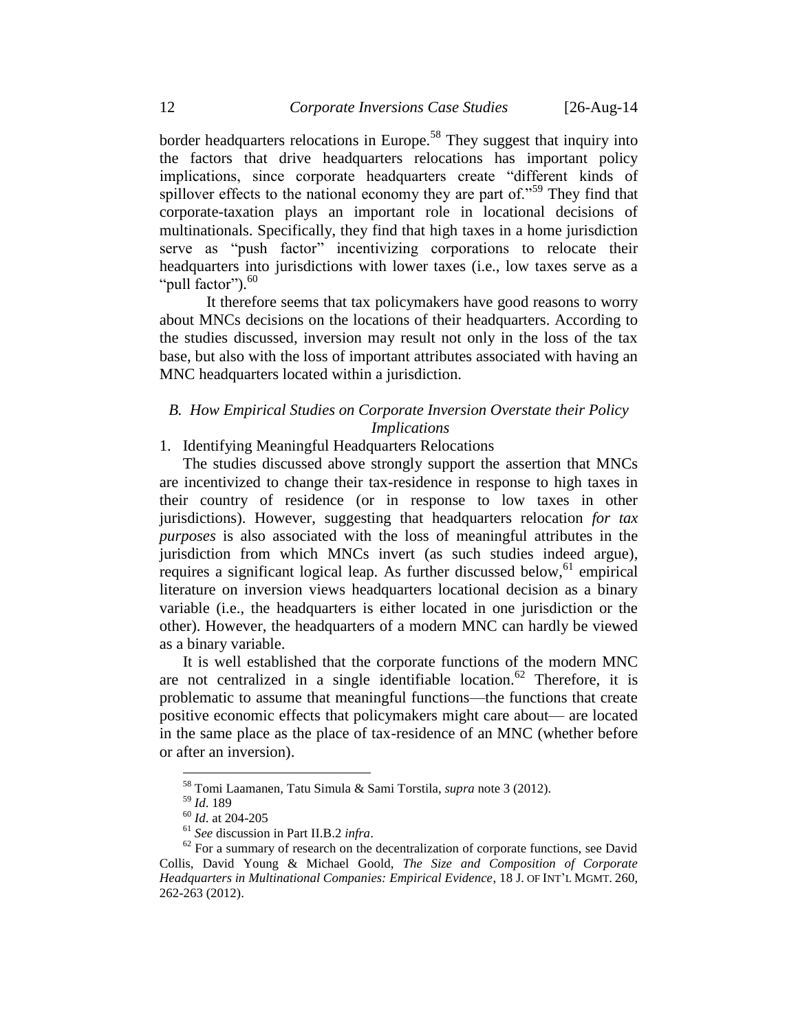border headquarters relocations in Europe.<sup>58</sup> They suggest that inquiry into the factors that drive headquarters relocations has important policy implications, since corporate headquarters create "different kinds of spillover effects to the national economy they are part of.<sup> $559$ </sup> They find that corporate-taxation plays an important role in locational decisions of multinationals. Specifically, they find that high taxes in a home jurisdiction serve as "push factor" incentivizing corporations to relocate their headquarters into jurisdictions with lower taxes (i.e., low taxes serve as a "pull factor").<sup>60</sup>

It therefore seems that tax policymakers have good reasons to worry about MNCs decisions on the locations of their headquarters. According to the studies discussed, inversion may result not only in the loss of the tax base, but also with the loss of important attributes associated with having an MNC headquarters located within a jurisdiction.

### <span id="page-11-0"></span>*B. How Empirical Studies on Corporate Inversion Overstate their Policy Implications*

### <span id="page-11-1"></span>1. Identifying Meaningful Headquarters Relocations

The studies discussed above strongly support the assertion that MNCs are incentivized to change their tax-residence in response to high taxes in their country of residence (or in response to low taxes in other jurisdictions). However, suggesting that headquarters relocation *for tax purposes* is also associated with the loss of meaningful attributes in the jurisdiction from which MNCs invert (as such studies indeed argue), requires a significant logical leap. As further discussed below,  $61$  empirical literature on inversion views headquarters locational decision as a binary variable (i.e., the headquarters is either located in one jurisdiction or the other). However, the headquarters of a modern MNC can hardly be viewed as a binary variable.

It is well established that the corporate functions of the modern MNC are not centralized in a single identifiable location.<sup>62</sup> Therefore, it is problematic to assume that meaningful functions—the functions that create positive economic effects that policymakers might care about— are located in the same place as the place of tax-residence of an MNC (whether before or after an inversion).

<sup>58</sup> Tomi Laamanen, Tatu Simula & Sami Torstila, *supra* note [3](#page-1-2) (2012).

<sup>59</sup> *Id*. 189

<sup>60</sup> *Id*. at 204-205

<sup>61</sup> *See* discussion in Part II.B.2 *infra*.

 $62$  For a summary of research on the decentralization of corporate functions, see David Collis, David Young & Michael Goold, *The Size and Composition of Corporate Headquarters in Multinational Companies: Empirical Evidence*, 18 J. OF INT'L MGMT. 260, 262-263 (2012).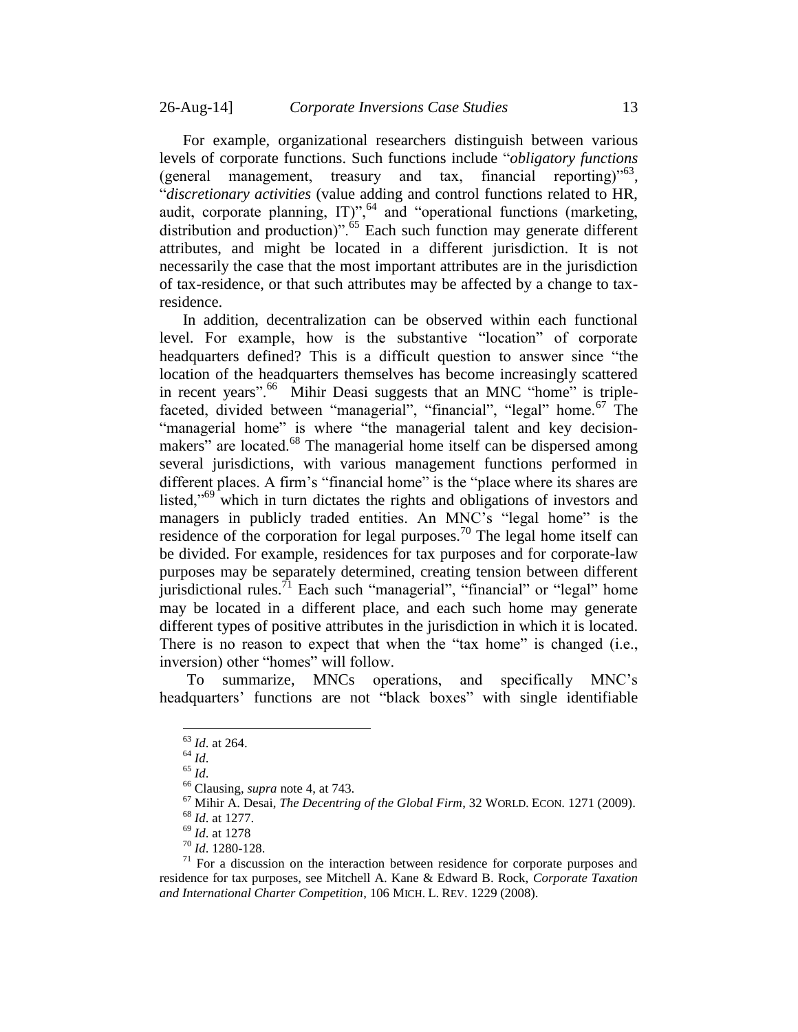For example, organizational researchers distinguish between various levels of corporate functions. Such functions include "*obligatory functions* (general management, treasury and tax, financial reporting)<sup>563</sup>, "*discretionary activities* (value adding and control functions related to HR, audit, corporate planning,  $IT)$ <sup>", 64</sup> and "operational functions (marketing, distribution and production)".<sup>65</sup> Each such function may generate different attributes, and might be located in a different jurisdiction. It is not necessarily the case that the most important attributes are in the jurisdiction of tax-residence, or that such attributes may be affected by a change to taxresidence.

In addition, decentralization can be observed within each functional level. For example, how is the substantive "location" of corporate headquarters defined? This is a difficult question to answer since "the location of the headquarters themselves has become increasingly scattered in recent years".<sup>66</sup> Mihir Deasi suggests that an MNC "home" is triplefaceted, divided between "managerial", "financial", "legal" home.<sup>67</sup> The "managerial home" is where "the managerial talent and key decisionmakers" are located.<sup>68</sup> The managerial home itself can be dispersed among several jurisdictions, with various management functions performed in different places. A firm's "financial home" is the "place where its shares are listed, $10^{69}$  which in turn dictates the rights and obligations of investors and managers in publicly traded entities. An MNC's "legal home" is the residence of the corporation for legal purposes.<sup>70</sup> The legal home itself can be divided. For example, residences for tax purposes and for corporate-law purposes may be separately determined, creating tension between different jurisdictional rules.<sup> $\tau_1$ </sup> Each such "managerial", "financial" or "legal" home may be located in a different place, and each such home may generate different types of positive attributes in the jurisdiction in which it is located. There is no reason to expect that when the "tax home" is changed (i.e., inversion) other "homes" will follow.

To summarize, MNCs operations, and specifically MNC's headquarters' functions are not "black boxes" with single identifiable

<sup>65</sup> *Id*.

 $\overline{a}$ 

<sup>67</sup> Mihir A. Desai, *The Decentring of the Global Firm*, 32 WORLD. ECON. 1271 (2009).

<sup>63</sup> *Id*. at 264.

<sup>64</sup> *Id*.

<sup>66</sup> Clausing, *supra* note [4,](#page-2-3) at 743.

<sup>68</sup> *Id*. at 1277.

<sup>69</sup> *Id*. at 1278

<sup>70</sup> *Id*. 1280-128.

 $71$  For a discussion on the interaction between residence for corporate purposes and residence for tax purposes, see Mitchell A. Kane & Edward B. Rock, *Corporate Taxation and International Charter Competition*, 106 MICH. L. REV. 1229 (2008).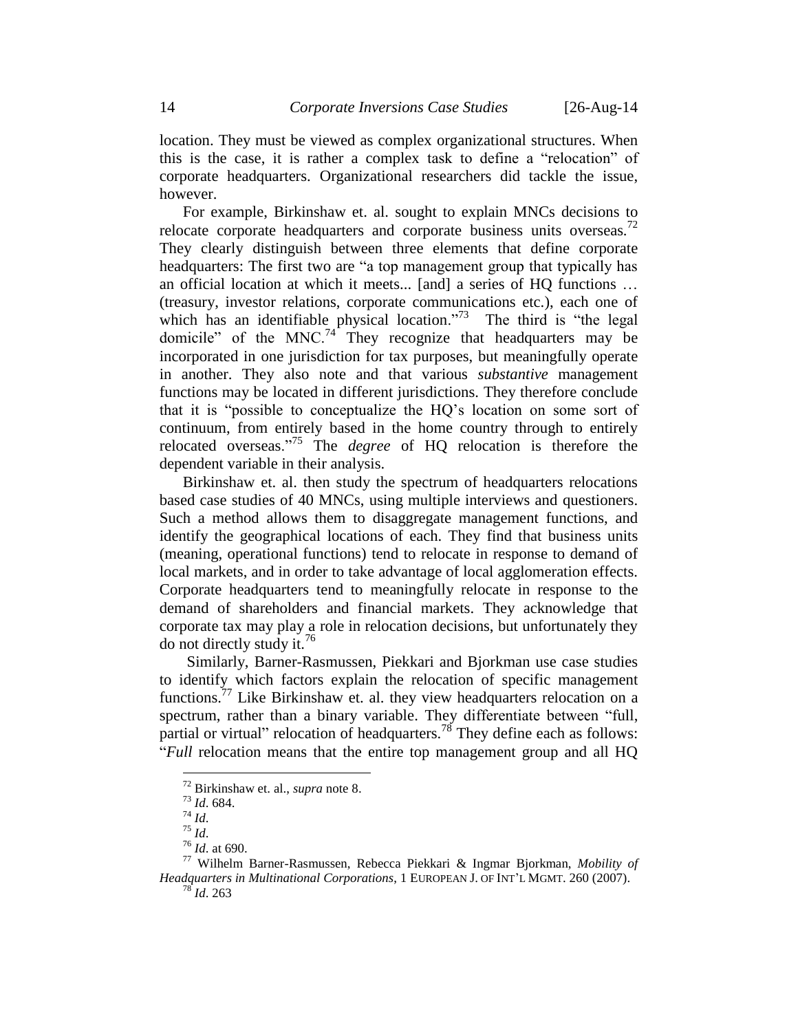location. They must be viewed as complex organizational structures. When this is the case, it is rather a complex task to define a "relocation" of corporate headquarters. Organizational researchers did tackle the issue, however.

<span id="page-13-0"></span>For example, Birkinshaw et. al. sought to explain MNCs decisions to relocate corporate headquarters and corporate business units overseas.<sup>72</sup> They clearly distinguish between three elements that define corporate headquarters: The first two are "a top management group that typically has an official location at which it meets... [and] a series of HQ functions … (treasury, investor relations, corporate communications etc.), each one of which has an identifiable physical location."<sup>73</sup> The third is "the legal" domicile" of the MNC.<sup>74</sup> They recognize that headquarters may be incorporated in one jurisdiction for tax purposes, but meaningfully operate in another. They also note and that various *substantive* management functions may be located in different jurisdictions. They therefore conclude that it is "possible to conceptualize the HQ's location on some sort of continuum, from entirely based in the home country through to entirely relocated overseas."<sup>75</sup> The *degree* of HQ relocation is therefore the dependent variable in their analysis.

Birkinshaw et. al. then study the spectrum of headquarters relocations based case studies of 40 MNCs, using multiple interviews and questioners. Such a method allows them to disaggregate management functions, and identify the geographical locations of each. They find that business units (meaning, operational functions) tend to relocate in response to demand of local markets, and in order to take advantage of local agglomeration effects. Corporate headquarters tend to meaningfully relocate in response to the demand of shareholders and financial markets. They acknowledge that corporate tax may play a role in relocation decisions, but unfortunately they do not directly study it.<sup>76</sup>

<span id="page-13-2"></span><span id="page-13-1"></span>Similarly, Barner-Rasmussen, Piekkari and Bjorkman use case studies to identify which factors explain the relocation of specific management functions.<sup>77</sup> Like Birkinshaw et. al. they view headquarters relocation on a spectrum, rather than a binary variable. They differentiate between "full, partial or virtual" relocation of headquarters.<sup>78</sup> They define each as follows: "*Full* relocation means that the entire top management group and all HQ

<sup>72</sup> Birkinshaw et. al., *supra* note [8.](#page-2-0)

<sup>73</sup> *Id*. 684.

<sup>74</sup> *Id*.

<sup>75</sup> *Id*.

<sup>76</sup> *Id*. at 690.

<sup>77</sup> Wilhelm Barner-Rasmussen, Rebecca Piekkari & Ingmar Bjorkman, *Mobility of Headquarters in Multinational Corporations*, 1 EUROPEAN J. OF INT'L MGMT. 260 (2007). <sup>78</sup> *Id*. 263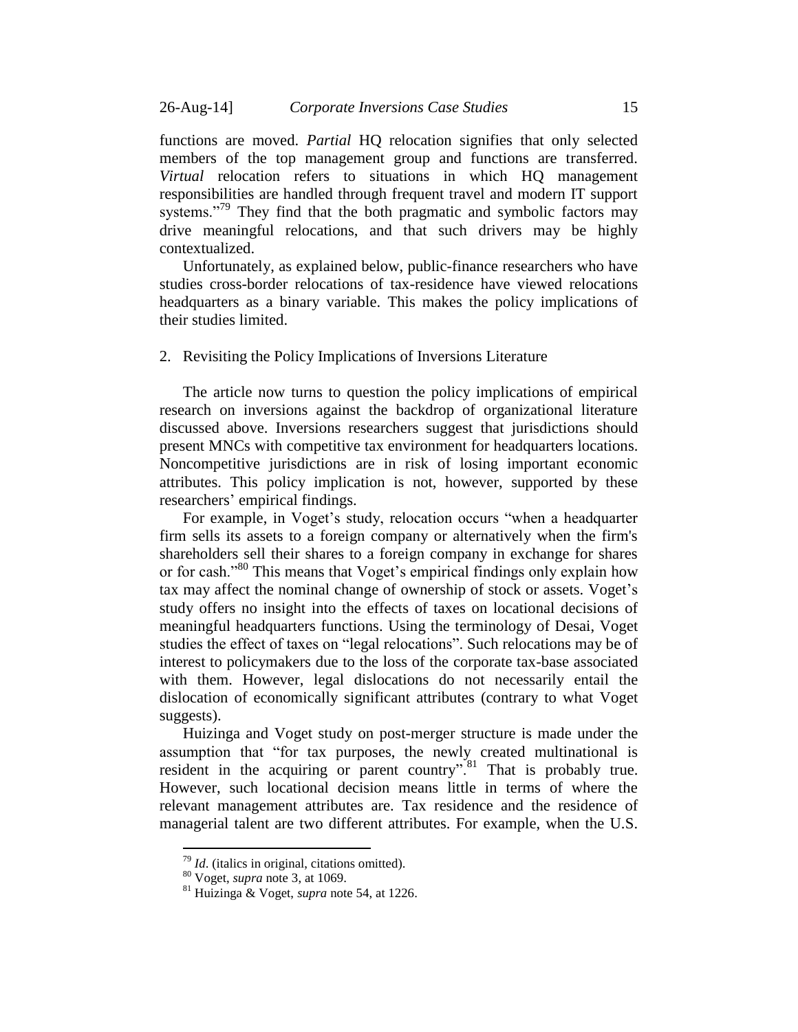functions are moved. *Partial* HQ relocation signifies that only selected members of the top management group and functions are transferred. *Virtual* relocation refers to situations in which HQ management responsibilities are handled through frequent travel and modern IT support systems."<sup>79</sup> They find that the both pragmatic and symbolic factors may drive meaningful relocations, and that such drivers may be highly contextualized.

<span id="page-14-1"></span>Unfortunately, as explained below, public-finance researchers who have studies cross-border relocations of tax-residence have viewed relocations headquarters as a binary variable. This makes the policy implications of their studies limited.

#### <span id="page-14-0"></span>2. Revisiting the Policy Implications of Inversions Literature

The article now turns to question the policy implications of empirical research on inversions against the backdrop of organizational literature discussed above. Inversions researchers suggest that jurisdictions should present MNCs with competitive tax environment for headquarters locations. Noncompetitive jurisdictions are in risk of losing important economic attributes. This policy implication is not, however, supported by these researchers' empirical findings.

For example, in Voget's study, relocation occurs "when a headquarter firm sells its assets to a foreign company or alternatively when the firm's shareholders sell their shares to a foreign company in exchange for shares or for cash."<sup>80</sup> This means that Voget's empirical findings only explain how tax may affect the nominal change of ownership of stock or assets. Voget's study offers no insight into the effects of taxes on locational decisions of meaningful headquarters functions. Using the terminology of Desai, Voget studies the effect of taxes on "legal relocations". Such relocations may be of interest to policymakers due to the loss of the corporate tax-base associated with them. However, legal dislocations do not necessarily entail the dislocation of economically significant attributes (contrary to what Voget suggests).

Huizinga and Voget study on post-merger structure is made under the assumption that "for tax purposes, the newly created multinational is resident in the acquiring or parent country".<sup>81</sup> That is probably true. However, such locational decision means little in terms of where the relevant management attributes are. Tax residence and the residence of managerial talent are two different attributes. For example, when the U.S.

<sup>79</sup> *Id*. (italics in original, citations omitted).

<sup>80</sup> Voget, *supra* note [3,](#page-1-2) at 1069.

<sup>81</sup> Huizinga & Voget, *supra* note [54,](#page-10-0) at 1226.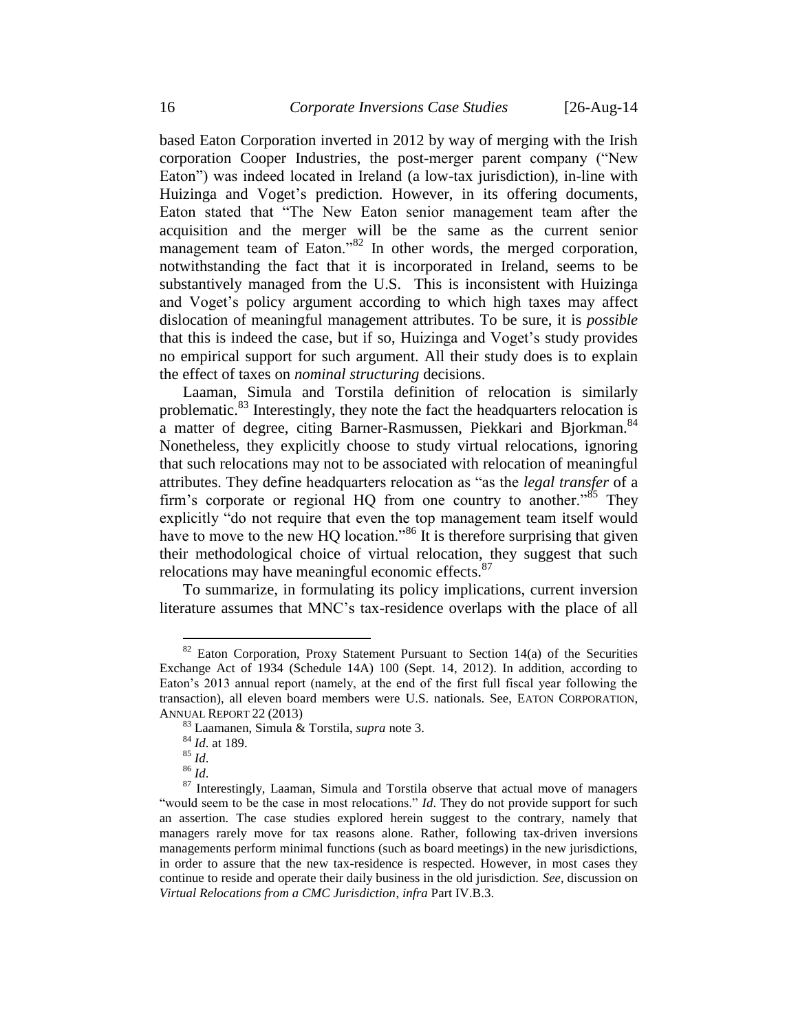based Eaton Corporation inverted in 2012 by way of merging with the Irish corporation Cooper Industries, the post-merger parent company ("New Eaton") was indeed located in Ireland (a low-tax jurisdiction), in-line with Huizinga and Voget's prediction. However, in its offering documents, Eaton stated that "The New Eaton senior management team after the acquisition and the merger will be the same as the current senior management team of Eaton."<sup>82</sup> In other words, the merged corporation, notwithstanding the fact that it is incorporated in Ireland, seems to be substantively managed from the U.S. This is inconsistent with Huizinga and Voget's policy argument according to which high taxes may affect dislocation of meaningful management attributes. To be sure, it is *possible* that this is indeed the case, but if so, Huizinga and Voget's study provides no empirical support for such argument. All their study does is to explain the effect of taxes on *nominal structuring* decisions.

Laaman, Simula and Torstila definition of relocation is similarly problematic.<sup>83</sup> Interestingly, they note the fact the headquarters relocation is a matter of degree, citing Barner-Rasmussen, Piekkari and Bjorkman.<sup>84</sup> Nonetheless, they explicitly choose to study virtual relocations, ignoring that such relocations may not to be associated with relocation of meaningful attributes. They define headquarters relocation as "as the *legal transfer* of a firm's corporate or regional HQ from one country to another."<sup>85</sup> They explicitly "do not require that even the top management team itself would have to move to the new HQ location."<sup>86</sup> It is therefore surprising that given their methodological choice of virtual relocation, they suggest that such relocations may have meaningful economic effects.<sup>87</sup>

To summarize, in formulating its policy implications, current inversion literature assumes that MNC's tax-residence overlaps with the place of all

 $82$  Eaton Corporation, Proxy Statement Pursuant to Section 14(a) of the Securities Exchange Act of 1934 (Schedule 14A) 100 (Sept. 14, 2012). In addition, according to Eaton's 2013 annual report (namely, at the end of the first full fiscal year following the transaction), all eleven board members were U.S. nationals. See, EATON CORPORATION, ANNUAL REPORT 22 (2013)

<sup>83</sup> Laamanen, Simula & Torstila, *supra* note [3.](#page-1-2)

<sup>84</sup> *Id*. at 189.

 $85$   $\overline{Id}$ .

<sup>86</sup> *Id*.

<sup>&</sup>lt;sup>87</sup> Interestingly, Laaman, Simula and Torstila observe that actual move of managers "would seem to be the case in most relocations." *Id*. They do not provide support for such an assertion. The case studies explored herein suggest to the contrary, namely that managers rarely move for tax reasons alone. Rather, following tax-driven inversions managements perform minimal functions (such as board meetings) in the new jurisdictions, in order to assure that the new tax-residence is respected. However, in most cases they continue to reside and operate their daily business in the old jurisdiction. *See*, discussion on *Virtual Relocations from a CMC Jurisdiction*, *infra* Part IV.B.3.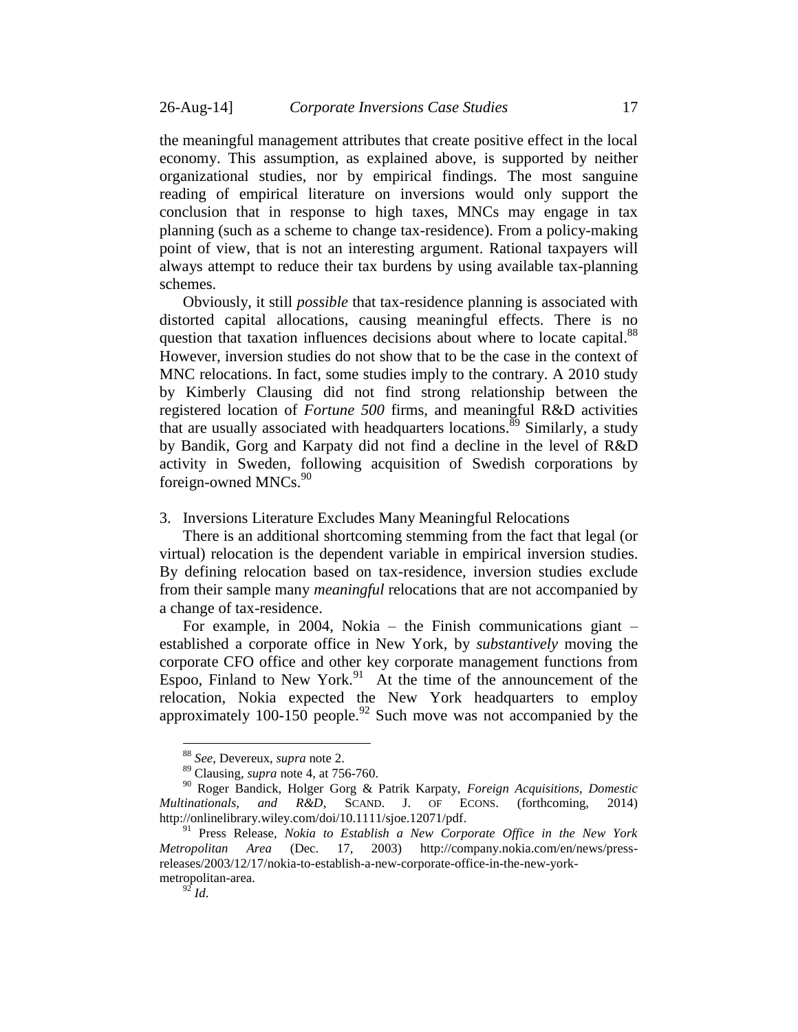the meaningful management attributes that create positive effect in the local economy. This assumption, as explained above, is supported by neither organizational studies, nor by empirical findings. The most sanguine reading of empirical literature on inversions would only support the conclusion that in response to high taxes, MNCs may engage in tax planning (such as a scheme to change tax-residence). From a policy-making point of view, that is not an interesting argument. Rational taxpayers will always attempt to reduce their tax burdens by using available tax-planning schemes.

Obviously, it still *possible* that tax-residence planning is associated with distorted capital allocations, causing meaningful effects. There is no question that taxation influences decisions about where to locate capital.<sup>88</sup> However, inversion studies do not show that to be the case in the context of MNC relocations. In fact, some studies imply to the contrary. A 2010 study by Kimberly Clausing did not find strong relationship between the registered location of *Fortune 500* firms, and meaningful R&D activities that are usually associated with headquarters locations.<sup>89</sup> Similarly, a study by Bandik, Gorg and Karpaty did not find a decline in the level of R&D activity in Sweden, following acquisition of Swedish corporations by foreign-owned MNCs.<sup>90</sup>

#### <span id="page-16-0"></span>3. Inversions Literature Excludes Many Meaningful Relocations

There is an additional shortcoming stemming from the fact that legal (or virtual) relocation is the dependent variable in empirical inversion studies. By defining relocation based on tax-residence, inversion studies exclude from their sample many *meaningful* relocations that are not accompanied by a change of tax-residence.

For example, in 2004, Nokia – the Finish communications giant – established a corporate office in New York, by *substantively* moving the corporate CFO office and other key corporate management functions from Espoo, Finland to New York. $91$  At the time of the announcement of the relocation, Nokia expected the New York headquarters to employ approximately 100-150 people.<sup>92</sup> Such move was not accompanied by the

<sup>88</sup> *See*, Devereux, *supra* note [2.](#page-1-1)

<sup>89</sup> Clausing, *supra* note [4,](#page-2-3) at 756-760.

<sup>90</sup> Roger Bandick, Holger Gorg & Patrik Karpaty, *Foreign Acquisitions, Domestic Multinationals, and R&D*, SCAND. J. OF ECONS. (forthcoming, 2014) http://onlinelibrary.wiley.com/doi/10.1111/sjoe.12071/pdf.

<sup>91</sup> Press Release, *Nokia to Establish a New Corporate Office in the New York Metropolitan Area* (Dec. 17, 2003) http://company.nokia.com/en/news/pressreleases/2003/12/17/nokia-to-establish-a-new-corporate-office-in-the-new-yorkmetropolitan-area.

 $^{92}$  *Id*.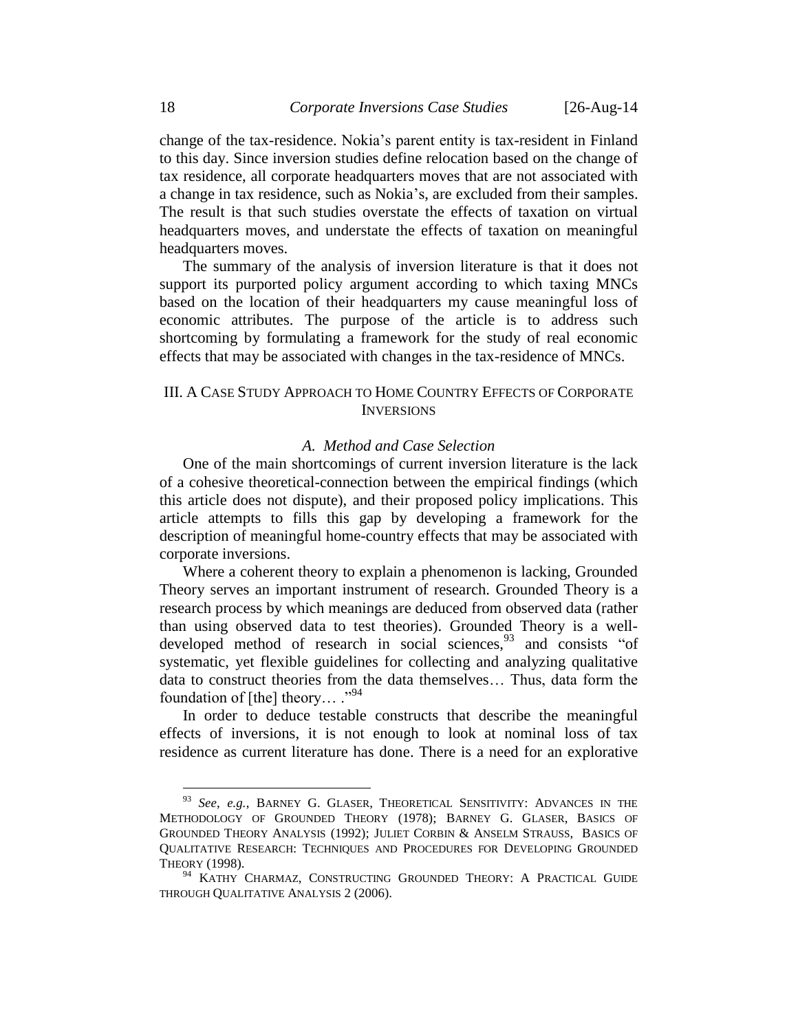change of the tax-residence. Nokia's parent entity is tax-resident in Finland to this day. Since inversion studies define relocation based on the change of tax residence, all corporate headquarters moves that are not associated with a change in tax residence, such as Nokia's, are excluded from their samples. The result is that such studies overstate the effects of taxation on virtual headquarters moves, and understate the effects of taxation on meaningful headquarters moves.

The summary of the analysis of inversion literature is that it does not support its purported policy argument according to which taxing MNCs based on the location of their headquarters my cause meaningful loss of economic attributes. The purpose of the article is to address such shortcoming by formulating a framework for the study of real economic effects that may be associated with changes in the tax-residence of MNCs.

### <span id="page-17-0"></span>III. A CASE STUDY APPROACH TO HOME COUNTRY EFFECTS OF CORPORATE **INVERSIONS**

### *A. Method and Case Selection*

<span id="page-17-1"></span>One of the main shortcomings of current inversion literature is the lack of a cohesive theoretical-connection between the empirical findings (which this article does not dispute), and their proposed policy implications. This article attempts to fills this gap by developing a framework for the description of meaningful home-country effects that may be associated with corporate inversions.

Where a coherent theory to explain a phenomenon is lacking, Grounded Theory serves an important instrument of research. Grounded Theory is a research process by which meanings are deduced from observed data (rather than using observed data to test theories). Grounded Theory is a welldeveloped method of research in social sciences,<sup>93</sup> and consists "of systematic, yet flexible guidelines for collecting and analyzing qualitative data to construct theories from the data themselves… Thus, data form the foundation of [the] theory...  $\cdot$ <sup>94</sup>

In order to deduce testable constructs that describe the meaningful effects of inversions, it is not enough to look at nominal loss of tax residence as current literature has done. There is a need for an explorative

<sup>93</sup> *See*, *e.g.*, BARNEY G. GLASER, THEORETICAL SENSITIVITY: ADVANCES IN THE METHODOLOGY OF GROUNDED THEORY (1978); BARNEY G. GLASER, BASICS OF GROUNDED THEORY ANALYSIS (1992); JULIET CORBIN & ANSELM STRAUSS, BASICS OF QUALITATIVE RESEARCH: TECHNIQUES AND PROCEDURES FOR DEVELOPING GROUNDED THEORY (1998).

<sup>&</sup>lt;sup>94</sup> KATHY CHARMAZ, CONSTRUCTING GROUNDED THEORY: A PRACTICAL GUIDE THROUGH QUALITATIVE ANALYSIS 2 (2006).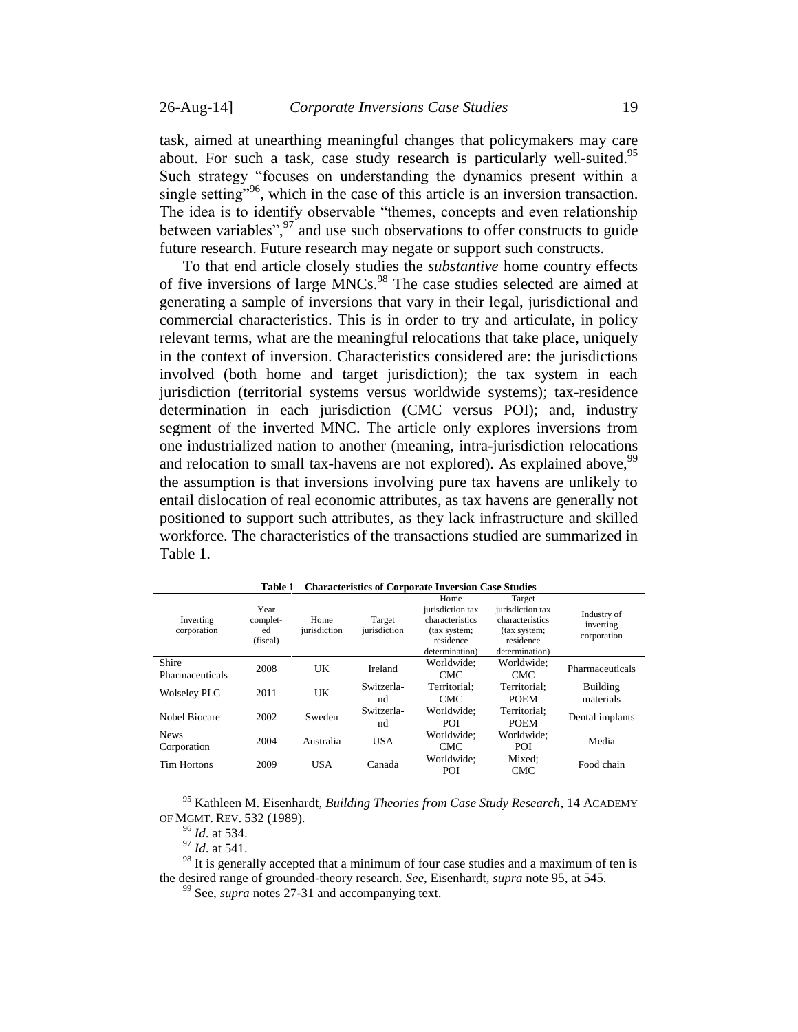<span id="page-18-0"></span>task, aimed at unearthing meaningful changes that policymakers may care about. For such a task, case study research is particularly well-suited.<sup>95</sup> Such strategy "focuses on understanding the dynamics present within a single setting"<sup>96</sup>, which in the case of this article is an inversion transaction. The idea is to identify observable "themes, concepts and even relationship between variables",  $\frac{97}{1}$  and use such observations to offer constructs to guide future research. Future research may negate or support such constructs.

To that end article closely studies the *substantive* home country effects of five inversions of large MNCs.<sup>98</sup> The case studies selected are aimed at generating a sample of inversions that vary in their legal, jurisdictional and commercial characteristics. This is in order to try and articulate, in policy relevant terms, what are the meaningful relocations that take place, uniquely in the context of inversion. Characteristics considered are: the jurisdictions involved (both home and target jurisdiction); the tax system in each jurisdiction (territorial systems versus worldwide systems); tax-residence determination in each jurisdiction (CMC versus POI); and, industry segment of the inverted MNC. The article only explores inversions from one industrialized nation to another (meaning, intra-jurisdiction relocations and relocation to small tax-havens are not explored). As explained above,  $99$ the assumption is that inversions involving pure tax havens are unlikely to entail dislocation of real economic attributes, as tax havens are generally not positioned to support such attributes, as they lack infrastructure and skilled workforce. The characteristics of the transactions studied are summarized in Table 1.

|                            | .                                  |                      |                        | Character loutes or Corporate Inversion Case Staures                                       |                                                                                              |                                         |
|----------------------------|------------------------------------|----------------------|------------------------|--------------------------------------------------------------------------------------------|----------------------------------------------------------------------------------------------|-----------------------------------------|
| Inverting<br>corporation   | Year<br>complet-<br>ed<br>(fiscal) | Home<br>jurisdiction | Target<br>jurisdiction | Home<br>jurisdiction tax<br>characteristics<br>(tax system;<br>residence<br>determination) | Target<br>jurisdiction tax<br>characteristics<br>(tax system;<br>residence<br>determination) | Industry of<br>inverting<br>corporation |
| Shire<br>Pharmaceuticals   | 2008                               | UK                   | Ireland                | Worldwide:<br><b>CMC</b>                                                                   | Worldwide:<br>CMC.                                                                           | Pharmaceuticals                         |
| <b>Wolseley PLC</b>        | 2011                               | UK                   | Switzerla-<br>nd       | Territorial:<br>CMC.                                                                       | Territorial:<br><b>POEM</b>                                                                  | Building<br>materials                   |
| Nobel Biocare              | 2002                               | Sweden               | Switzerla-<br>nd       | Worldwide:<br><b>POI</b>                                                                   | Territorial:<br><b>POEM</b>                                                                  | Dental implants                         |
| <b>News</b><br>Corporation | 2004                               | Australia            | <b>USA</b>             | Worldwide:<br><b>CMC</b>                                                                   | Worldwide:<br>POI                                                                            | Media                                   |
| <b>Tim Hortons</b>         | 2009                               | <b>USA</b>           | Canada                 | Worldwide:<br>POI                                                                          | Mixed:<br><b>CMC</b>                                                                         | Food chain                              |
|                            |                                    |                      |                        |                                                                                            |                                                                                              |                                         |

**Table 1 – Characteristics of Corporate Inversion Case Studies**

<sup>95</sup> Kathleen M. Eisenhardt, *Building Theories from Case Study Research*, 14 ACADEMY OF MGMT. REV. 532 (1989).

<sup>96</sup> *Id*. at 534.

 $^{97}$  *Id.* at 541.

 $98$  It is generally accepted that a minimum of four case studies and a maximum of ten is the desired range of grounded-theory research. *See*, Eisenhardt, *supra* note [95,](#page-18-0) at 545.

<sup>99</sup> See, *supra* note[s 27-](#page-6-1)[31](#page-6-2) and accompanying text.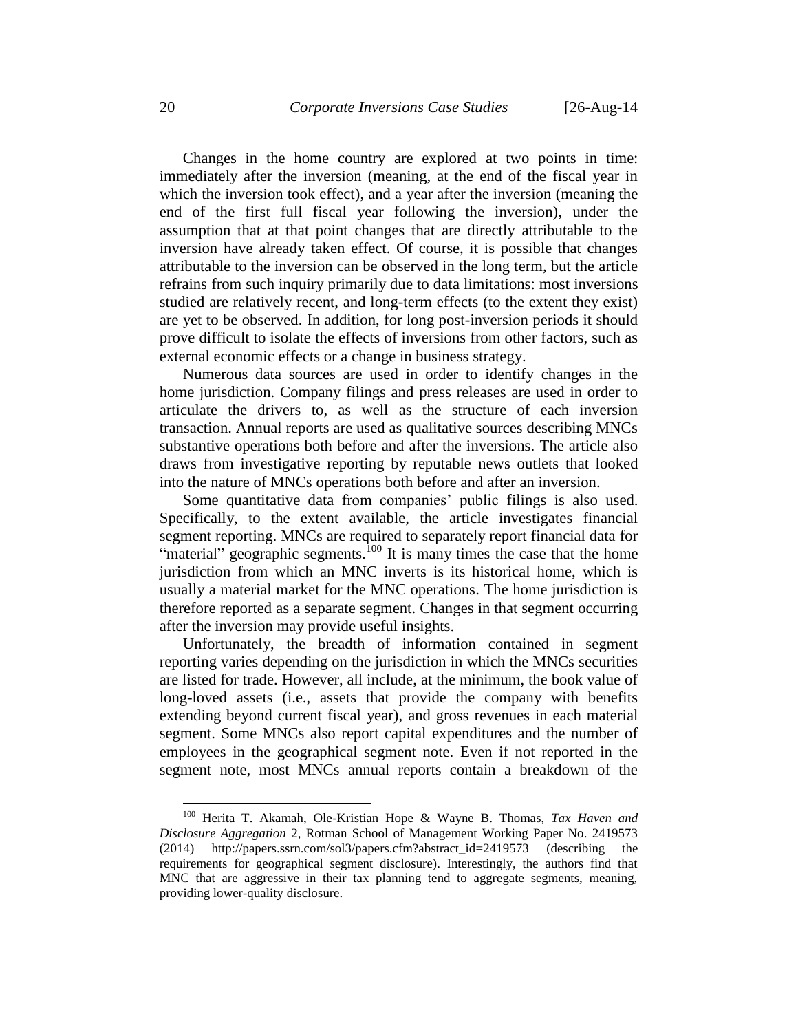Changes in the home country are explored at two points in time: immediately after the inversion (meaning, at the end of the fiscal year in which the inversion took effect), and a year after the inversion (meaning the end of the first full fiscal year following the inversion), under the assumption that at that point changes that are directly attributable to the inversion have already taken effect. Of course, it is possible that changes attributable to the inversion can be observed in the long term, but the article refrains from such inquiry primarily due to data limitations: most inversions studied are relatively recent, and long-term effects (to the extent they exist) are yet to be observed. In addition, for long post-inversion periods it should prove difficult to isolate the effects of inversions from other factors, such as external economic effects or a change in business strategy.

Numerous data sources are used in order to identify changes in the home jurisdiction. Company filings and press releases are used in order to articulate the drivers to, as well as the structure of each inversion transaction. Annual reports are used as qualitative sources describing MNCs substantive operations both before and after the inversions. The article also draws from investigative reporting by reputable news outlets that looked into the nature of MNCs operations both before and after an inversion.

Some quantitative data from companies' public filings is also used. Specifically, to the extent available, the article investigates financial segment reporting. MNCs are required to separately report financial data for "material" geographic segments.<sup>100</sup> It is many times the case that the home jurisdiction from which an MNC inverts is its historical home, which is usually a material market for the MNC operations. The home jurisdiction is therefore reported as a separate segment. Changes in that segment occurring after the inversion may provide useful insights.

Unfortunately, the breadth of information contained in segment reporting varies depending on the jurisdiction in which the MNCs securities are listed for trade. However, all include, at the minimum, the book value of long-loved assets (i.e., assets that provide the company with benefits extending beyond current fiscal year), and gross revenues in each material segment. Some MNCs also report capital expenditures and the number of employees in the geographical segment note. Even if not reported in the segment note, most MNCs annual reports contain a breakdown of the

<sup>100</sup> Herita T. Akamah, Ole-Kristian Hope & Wayne B. Thomas, *Tax Haven and Disclosure Aggregation* 2, Rotman School of Management Working Paper No. 2419573 (2014) http://papers.ssrn.com/sol3/papers.cfm?abstract\_id=2419573 (describing the requirements for geographical segment disclosure). Interestingly, the authors find that MNC that are aggressive in their tax planning tend to aggregate segments, meaning, providing lower-quality disclosure.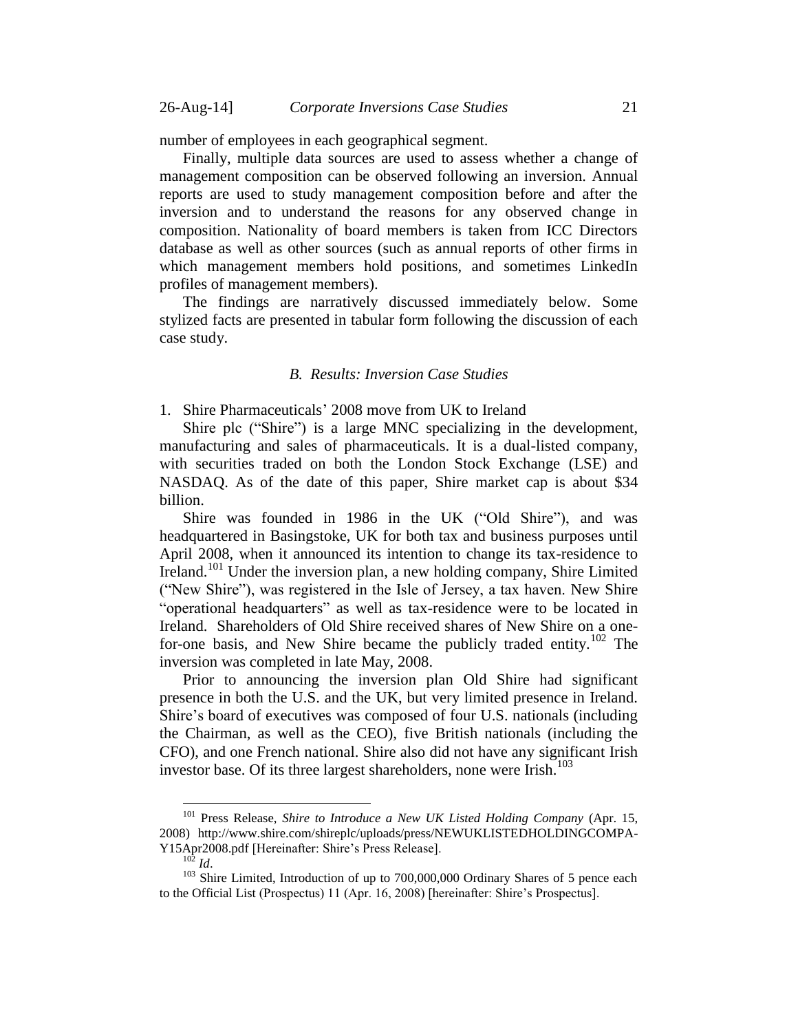number of employees in each geographical segment.

Finally, multiple data sources are used to assess whether a change of management composition can be observed following an inversion. Annual reports are used to study management composition before and after the inversion and to understand the reasons for any observed change in composition. Nationality of board members is taken from ICC Directors database as well as other sources (such as annual reports of other firms in which management members hold positions, and sometimes LinkedIn profiles of management members).

The findings are narratively discussed immediately below. Some stylized facts are presented in tabular form following the discussion of each case study.

### *B. Results: Inversion Case Studies*

<span id="page-20-1"></span><span id="page-20-0"></span>1. Shire Pharmaceuticals' 2008 move from UK to Ireland

Shire plc ("Shire") is a large MNC specializing in the development, manufacturing and sales of pharmaceuticals. It is a dual-listed company, with securities traded on both the London Stock Exchange (LSE) and NASDAQ. As of the date of this paper, Shire market cap is about \$34 billion.

<span id="page-20-3"></span>Shire was founded in 1986 in the UK ("Old Shire"), and was headquartered in Basingstoke, UK for both tax and business purposes until April 2008, when it announced its intention to change its tax-residence to Ireland.<sup>101</sup> Under the inversion plan, a new holding company, Shire Limited ("New Shire"), was registered in the Isle of Jersey, a tax haven. New Shire "operational headquarters" as well as tax-residence were to be located in Ireland. Shareholders of Old Shire received shares of New Shire on a onefor-one basis, and New Shire became the publicly traded entity.<sup>102</sup> The inversion was completed in late May, 2008.

Prior to announcing the inversion plan Old Shire had significant presence in both the U.S. and the UK, but very limited presence in Ireland. Shire's board of executives was composed of four U.S. nationals (including the Chairman, as well as the CEO), five British nationals (including the CFO), and one French national. Shire also did not have any significant Irish investor base. Of its three largest shareholders, none were Irish.<sup>103</sup>

<sup>101</sup> Press Release, *Shire to Introduce a New UK Listed Holding Company* (Apr. 15, 2008) http://www.shire.com/shireplc/uploads/press/NEWUKLISTEDHOLDINGCOMPA-Y15Apr2008.pdf [Hereinafter: Shire's Press Release].

<span id="page-20-2"></span><sup>102</sup> *Id*.

<sup>&</sup>lt;sup>103</sup> Shire Limited, Introduction of up to 700,000,000 Ordinary Shares of 5 pence each to the Official List (Prospectus) 11 (Apr. 16, 2008) [hereinafter: Shire's Prospectus].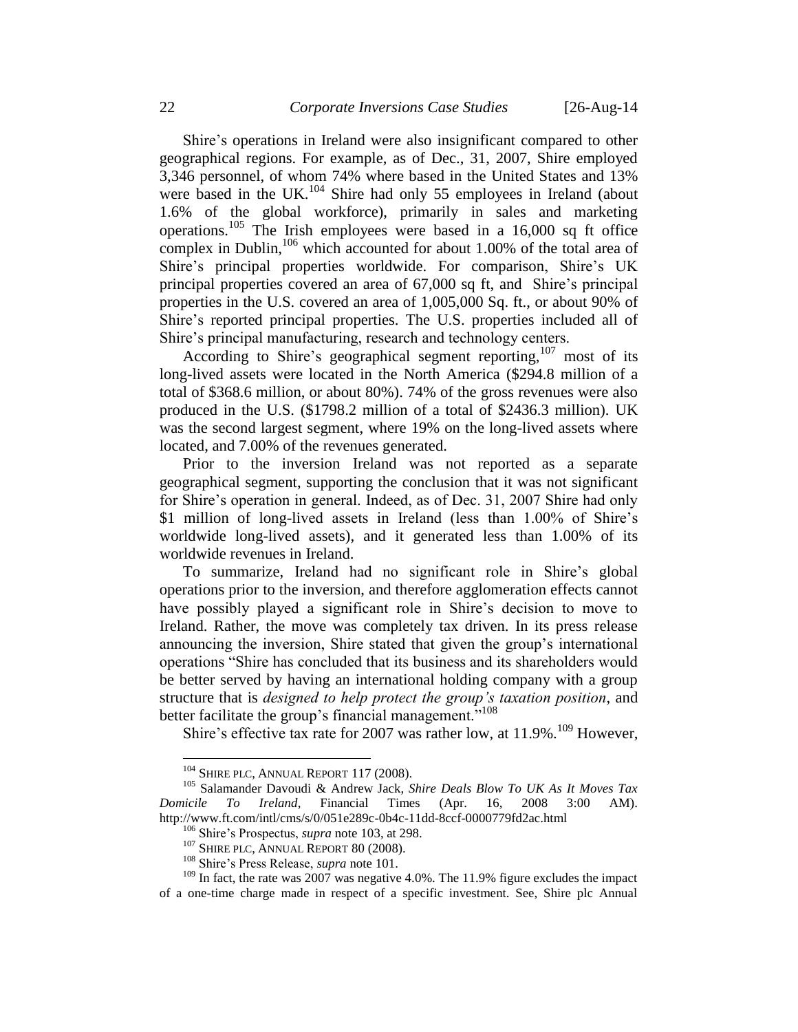<span id="page-21-0"></span>Shire's operations in Ireland were also insignificant compared to other geographical regions. For example, as of Dec., 31, 2007, Shire employed 3,346 personnel, of whom 74% where based in the United States and 13% were based in the UK. $^{104}$  Shire had only 55 employees in Ireland (about 1.6% of the global workforce), primarily in sales and marketing operations.<sup>105</sup> The Irish employees were based in a  $16,000$  sq ft office complex in Dublin,<sup>106</sup> which accounted for about 1.00% of the total area of Shire's principal properties worldwide. For comparison, Shire's UK principal properties covered an area of 67,000 sq ft, and Shire's principal properties in the U.S. covered an area of 1,005,000 Sq. ft., or about 90% of Shire's reported principal properties. The U.S. properties included all of Shire's principal manufacturing, research and technology centers.

According to Shire's geographical segment reporting,  $107$  most of its long-lived assets were located in the North America (\$294.8 million of a total of \$368.6 million, or about 80%). 74% of the gross revenues were also produced in the U.S. (\$1798.2 million of a total of \$2436.3 million). UK was the second largest segment, where 19% on the long-lived assets where located, and 7.00% of the revenues generated.

Prior to the inversion Ireland was not reported as a separate geographical segment, supporting the conclusion that it was not significant for Shire's operation in general. Indeed, as of Dec. 31, 2007 Shire had only \$1 million of long-lived assets in Ireland (less than 1.00% of Shire's worldwide long-lived assets), and it generated less than 1.00% of its worldwide revenues in Ireland.

To summarize, Ireland had no significant role in Shire's global operations prior to the inversion, and therefore agglomeration effects cannot have possibly played a significant role in Shire's decision to move to Ireland. Rather, the move was completely tax driven. In its press release announcing the inversion, Shire stated that given the group's international operations "Shire has concluded that its business and its shareholders would be better served by having an international holding company with a group structure that is *designed to help protect the group's taxation position*, and better facilitate the group's financial management."<sup>108</sup>

Shire's effective tax rate for 2007 was rather low, at  $11.9\%$ .<sup>109</sup> However,

 $104$  SHIRE PLC, ANNUAL REPORT 117 (2008).

<sup>105</sup> Salamander Davoudi & Andrew Jack, *Shire Deals Blow To UK As It Moves Tax Domicile To Ireland*, Financial Times (Apr. 16, 2008 3:00 AM). http://www.ft.com/intl/cms/s/0/051e289c-0b4c-11dd-8ccf-0000779fd2ac.html

<sup>106</sup> Shire's Prospectus, *supra* note [103,](#page-20-2) at 298.

<sup>&</sup>lt;sup>107</sup> SHIRE PLC, ANNUAL REPORT 80 (2008).

<sup>108</sup> Shire's Press Release, *supra* note [101.](#page-20-3)

 $109$  In fact, the rate was 2007 was negative 4.0%. The 11.9% figure excludes the impact of a one-time charge made in respect of a specific investment. See, Shire plc Annual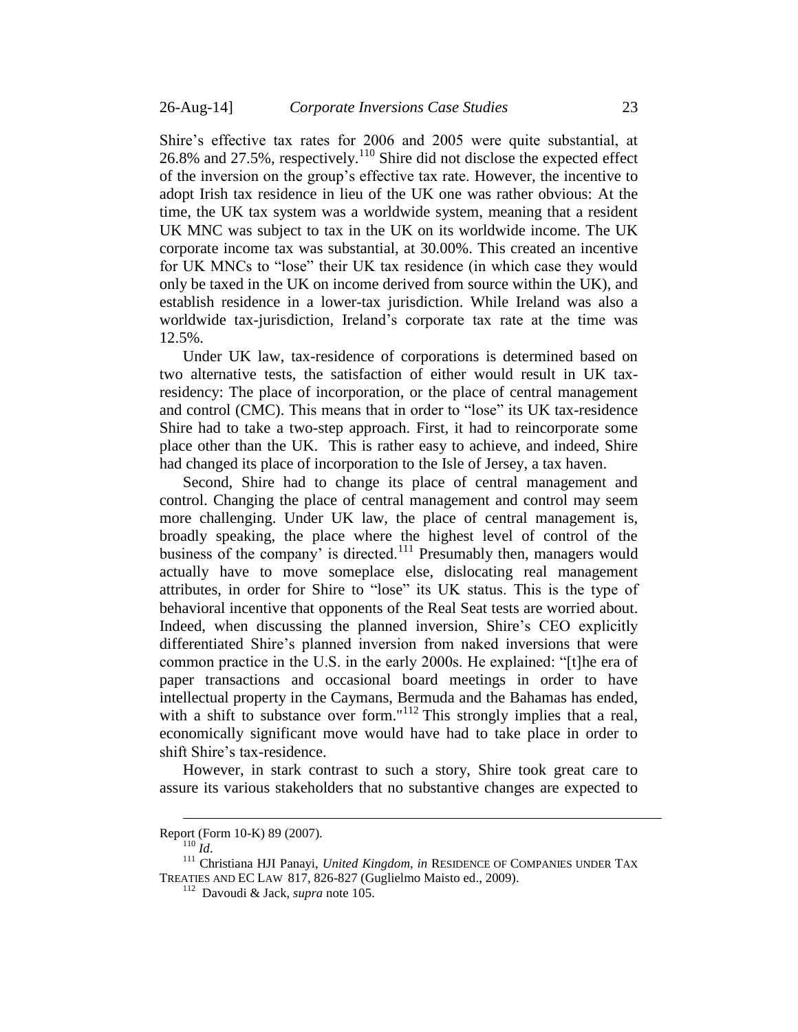Shire's effective tax rates for 2006 and 2005 were quite substantial, at 26.8% and 27.5%, respectively.<sup>110</sup> Shire did not disclose the expected effect of the inversion on the group's effective tax rate. However, the incentive to adopt Irish tax residence in lieu of the UK one was rather obvious: At the time, the UK tax system was a worldwide system, meaning that a resident UK MNC was subject to tax in the UK on its worldwide income. The UK corporate income tax was substantial, at 30.00%. This created an incentive for UK MNCs to "lose" their UK tax residence (in which case they would only be taxed in the UK on income derived from source within the UK), and establish residence in a lower-tax jurisdiction. While Ireland was also a worldwide tax-jurisdiction, Ireland's corporate tax rate at the time was 12.5%.

Under UK law, tax-residence of corporations is determined based on two alternative tests, the satisfaction of either would result in UK taxresidency: The place of incorporation, or the place of central management and control (CMC). This means that in order to "lose" its UK tax-residence Shire had to take a two-step approach. First, it had to reincorporate some place other than the UK. This is rather easy to achieve, and indeed, Shire had changed its place of incorporation to the Isle of Jersey, a tax haven.

<span id="page-22-0"></span>Second, Shire had to change its place of central management and control. Changing the place of central management and control may seem more challenging. Under UK law, the place of central management is, broadly speaking, the place where the highest level of control of the business of the company' is directed.<sup>111</sup> Presumably then, managers would actually have to move someplace else, dislocating real management attributes, in order for Shire to "lose" its UK status. This is the type of behavioral incentive that opponents of the Real Seat tests are worried about. Indeed, when discussing the planned inversion, Shire's CEO explicitly differentiated Shire's planned inversion from naked inversions that were common practice in the U.S. in the early 2000s. He explained: "[t]he era of paper transactions and occasional board meetings in order to have intellectual property in the Caymans, Bermuda and the Bahamas has ended, with a shift to substance over form."<sup>112</sup> This strongly implies that a real, economically significant move would have had to take place in order to shift Shire's tax-residence.

However, in stark contrast to such a story, Shire took great care to assure its various stakeholders that no substantive changes are expected to

Report (Form 10-K) 89 (2007).

 $110$  *Id.* 

<sup>111</sup> Christiana HJI Panayi, *United Kingdom*, *in* RESIDENCE OF COMPANIES UNDER TAX TREATIES AND EC LAW 817, 826-827 (Guglielmo Maisto ed., 2009).

<sup>112</sup> Davoudi & Jack, *supra* note [105.](#page-21-0)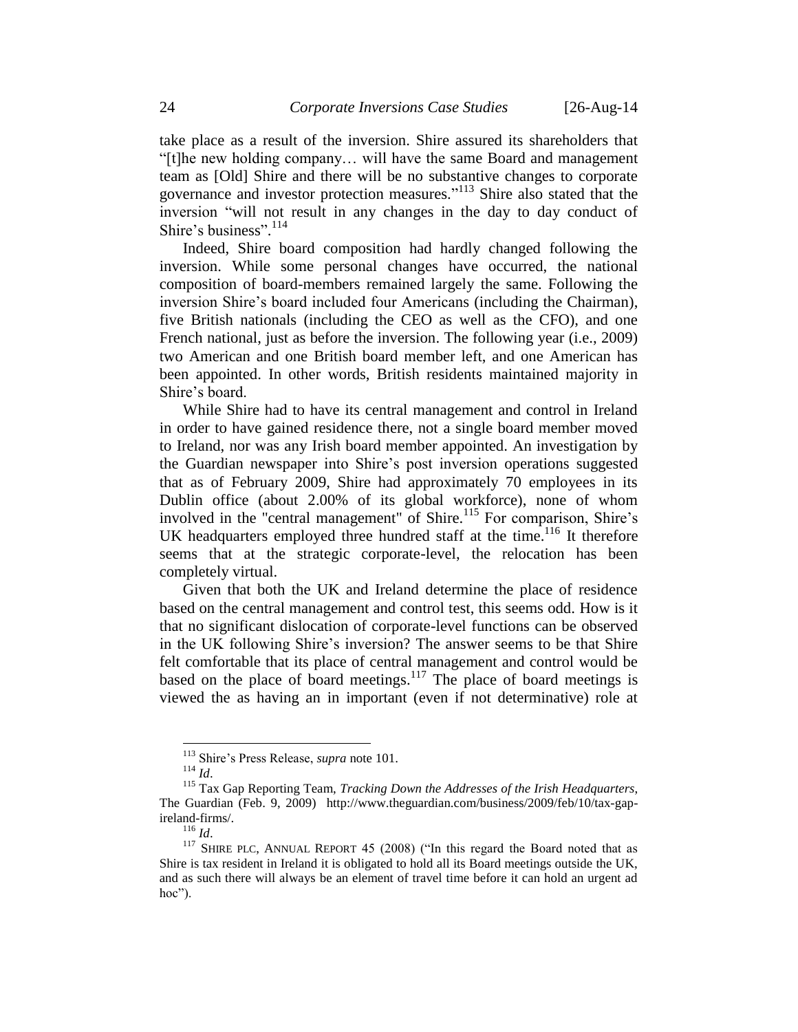take place as a result of the inversion. Shire assured its shareholders that "[t]he new holding company… will have the same Board and management team as [Old] Shire and there will be no substantive changes to corporate governance and investor protection measures." <sup>113</sup> Shire also stated that the inversion "will not result in any changes in the day to day conduct of Shire's business". 114

Indeed, Shire board composition had hardly changed following the inversion. While some personal changes have occurred, the national composition of board-members remained largely the same. Following the inversion Shire's board included four Americans (including the Chairman), five British nationals (including the CEO as well as the CFO), and one French national, just as before the inversion. The following year (i.e., 2009) two American and one British board member left, and one American has been appointed. In other words, British residents maintained majority in Shire's board.

While Shire had to have its central management and control in Ireland in order to have gained residence there, not a single board member moved to Ireland, nor was any Irish board member appointed. An investigation by the Guardian newspaper into Shire's post inversion operations suggested that as of February 2009, Shire had approximately 70 employees in its Dublin office (about 2.00% of its global workforce), none of whom involved in the "central management" of Shire.<sup>115</sup> For comparison, Shire's UK headquarters employed three hundred staff at the time.<sup>116</sup> It therefore seems that at the strategic corporate-level, the relocation has been completely virtual.

<span id="page-23-0"></span>Given that both the UK and Ireland determine the place of residence based on the central management and control test, this seems odd. How is it that no significant dislocation of corporate-level functions can be observed in the UK following Shire's inversion? The answer seems to be that Shire felt comfortable that its place of central management and control would be based on the place of board meetings.<sup>117</sup> The place of board meetings is viewed the as having an in important (even if not determinative) role at

<sup>113</sup> Shire's Press Release, *supra* note [101.](#page-20-3)

<sup>114</sup> *Id*.

<sup>115</sup> Tax Gap Reporting Team, *Tracking Down the Addresses of the Irish Headquarters*, The Guardian (Feb. 9, 2009) http://www.theguardian.com/business/2009/feb/10/tax-gapireland-firms/.

<sup>116</sup> *Id*.

<sup>&</sup>lt;sup>117</sup> SHIRE PLC, ANNUAL REPORT 45 (2008) ("In this regard the Board noted that as Shire is tax resident in Ireland it is obligated to hold all its Board meetings outside the UK, and as such there will always be an element of travel time before it can hold an urgent ad hoc").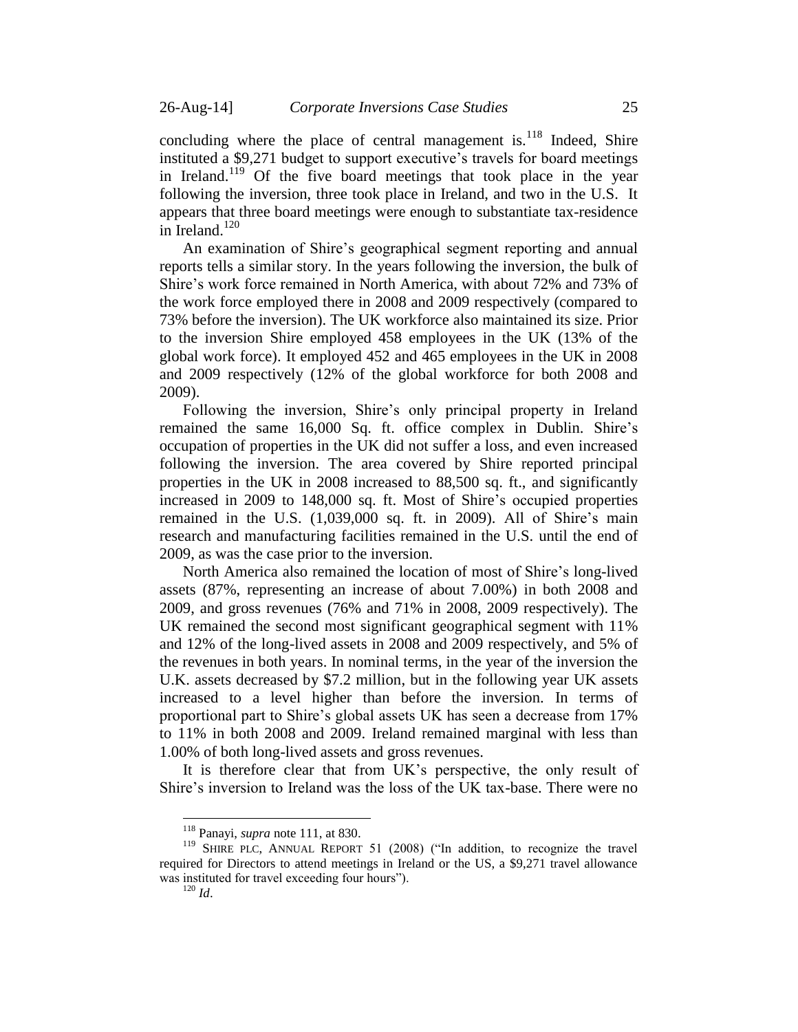concluding where the place of central management is. $118$  Indeed, Shire instituted a \$9,271 budget to support executive's travels for board meetings in Ireland.<sup>119</sup> Of the five board meetings that took place in the year following the inversion, three took place in Ireland, and two in the U.S. It appears that three board meetings were enough to substantiate tax-residence in Ireland. $120$ 

An examination of Shire's geographical segment reporting and annual reports tells a similar story. In the years following the inversion, the bulk of Shire's work force remained in North America, with about 72% and 73% of the work force employed there in 2008 and 2009 respectively (compared to 73% before the inversion). The UK workforce also maintained its size. Prior to the inversion Shire employed 458 employees in the UK (13% of the global work force). It employed 452 and 465 employees in the UK in 2008 and 2009 respectively (12% of the global workforce for both 2008 and 2009).

Following the inversion, Shire's only principal property in Ireland remained the same 16,000 Sq. ft. office complex in Dublin. Shire's occupation of properties in the UK did not suffer a loss, and even increased following the inversion. The area covered by Shire reported principal properties in the UK in 2008 increased to 88,500 sq. ft., and significantly increased in 2009 to 148,000 sq. ft. Most of Shire's occupied properties remained in the U.S. (1,039,000 sq. ft. in 2009). All of Shire's main research and manufacturing facilities remained in the U.S. until the end of 2009, as was the case prior to the inversion.

North America also remained the location of most of Shire's long-lived assets (87%, representing an increase of about 7.00%) in both 2008 and 2009, and gross revenues (76% and 71% in 2008, 2009 respectively). The UK remained the second most significant geographical segment with 11% and 12% of the long-lived assets in 2008 and 2009 respectively, and 5% of the revenues in both years. In nominal terms, in the year of the inversion the U.K. assets decreased by \$7.2 million, but in the following year UK assets increased to a level higher than before the inversion. In terms of proportional part to Shire's global assets UK has seen a decrease from 17% to 11% in both 2008 and 2009. Ireland remained marginal with less than 1.00% of both long-lived assets and gross revenues.

It is therefore clear that from UK's perspective, the only result of Shire's inversion to Ireland was the loss of the UK tax-base. There were no

<sup>118</sup> Panayi, *supra* note [111,](#page-22-0) at 830.

<sup>&</sup>lt;sup>119</sup> SHIRE PLC, ANNUAL REPORT 51 (2008) ("In addition, to recognize the travel required for Directors to attend meetings in Ireland or the US, a \$9,271 travel allowance was instituted for travel exceeding four hours").

 $120$  *Id.*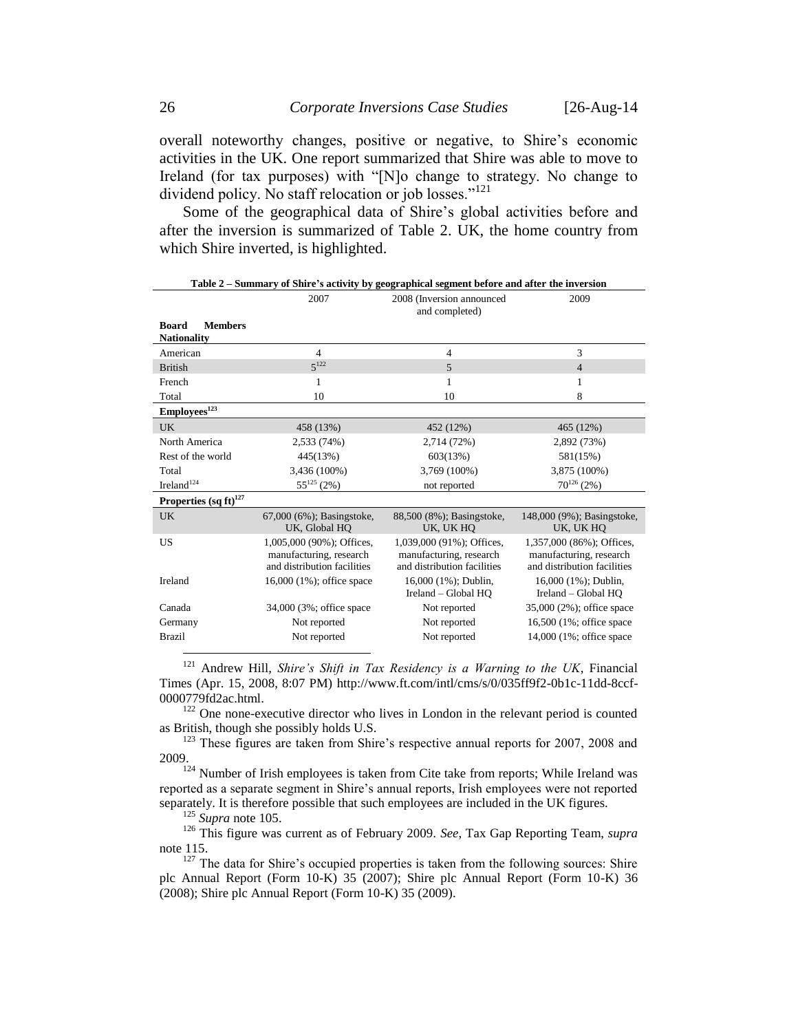overall noteworthy changes, positive or negative, to Shire's economic activities in the UK. One report summarized that Shire was able to move to Ireland (for tax purposes) with "[N]o change to strategy. No change to dividend policy. No staff relocation or job losses."<sup>121</sup>

Some of the geographical data of Shire's global activities before and after the inversion is summarized of Table 2. UK, the home country from which Shire inverted, is highlighted.

| 2007                                                                                | 2008 (Inversion announced<br>and completed)                                         | 2009                                                                                         |
|-------------------------------------------------------------------------------------|-------------------------------------------------------------------------------------|----------------------------------------------------------------------------------------------|
|                                                                                     |                                                                                     |                                                                                              |
| $\overline{4}$                                                                      | $\overline{4}$                                                                      | 3                                                                                            |
| $5^{122}$                                                                           | 5                                                                                   | $\overline{4}$                                                                               |
| 1                                                                                   | 1                                                                                   | 1                                                                                            |
| 10                                                                                  | 10                                                                                  | 8                                                                                            |
|                                                                                     |                                                                                     |                                                                                              |
| 458 (13%)                                                                           | 452 (12%)                                                                           | 465 (12%)                                                                                    |
| 2,533 (74%)                                                                         | 2,714 (72%)                                                                         | 2,892 (73%)                                                                                  |
| 445(13%)                                                                            | 603(13%)                                                                            | 581(15%)                                                                                     |
| 3,436 (100%)                                                                        | 3,769 (100%)                                                                        | 3,875 (100%)                                                                                 |
|                                                                                     | not reported                                                                        | $70^{126}$ (2%)                                                                              |
|                                                                                     |                                                                                     |                                                                                              |
| 67,000 (6%); Basingstoke,<br>UK, Global HO                                          | 88,500 (8%); Basingstoke,<br>UK, UK HO                                              | 148,000 (9%); Basingstoke,<br>UK, UK HO                                                      |
| 1,005,000 (90%); Offices,<br>manufacturing, research<br>and distribution facilities | 1,039,000 (91%); Offices,<br>manufacturing, research<br>and distribution facilities | 1,357,000 (86%); Offices,<br>manufacturing, research<br>and distribution facilities          |
| 16,000 (1%); office space                                                           | 16,000 (1%); Dublin,<br>Ireland – Global HO                                         | 16,000 (1%); Dublin,<br>Ireland – Global HO                                                  |
| 34,000 (3%; office space)                                                           | Not reported                                                                        | 35,000 (2%); office space                                                                    |
| Not reported                                                                        | Not reported                                                                        | 16,500 (1%; office space)                                                                    |
| Not reported                                                                        | Not reported                                                                        | 14,000 (1%; office space)                                                                    |
|                                                                                     | $55^{125}$ (2%)                                                                     | Table 2 – Summary of Shire's activity by geographical segment before and after the inversion |

<sup>121</sup> Andrew Hill, *Shire's Shift in Tax Residency is a Warning to the UK*, Financial Times (Apr. 15, 2008, 8:07 PM) http://www.ft.com/intl/cms/s/0/035ff9f2-0b1c-11dd-8ccf-0000779fd2ac.html.

<sup>122</sup> One none-executive director who lives in London in the relevant period is counted as British, though she possibly holds U.S.

<sup>123</sup> These figures are taken from Shire's respective annual reports for 2007, 2008 and 2009.

 $124$  Number of Irish employees is taken from Cite take from reports; While Ireland was reported as a separate segment in Shire's annual reports, Irish employees were not reported separately. It is therefore possible that such employees are included in the UK figures.

<sup>125</sup> *Supra* note [105.](#page-21-0)

<sup>126</sup> This figure was current as of February 2009. *See*, Tax Gap Reporting Team, *supra*  note [115.](#page-23-0)

 $127$  The data for Shire's occupied properties is taken from the following sources: Shire plc Annual Report (Form 10-K) 35 (2007); Shire plc Annual Report (Form 10-K) 36 (2008); Shire plc Annual Report (Form 10-K) 35 (2009).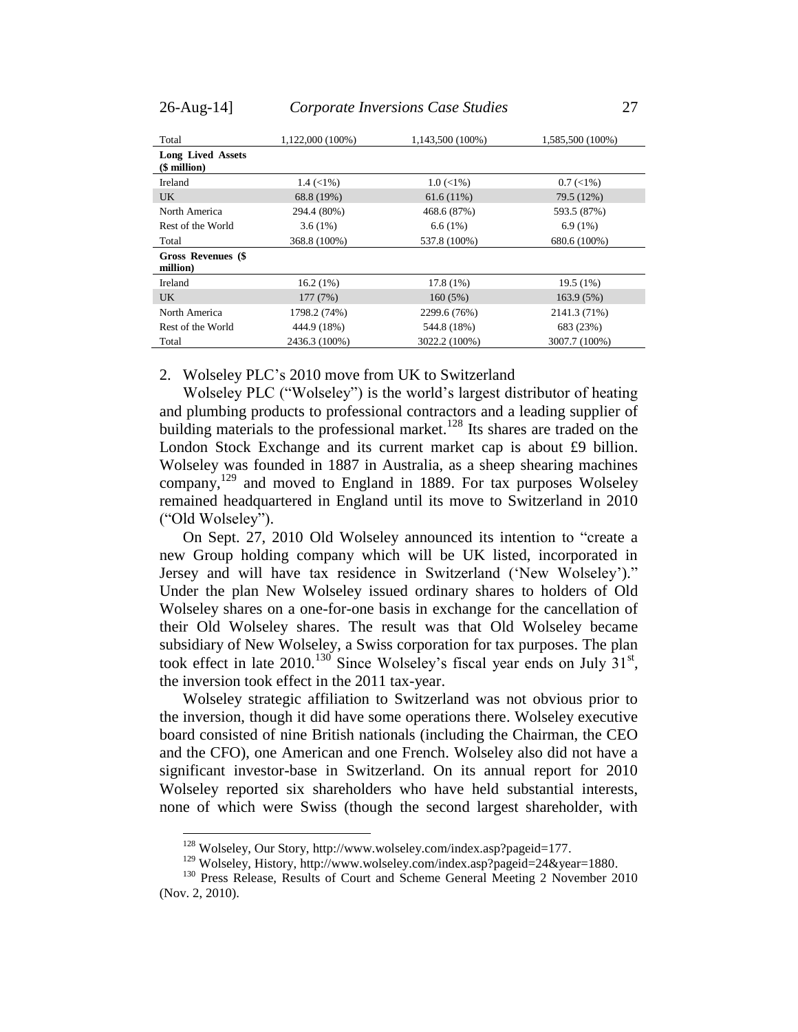| Total                                       | 1,122,000 (100%)              | 1,143,500 (100%) | 1,585,500 (100%) |
|---------------------------------------------|-------------------------------|------------------|------------------|
| <b>Long Lived Assets</b><br>$$$ million $)$ |                               |                  |                  |
| Ireland                                     | $1.4 \left( \leq 1\% \right)$ | $1.0 \,(< 1\%)$  | $0.7 \,(< 1\%)$  |
| <b>UK</b>                                   | 68.8 (19%)                    | 61.6(11%)        | 79.5 (12%)       |
| North America                               | 294.4 (80%)                   | 468.6 (87%)      | 593.5 (87%)      |
| Rest of the World                           | 3.6(1%)                       | 6.6(1%)          | $6.9(1\%)$       |
| Total                                       | 368.8 (100%)                  | 537.8 (100%)     | 680.6 (100%)     |
| Gross Revenues (\$<br>million)              |                               |                  |                  |
| Ireland                                     | $16.2(1\%)$                   | 17.8(1%)         | 19.5(1%)         |
| <b>UK</b>                                   | 177(7%)                       | 160(5%)          | 163.9 (5%)       |
| North America                               | 1798.2 (74%)                  | 2299.6 (76%)     | 2141.3 (71%)     |
| Rest of the World                           | 444.9 (18%)                   | 544.8 (18%)      | 683 (23%)        |
| Total                                       | 2436.3 (100%)                 | 3022.2 (100%)    | 3007.7 (100%)    |

<span id="page-26-0"></span>2. Wolseley PLC's 2010 move from UK to Switzerland

Wolseley PLC ("Wolseley") is the world's largest distributor of heating and plumbing products to professional contractors and a leading supplier of building materials to the professional market.<sup>128</sup> Its shares are traded on the London Stock Exchange and its current market cap is about £9 billion. Wolseley was founded in 1887 in Australia, as a sheep shearing machines company,<sup>129</sup> and moved to England in 1889. For tax purposes Wolseley remained headquartered in England until its move to Switzerland in 2010 ("Old Wolseley").

On Sept. 27, 2010 Old Wolseley announced its intention to "create a new Group holding company which will be UK listed, incorporated in Jersey and will have tax residence in Switzerland ('New Wolseley')." Under the plan New Wolseley issued ordinary shares to holders of Old Wolseley shares on a one-for-one basis in exchange for the cancellation of their Old Wolseley shares. The result was that Old Wolseley became subsidiary of New Wolseley, a Swiss corporation for tax purposes. The plan took effect in late  $2010$ <sup>130</sup> Since Wolseley's fiscal year ends on July  $31<sup>st</sup>$ , the inversion took effect in the 2011 tax-year.

Wolseley strategic affiliation to Switzerland was not obvious prior to the inversion, though it did have some operations there. Wolseley executive board consisted of nine British nationals (including the Chairman, the CEO and the CFO), one American and one French. Wolseley also did not have a significant investor-base in Switzerland. On its annual report for 2010 Wolseley reported six shareholders who have held substantial interests, none of which were Swiss (though the second largest shareholder, with

<sup>128</sup> Wolseley, Our Story, http://www.wolseley.com/index.asp?pageid=177.

<sup>129</sup> Wolseley, History, http://www.wolseley.com/index.asp?pageid=24&year=1880.

<sup>&</sup>lt;sup>130</sup> Press Release, Results of Court and Scheme General Meeting 2 November 2010 (Nov. 2, 2010).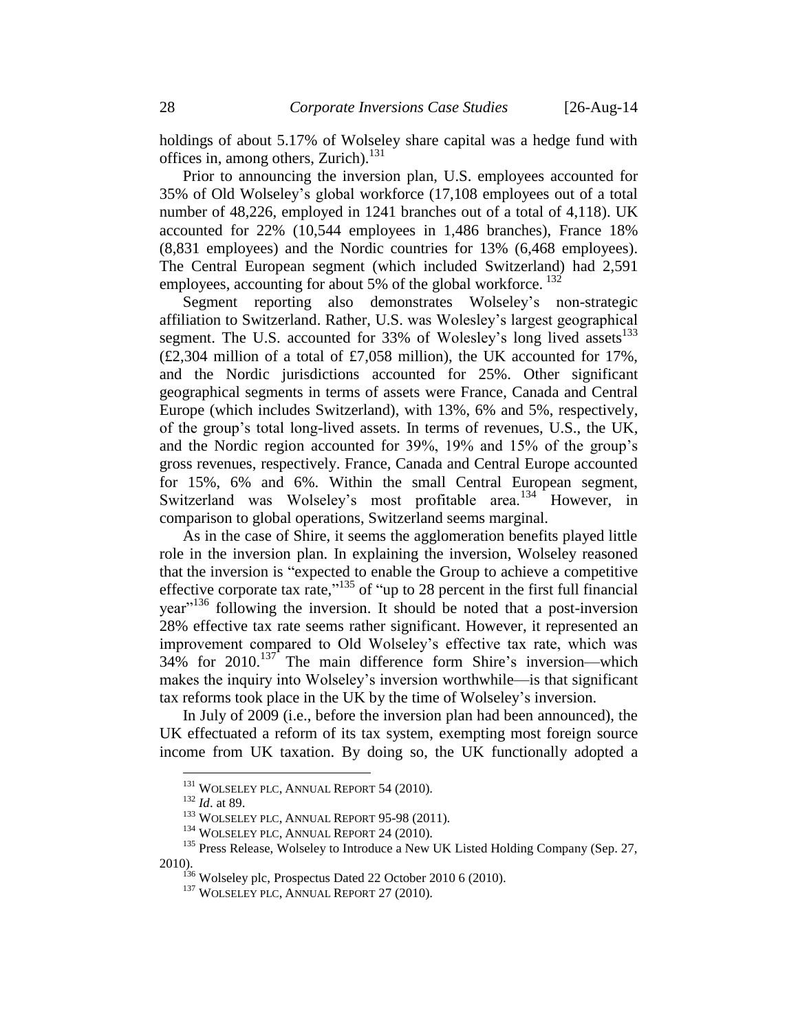holdings of about 5.17% of Wolseley share capital was a hedge fund with offices in, among others, Zurich). $^{131}$ 

Prior to announcing the inversion plan, U.S. employees accounted for 35% of Old Wolseley's global workforce (17,108 employees out of a total number of 48,226, employed in 1241 branches out of a total of 4,118). UK accounted for 22% (10,544 employees in 1,486 branches), France 18% (8,831 employees) and the Nordic countries for 13% (6,468 employees). The Central European segment (which included Switzerland) had 2,591 employees, accounting for about 5% of the global workforce.  $^{132}$ 

Segment reporting also demonstrates Wolseley's non-strategic affiliation to Switzerland. Rather, U.S. was Wolesley's largest geographical segment. The U.S. accounted for  $33\%$  of Wolesley's long lived assets  $133$  $(E2,304$  million of a total of £7,058 million), the UK accounted for 17%, and the Nordic jurisdictions accounted for 25%. Other significant geographical segments in terms of assets were France, Canada and Central Europe (which includes Switzerland), with 13%, 6% and 5%, respectively, of the group's total long-lived assets. In terms of revenues, U.S., the UK, and the Nordic region accounted for 39%, 19% and 15% of the group's gross revenues, respectively. France, Canada and Central Europe accounted for 15%, 6% and 6%. Within the small Central European segment, Switzerland was Wolseley's most profitable area.<sup>134</sup> However, in comparison to global operations, Switzerland seems marginal.

As in the case of Shire, it seems the agglomeration benefits played little role in the inversion plan. In explaining the inversion, Wolseley reasoned that the inversion is "expected to enable the Group to achieve a competitive effective corporate tax rate,"<sup>135</sup> of "up to 28 percent in the first full financial  $year<sup>136</sup>$  following the inversion. It should be noted that a post-inversion 28% effective tax rate seems rather significant. However, it represented an improvement compared to Old Wolseley's effective tax rate, which was  $34\%$  for  $2010$ .<sup>137</sup> The main difference form Shire's inversion—which makes the inquiry into Wolseley's inversion worthwhile—is that significant tax reforms took place in the UK by the time of Wolseley's inversion.

In July of 2009 (i.e., before the inversion plan had been announced), the UK effectuated a reform of its tax system, exempting most foreign source income from UK taxation. By doing so, the UK functionally adopted a

2010).

<sup>&</sup>lt;sup>131</sup> WOLSELEY PLC, ANNUAL REPORT 54 (2010).

<sup>132</sup> *Id*. at 89.

<sup>&</sup>lt;sup>133</sup> WOLSELEY PLC, ANNUAL REPORT 95-98 (2011).

<sup>&</sup>lt;sup>134</sup> WOLSELEY PLC, ANNUAL REPORT 24 (2010).

<sup>&</sup>lt;sup>135</sup> Press Release, Wolseley to Introduce a New UK Listed Holding Company (Sep. 27,

 $136$  Wolseley plc, Prospectus Dated 22 October 2010 6 (2010).

<sup>&</sup>lt;sup>137</sup> WOLSELEY PLC, ANNUAL REPORT 27 (2010).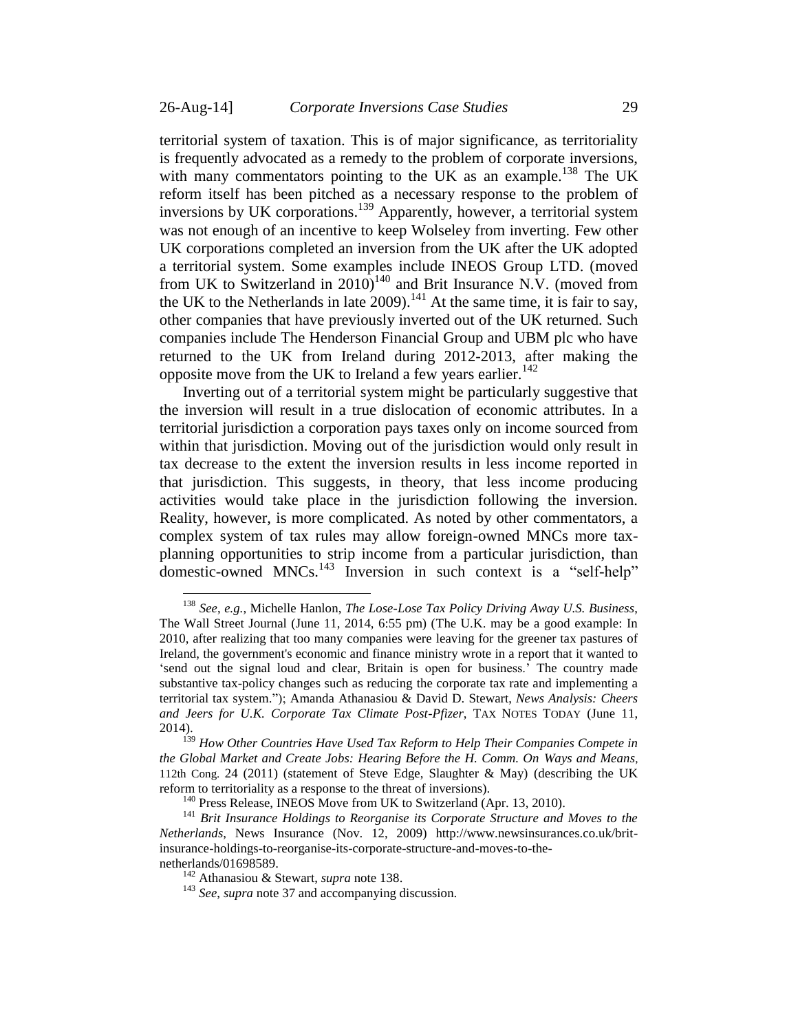<span id="page-28-0"></span>territorial system of taxation. This is of major significance, as territoriality is frequently advocated as a remedy to the problem of corporate inversions, with many commentators pointing to the UK as an example.<sup>138</sup> The UK reform itself has been pitched as a necessary response to the problem of inversions by UK corporations.<sup>139</sup> Apparently, however, a territorial system was not enough of an incentive to keep Wolseley from inverting. Few other UK corporations completed an inversion from the UK after the UK adopted a territorial system. Some examples include INEOS Group LTD. (moved from UK to Switzerland in 2010)<sup>140</sup> and Brit Insurance N.V. (moved from the UK to the Netherlands in late  $2009$ ).<sup>141</sup> At the same time, it is fair to say, other companies that have previously inverted out of the UK returned. Such companies include The Henderson Financial Group and UBM plc who have returned to the UK from Ireland during 2012-2013, after making the opposite move from the UK to Ireland a few years earlier.<sup>142</sup>

Inverting out of a territorial system might be particularly suggestive that the inversion will result in a true dislocation of economic attributes. In a territorial jurisdiction a corporation pays taxes only on income sourced from within that jurisdiction. Moving out of the jurisdiction would only result in tax decrease to the extent the inversion results in less income reported in that jurisdiction. This suggests, in theory, that less income producing activities would take place in the jurisdiction following the inversion. Reality, however, is more complicated. As noted by other commentators, a complex system of tax rules may allow foreign-owned MNCs more taxplanning opportunities to strip income from a particular jurisdiction, than  $\frac{1}{2}$  domestic-owned MNCs.<sup>143</sup> Inversion in such context is a "self-help"

<sup>138</sup> *See*, *e.g.*, Michelle Hanlon, *The Lose-Lose Tax Policy Driving Away U.S. Business*, The Wall Street Journal (June 11, 2014, 6:55 pm) (The U.K. may be a good example: In 2010, after realizing that too many companies were leaving for the greener tax pastures of Ireland, the government's economic and finance ministry wrote in a report that it wanted to 'send out the signal loud and clear, Britain is open for business.' The country made substantive tax-policy changes such as reducing the corporate tax rate and implementing a territorial tax system."); Amanda Athanasiou & David D. Stewart, *News Analysis: Cheers and Jeers for U.K. Corporate Tax Climate Post-Pfizer*, TAX NOTES TODAY (June 11, 2014).

<sup>139</sup> *How Other Countries Have Used Tax Reform to Help Their Companies Compete in the Global Market and Create Jobs: Hearing Before the H. Comm. On Ways and Means*, 112th Cong. 24 (2011) (statement of Steve Edge, Slaughter & May) (describing the UK reform to territoriality as a response to the threat of inversions).

<sup>&</sup>lt;sup>140</sup> Press Release, INEOS Move from UK to Switzerland (Apr. 13, 2010).

<sup>141</sup> *Brit Insurance Holdings to Reorganise its Corporate Structure and Moves to the Netherlands*, News Insurance (Nov. 12, 2009) http://www.newsinsurances.co.uk/britinsurance-holdings-to-reorganise-its-corporate-structure-and-moves-to-thenetherlands/01698589.

<sup>142</sup> Athanasiou & Stewart, *supra* note [138.](#page-28-0)

<sup>143</sup> *See*, *supra* not[e 37](#page-7-2) and accompanying discussion.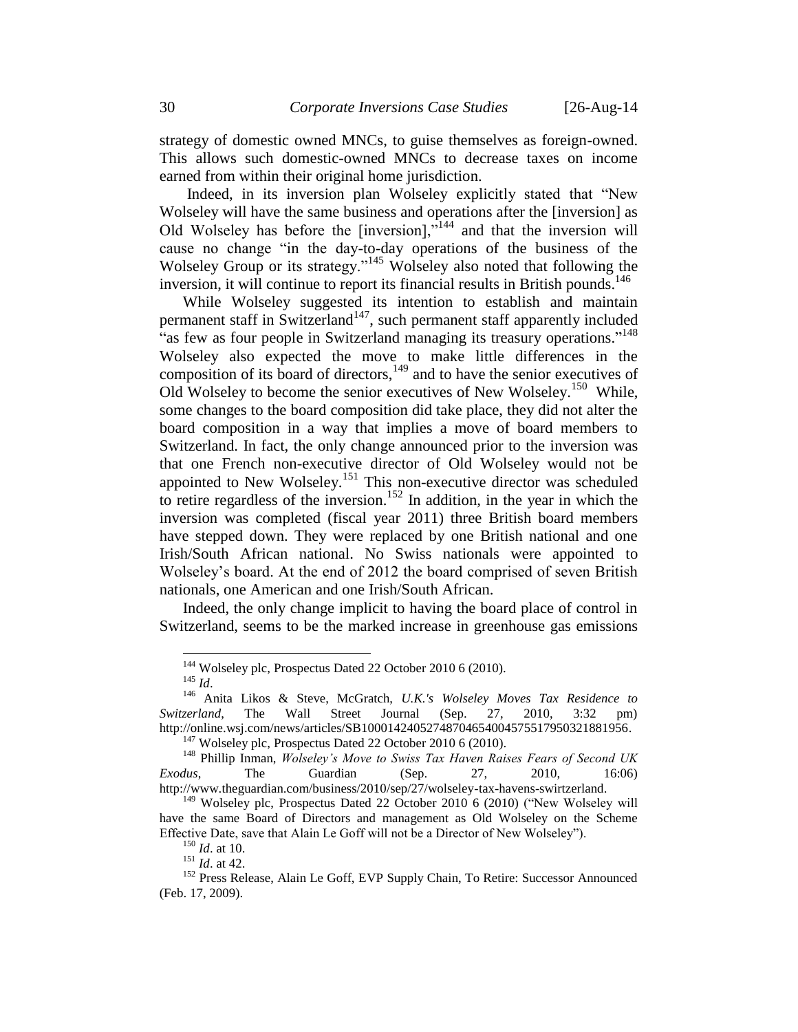strategy of domestic owned MNCs, to guise themselves as foreign-owned. This allows such domestic-owned MNCs to decrease taxes on income earned from within their original home jurisdiction.

Indeed, in its inversion plan Wolseley explicitly stated that "New Wolseley will have the same business and operations after the [inversion] as Old Wolseley has before the [inversion],"<sup>144</sup> and that the inversion will cause no change "in the day-to-day operations of the business of the Wolseley Group or its strategy."<sup>145</sup> Wolseley also noted that following the inversion, it will continue to report its financial results in British pounds. 146

<span id="page-29-0"></span>While Wolseley suggested its intention to establish and maintain permanent staff in Switzerland<sup>147</sup>, such permanent staff apparently included as few as four people in Switzerland managing its treasury operations."<sup>148</sup> Wolseley also expected the move to make little differences in the composition of its board of directors, $149$  and to have the senior executives of Old Wolseley to become the senior executives of New Wolseley.<sup>150</sup> While, some changes to the board composition did take place, they did not alter the board composition in a way that implies a move of board members to Switzerland. In fact, the only change announced prior to the inversion was that one French non-executive director of Old Wolseley would not be appointed to New Wolseley.<sup>151</sup> This non-executive director was scheduled to retire regardless of the inversion.<sup>152</sup> In addition, in the year in which the inversion was completed (fiscal year 2011) three British board members have stepped down. They were replaced by one British national and one Irish/South African national. No Swiss nationals were appointed to Wolseley's board. At the end of 2012 the board comprised of seven British nationals, one American and one Irish/South African.

Indeed, the only change implicit to having the board place of control in Switzerland, seems to be the marked increase in greenhouse gas emissions

<sup>&</sup>lt;sup>144</sup> Wolseley plc, Prospectus Dated 22 October 2010 6 (2010).

<sup>145</sup> *Id*.

<sup>146</sup> Anita Likos & Steve, McGratch, *U.K.'s Wolseley Moves Tax Residence to Switzerland*, The Wall Street Journal (Sep. 27, 2010, 3:32 pm) http://online.wsj.com/news/articles/SB10001424052748704654004575517950321881956.

 $147$  Wolseley plc, Prospectus Dated 22 October 2010 6 (2010).

<sup>148</sup> Phillip Inman, *Wolseley's Move to Swiss Tax Haven Raises Fears of Second UK Exodus*, The Guardian (Sep. 27, 2010, 16:06) http://www.theguardian.com/business/2010/sep/27/wolseley-tax-havens-swirtzerland.

<sup>&</sup>lt;sup>149</sup> Wolseley plc, Prospectus Dated 22 October 2010 6 (2010) ("New Wolseley will have the same Board of Directors and management as Old Wolseley on the Scheme Effective Date, save that Alain Le Goff will not be a Director of New Wolseley").

<sup>150</sup> *Id*. at 10.

<sup>151</sup> *Id*. at 42.

<sup>&</sup>lt;sup>152</sup> Press Release, Alain Le Goff, EVP Supply Chain, To Retire: Successor Announced (Feb. 17, 2009).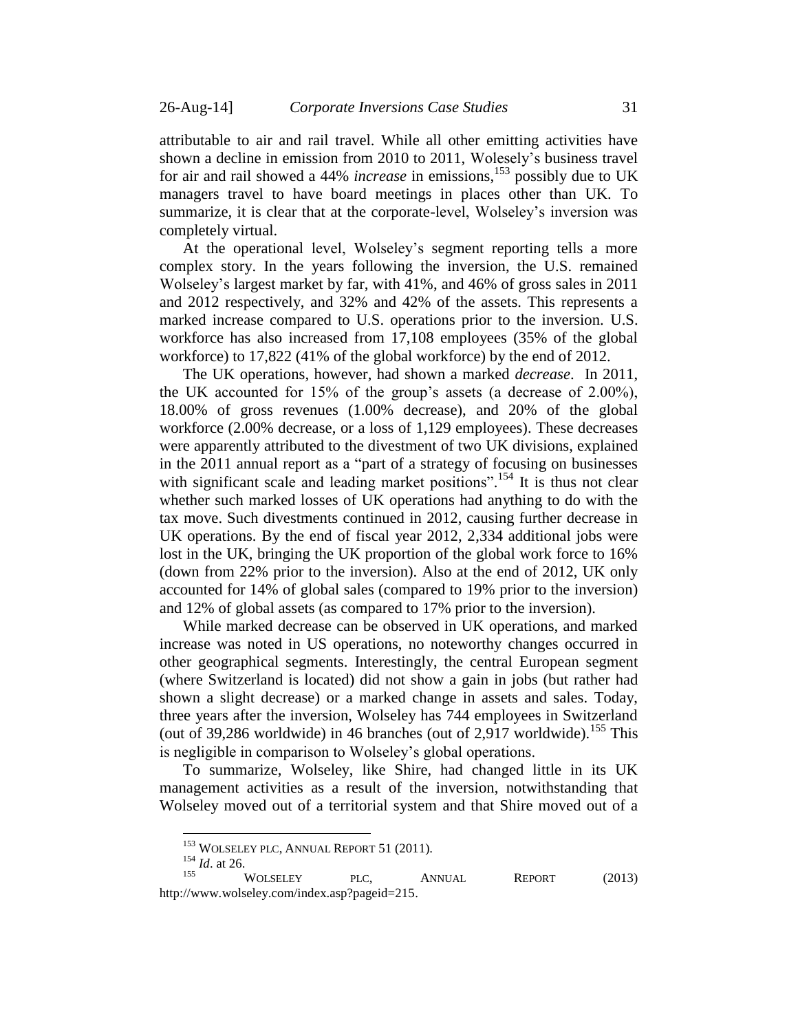attributable to air and rail travel. While all other emitting activities have shown a decline in emission from 2010 to 2011, Wolesely's business travel for air and rail showed a 44% *increase* in emissions, <sup>153</sup> possibly due to UK managers travel to have board meetings in places other than UK. To summarize, it is clear that at the corporate-level, Wolseley's inversion was completely virtual.

At the operational level, Wolseley's segment reporting tells a more complex story. In the years following the inversion, the U.S. remained Wolseley's largest market by far, with 41%, and 46% of gross sales in 2011 and 2012 respectively, and 32% and 42% of the assets. This represents a marked increase compared to U.S. operations prior to the inversion. U.S. workforce has also increased from 17,108 employees (35% of the global workforce) to 17,822 (41% of the global workforce) by the end of 2012.

The UK operations, however, had shown a marked *decrease*. In 2011, the UK accounted for 15% of the group's assets (a decrease of 2.00%), 18.00% of gross revenues (1.00% decrease), and 20% of the global workforce (2.00% decrease, or a loss of 1,129 employees). These decreases were apparently attributed to the divestment of two UK divisions, explained in the 2011 annual report as a "part of a strategy of focusing on businesses with significant scale and leading market positions".<sup>154</sup> It is thus not clear whether such marked losses of UK operations had anything to do with the tax move. Such divestments continued in 2012, causing further decrease in UK operations. By the end of fiscal year 2012, 2,334 additional jobs were lost in the UK, bringing the UK proportion of the global work force to 16% (down from 22% prior to the inversion). Also at the end of 2012, UK only accounted for 14% of global sales (compared to 19% prior to the inversion) and 12% of global assets (as compared to 17% prior to the inversion).

While marked decrease can be observed in UK operations, and marked increase was noted in US operations, no noteworthy changes occurred in other geographical segments. Interestingly, the central European segment (where Switzerland is located) did not show a gain in jobs (but rather had shown a slight decrease) or a marked change in assets and sales. Today, three years after the inversion, Wolseley has 744 employees in Switzerland (out of 39,286 worldwide) in 46 branches (out of 2,917 worldwide).<sup>155</sup> This is negligible in comparison to Wolseley's global operations.

To summarize, Wolseley, like Shire, had changed little in its UK management activities as a result of the inversion, notwithstanding that Wolseley moved out of a territorial system and that Shire moved out of a

<sup>&</sup>lt;sup>153</sup> WOLSELEY PLC, ANNUAL REPORT 51 (2011).

 $\frac{154}{155}$  *Id.* at 26.

<sup>&</sup>lt;sup>155</sup> WOLSELEY PLC, ANNUAL REPORT (2013) http://www.wolseley.com/index.asp?pageid=215.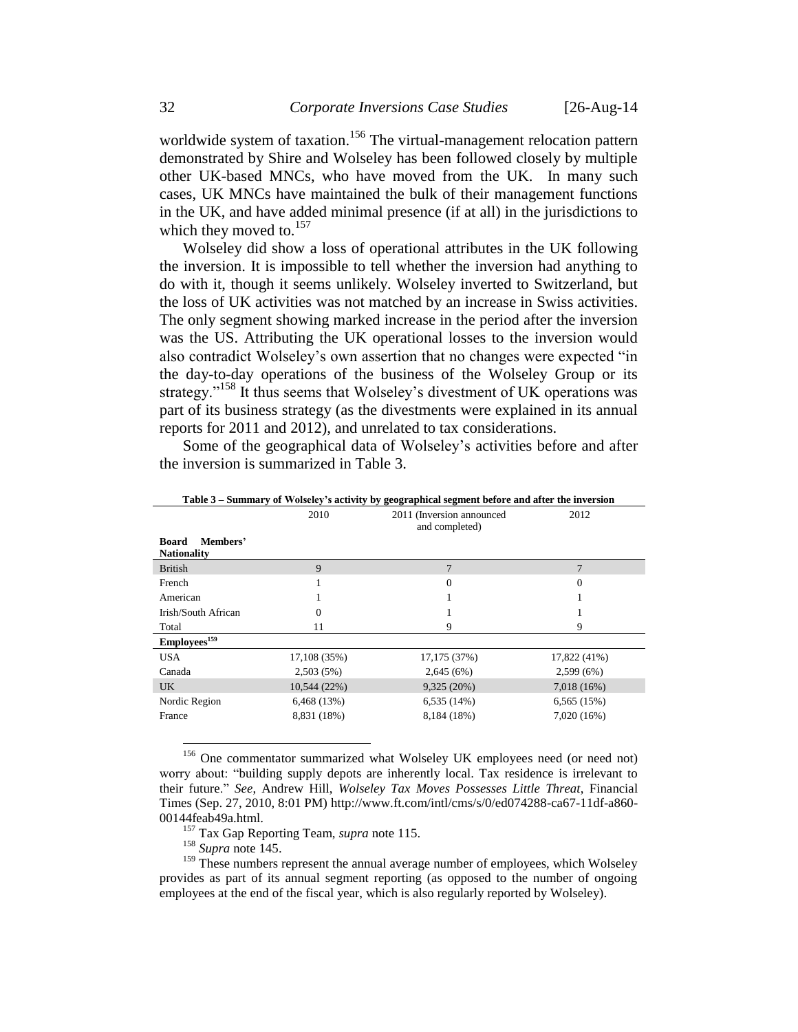worldwide system of taxation.<sup>156</sup> The virtual-management relocation pattern demonstrated by Shire and Wolseley has been followed closely by multiple other UK-based MNCs, who have moved from the UK. In many such cases, UK MNCs have maintained the bulk of their management functions in the UK, and have added minimal presence (if at all) in the jurisdictions to which they moved to. $157$ 

Wolseley did show a loss of operational attributes in the UK following the inversion. It is impossible to tell whether the inversion had anything to do with it, though it seems unlikely. Wolseley inverted to Switzerland, but the loss of UK activities was not matched by an increase in Swiss activities. The only segment showing marked increase in the period after the inversion was the US. Attributing the UK operational losses to the inversion would also contradict Wolseley's own assertion that no changes were expected "in the day-to-day operations of the business of the Wolseley Group or its strategy."<sup>158</sup> It thus seems that Wolseley's divestment of UK operations was part of its business strategy (as the divestments were explained in its annual reports for 2011 and 2012), and unrelated to tax considerations.

Some of the geographical data of Wolseley's activities before and after the inversion is summarized in Table 3.

| Table 3 – Summary of Wolseley's activity by geographical segment before and after the inversion |              |                                             |                |  |  |
|-------------------------------------------------------------------------------------------------|--------------|---------------------------------------------|----------------|--|--|
|                                                                                                 | 2010         | 2011 (Inversion announced<br>and completed) | 2012           |  |  |
| Members'<br><b>Board</b><br><b>Nationality</b>                                                  |              |                                             |                |  |  |
| <b>British</b>                                                                                  | 9            | $\overline{7}$                              | $\overline{7}$ |  |  |
| French                                                                                          |              | $\Omega$                                    | $\theta$       |  |  |
| American                                                                                        |              |                                             |                |  |  |
| Irish/South African                                                                             | $\Omega$     |                                             |                |  |  |
| Total                                                                                           | 11           | 9                                           | 9              |  |  |
| Employees <sup>159</sup>                                                                        |              |                                             |                |  |  |
| <b>USA</b>                                                                                      | 17,108 (35%) | 17,175 (37%)                                | 17,822 (41%)   |  |  |
| Canada                                                                                          | 2,503(5%)    | 2,645(6%)                                   | $2,599(6\%)$   |  |  |
| UK.                                                                                             | 10,544(22%)  | 9,325(20%)                                  | $7,018(16\%)$  |  |  |
| Nordic Region                                                                                   | 6,468(13%)   | 6,535(14%)                                  | 6,565(15%)     |  |  |
| France                                                                                          | 8,831 (18%)  | 8,184 (18%)                                 | 7,020(16%)     |  |  |

**Table 3 – Summary of Wolseley's activity by geographical segment before and after the inversion**

<sup>156</sup> One commentator summarized what Wolseley UK employees need (or need not) worry about: "building supply depots are inherently local. Tax residence is irrelevant to their future." *See*, Andrew Hill, *Wolseley Tax Moves Possesses Little Threat*, Financial Times (Sep. 27, 2010, 8:01 PM) http://www.ft.com/intl/cms/s/0/ed074288-ca67-11df-a860- 00144feab49a.html.

<sup>157</sup> Tax Gap Reporting Team, *supra* note [115.](#page-23-0)

<sup>158</sup> *Supra* note [145.](#page-29-0)

 $\overline{a}$ 

 $159$  These numbers represent the annual average number of employees, which Wolseley provides as part of its annual segment reporting (as opposed to the number of ongoing employees at the end of the fiscal year, which is also regularly reported by Wolseley).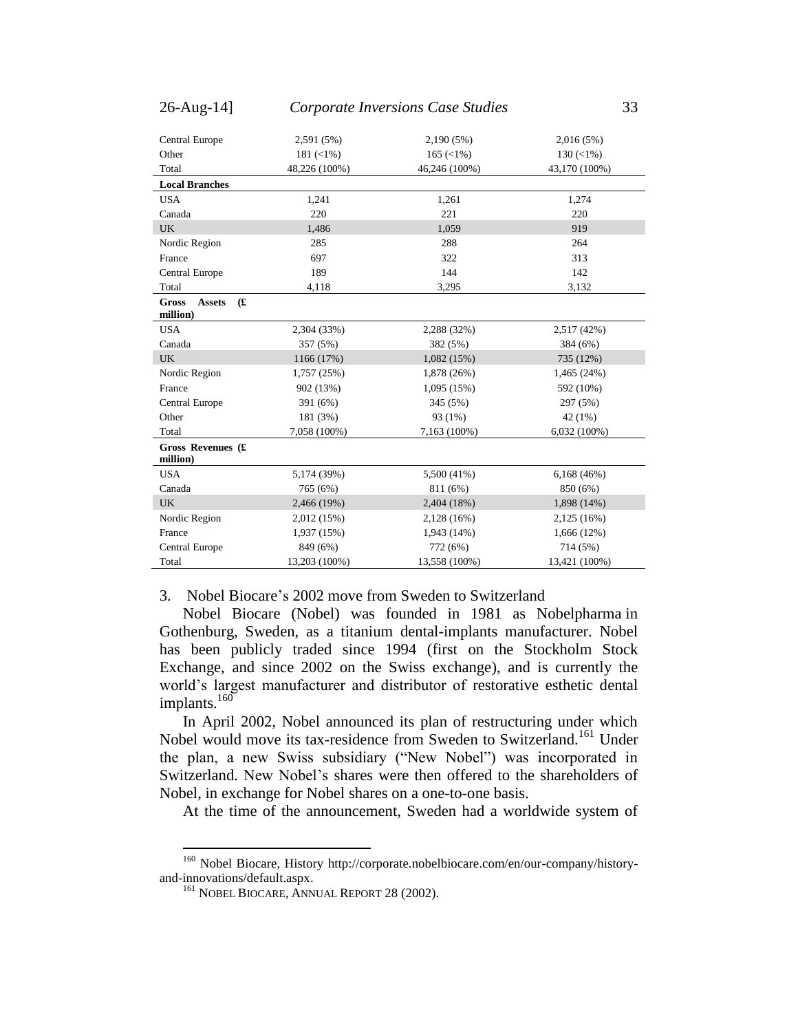| Central Europe                                    | 2,591 (5%)    | 2,190 (5%)                       | 2,016(5%)           |
|---------------------------------------------------|---------------|----------------------------------|---------------------|
| Other                                             | $181 (< 1\%)$ | $165 \left( \frac{1}{6} \right)$ | $130 \, (\leq 1\%)$ |
| Total                                             | 48,226 (100%) | 46,246 (100%)                    | 43,170 (100%)       |
| <b>Local Branches</b>                             |               |                                  |                     |
| <b>USA</b>                                        | 1,241         | 1,261                            | 1,274               |
| Canada                                            | 220           | 221                              | 220                 |
| <b>UK</b>                                         | 1,486         | 1,059                            | 919                 |
| Nordic Region                                     | 285           | 288                              | 264                 |
| France                                            | 697           | 322                              | 313                 |
| Central Europe                                    | 189           | 144                              | 142                 |
| Total                                             | 4,118         | 3,295                            | 3,132               |
| f(x)<br><b>Gross</b><br><b>Assets</b><br>million) |               |                                  |                     |
| <b>USA</b>                                        | 2,304 (33%)   | 2,288 (32%)                      | 2,517 (42%)         |
| Canada                                            | 357 (5%)      | 382 (5%)                         | 384 (6%)            |
| <b>UK</b>                                         | 1166 (17%)    | 1,082(15%)                       | 735 (12%)           |
| Nordic Region                                     | 1,757 (25%)   | 1,878 (26%)                      | 1,465 (24%)         |
| France                                            | 902 (13%)     | 1,095(15%)                       | 592 (10%)           |
| Central Europe                                    | 391 (6%)      | 345 (5%)                         | 297 (5%)            |
| Other                                             | 181 (3%)      | 93 (1%)                          | 42 (1%)             |
| Total                                             | 7,058 (100%)  | 7,163 (100%)                     | $6,032(100\%)$      |
| Gross Revenues (£<br>million)                     |               |                                  |                     |
| <b>USA</b>                                        | 5,174 (39%)   | 5,500 (41%)                      | 6,168(46%)          |
| Canada                                            | 765 (6%)      | 811 (6%)                         | 850 (6%)            |
| <b>UK</b>                                         | 2,466 (19%)   | 2,404 (18%)                      | 1,898 (14%)         |
| Nordic Region                                     | 2,012 (15%)   | 2,128 (16%)                      | 2,125(16%)          |
| France                                            | 1,937 (15%)   | 1,943 (14%)                      | 1,666 (12%)         |
| Central Europe                                    | 849 (6%)      | 772 (6%)                         | 714 (5%)            |
| Total                                             | 13,203 (100%) | 13,558 (100%)                    | 13,421 (100%)       |

<span id="page-32-0"></span>3. Nobel Biocare's 2002 move from Sweden to Switzerland

Nobel Biocare (Nobel) was founded in 1981 as Nobelpharma in Gothenburg, Sweden, as a titanium dental-implants manufacturer. Nobel has been publicly traded since 1994 (first on the Stockholm Stock Exchange, and since 2002 on the Swiss exchange), and is currently the world's largest manufacturer and distributor of restorative esthetic dental implants. $160^\circ$ 

In April 2002, Nobel announced its plan of restructuring under which Nobel would move its tax-residence from Sweden to Switzerland.<sup>161</sup> Under the plan, a new Swiss subsidiary ("New Nobel") was incorporated in Switzerland. New Nobel's shares were then offered to the shareholders of Nobel, in exchange for Nobel shares on a one-to-one basis.

At the time of the announcement, Sweden had a worldwide system of

<sup>&</sup>lt;sup>160</sup> Nobel Biocare, History http://corporate.nobelbiocare.com/en/our-company/historyand-innovations/default.aspx.

<sup>&</sup>lt;sup>161</sup> NOBEL BIOCARE, ANNUAL REPORT 28 (2002).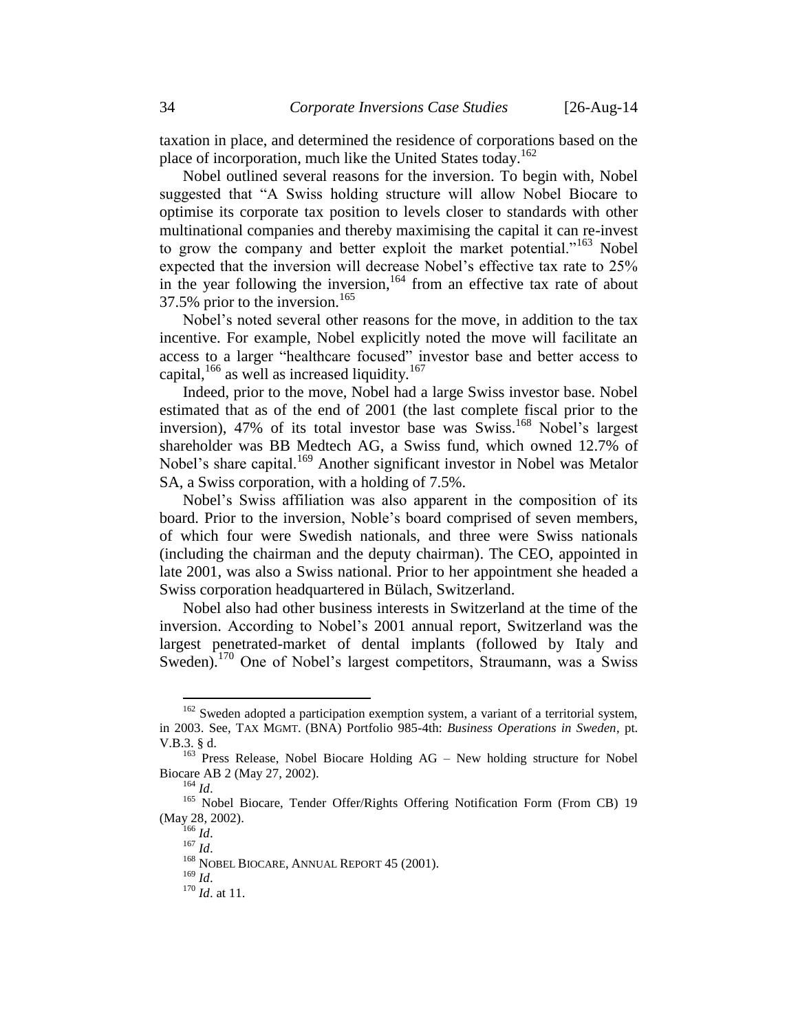taxation in place, and determined the residence of corporations based on the place of incorporation, much like the United States today.<sup>162</sup>

<span id="page-33-0"></span>Nobel outlined several reasons for the inversion. To begin with, Nobel suggested that "A Swiss holding structure will allow Nobel Biocare to optimise its corporate tax position to levels closer to standards with other multinational companies and thereby maximising the capital it can re-invest to grow the company and better exploit the market potential."<sup>163</sup> Nobel expected that the inversion will decrease Nobel's effective tax rate to 25% in the year following the inversion,  $164$  from an effective tax rate of about 37.5% prior to the inversion.<sup>165</sup>

<span id="page-33-1"></span>Nobel's noted several other reasons for the move, in addition to the tax incentive. For example, Nobel explicitly noted the move will facilitate an access to a larger "healthcare focused" investor base and better access to capital,  $166$  as well as increased liquidity.<sup>167</sup>

Indeed, prior to the move, Nobel had a large Swiss investor base. Nobel estimated that as of the end of 2001 (the last complete fiscal prior to the inversion), 47% of its total investor base was Swiss.<sup>168</sup> Nobel's largest shareholder was BB Medtech AG, a Swiss fund, which owned 12.7% of Nobel's share capital.<sup>169</sup> Another significant investor in Nobel was Metalor SA, a Swiss corporation, with a holding of 7.5%.

Nobel's Swiss affiliation was also apparent in the composition of its board. Prior to the inversion, Noble's board comprised of seven members, of which four were Swedish nationals, and three were Swiss nationals (including the chairman and the deputy chairman). The CEO, appointed in late 2001, was also a Swiss national. Prior to her appointment she headed a Swiss corporation headquartered in Bülach, Switzerland.

Nobel also had other business interests in Switzerland at the time of the inversion. According to Nobel's 2001 annual report, Switzerland was the largest penetrated-market of dental implants (followed by Italy and Sweden).<sup>170</sup> One of Nobel's largest competitors, Straumann, was a Swiss

 $162$  Sweden adopted a participation exemption system, a variant of a territorial system, in 2003. See, TAX MGMT. (BNA) Portfolio 985-4th: *Business Operations in Sweden*, pt. V.B.3. § d.

<sup>&</sup>lt;sup>163</sup> Press Release, Nobel Biocare Holding AG – New holding structure for Nobel Biocare AB 2 (May 27, 2002).

<sup>164</sup> *Id*.

<sup>&</sup>lt;sup>165</sup> Nobel Biocare, Tender Offer/Rights Offering Notification Form (From CB) 19 (May 28, 2002).

<sup>166</sup> *Id*.

<sup>167</sup> *Id*.

<sup>&</sup>lt;sup>168</sup> NOBEL BIOCARE, ANNUAL REPORT 45 (2001).

<sup>169</sup> *Id*.

<sup>170</sup> *Id*. at 11.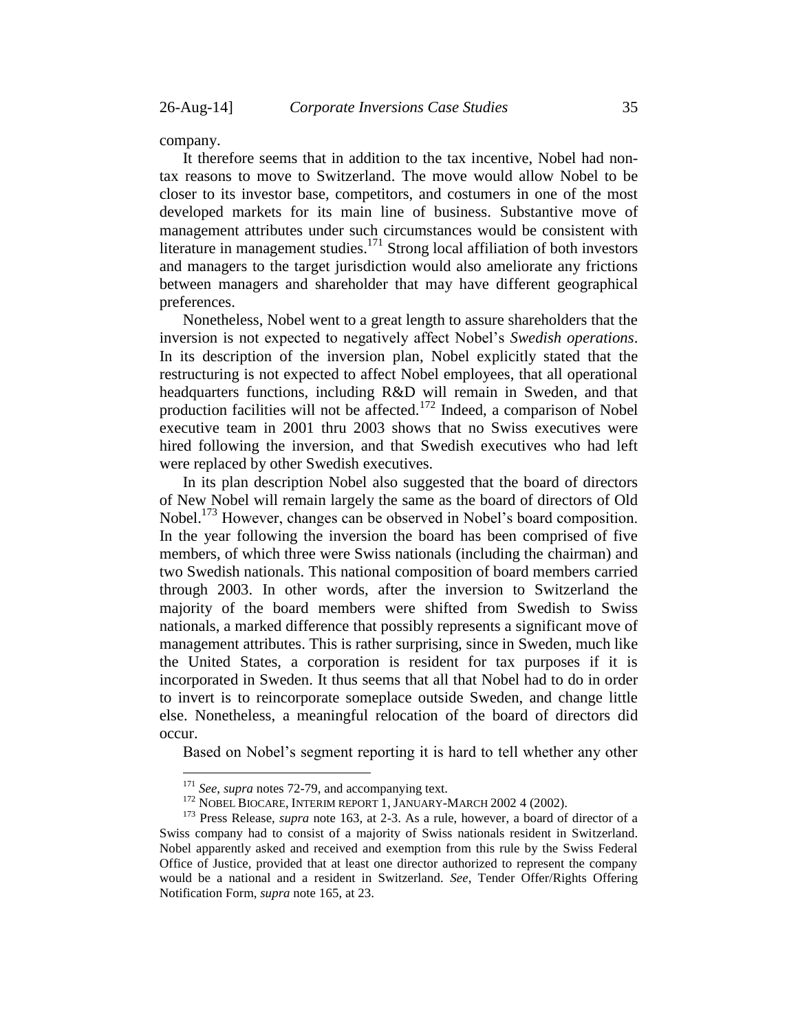company.

 $\overline{a}$ 

It therefore seems that in addition to the tax incentive, Nobel had nontax reasons to move to Switzerland. The move would allow Nobel to be closer to its investor base, competitors, and costumers in one of the most developed markets for its main line of business. Substantive move of management attributes under such circumstances would be consistent with literature in management studies. $171$  Strong local affiliation of both investors and managers to the target jurisdiction would also ameliorate any frictions between managers and shareholder that may have different geographical preferences.

Nonetheless, Nobel went to a great length to assure shareholders that the inversion is not expected to negatively affect Nobel's *Swedish operations*. In its description of the inversion plan, Nobel explicitly stated that the restructuring is not expected to affect Nobel employees, that all operational headquarters functions, including R&D will remain in Sweden, and that production facilities will not be affected.<sup>172</sup> Indeed, a comparison of Nobel executive team in 2001 thru 2003 shows that no Swiss executives were hired following the inversion, and that Swedish executives who had left were replaced by other Swedish executives.

In its plan description Nobel also suggested that the board of directors of New Nobel will remain largely the same as the board of directors of Old Nobel.<sup>173</sup> However, changes can be observed in Nobel's board composition. In the year following the inversion the board has been comprised of five members, of which three were Swiss nationals (including the chairman) and two Swedish nationals. This national composition of board members carried through 2003. In other words, after the inversion to Switzerland the majority of the board members were shifted from Swedish to Swiss nationals, a marked difference that possibly represents a significant move of management attributes. This is rather surprising, since in Sweden, much like the United States, a corporation is resident for tax purposes if it is incorporated in Sweden. It thus seems that all that Nobel had to do in order to invert is to reincorporate someplace outside Sweden, and change little else. Nonetheless, a meaningful relocation of the board of directors did occur.

Based on Nobel's segment reporting it is hard to tell whether any other

<sup>171</sup> *See*, *supra* notes [72-](#page-13-0)[79,](#page-14-1) and accompanying text.

<sup>&</sup>lt;sup>172</sup> NOBEL BIOCARE, INTERIM REPORT 1, JANUARY-MARCH 2002 4 (2002).

<sup>173</sup> Press Release, *supra* note [163,](#page-33-0) at 2-3. As a rule, however, a board of director of a Swiss company had to consist of a majority of Swiss nationals resident in Switzerland. Nobel apparently asked and received and exemption from this rule by the Swiss Federal Office of Justice, provided that at least one director authorized to represent the company would be a national and a resident in Switzerland. *See*, Tender Offer/Rights Offering Notification Form, *supra* note [165,](#page-33-1) at 23.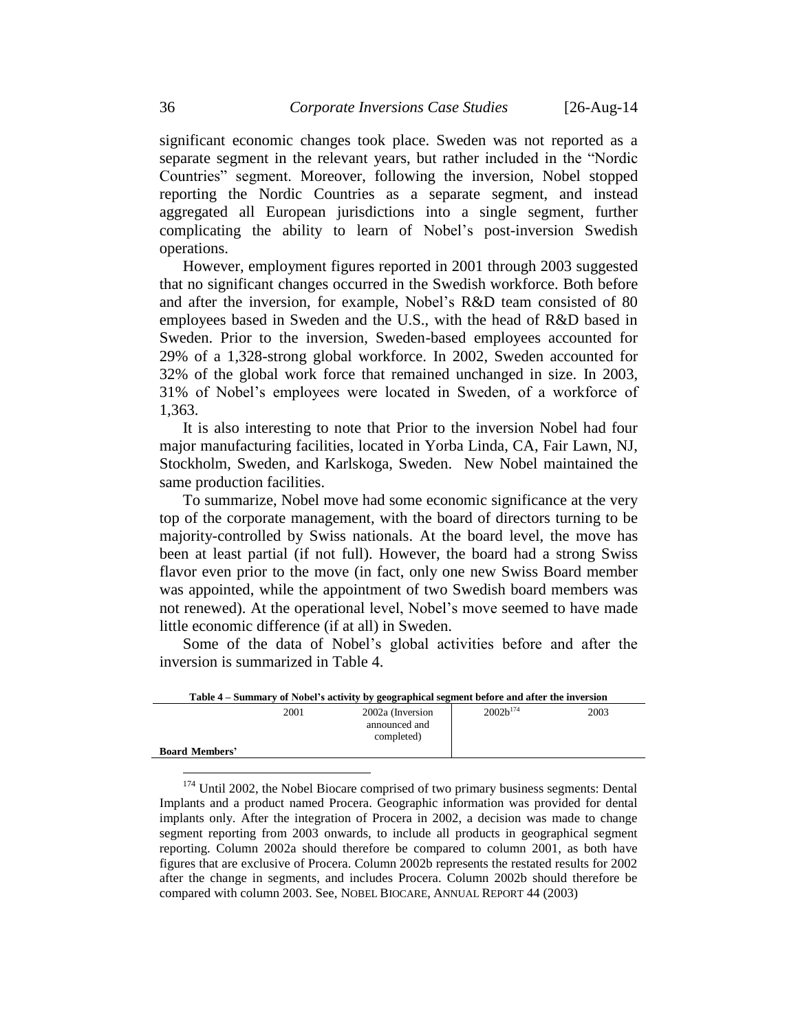significant economic changes took place. Sweden was not reported as a separate segment in the relevant years, but rather included in the "Nordic Countries" segment. Moreover, following the inversion, Nobel stopped reporting the Nordic Countries as a separate segment, and instead aggregated all European jurisdictions into a single segment, further complicating the ability to learn of Nobel's post-inversion Swedish operations.

However, employment figures reported in 2001 through 2003 suggested that no significant changes occurred in the Swedish workforce. Both before and after the inversion, for example, Nobel's R&D team consisted of 80 employees based in Sweden and the U.S., with the head of R&D based in Sweden. Prior to the inversion, Sweden-based employees accounted for 29% of a 1,328-strong global workforce. In 2002, Sweden accounted for 32% of the global work force that remained unchanged in size. In 2003, 31% of Nobel's employees were located in Sweden, of a workforce of 1,363.

It is also interesting to note that Prior to the inversion Nobel had four major manufacturing facilities, located in Yorba Linda, CA, Fair Lawn, NJ, Stockholm, Sweden, and Karlskoga, Sweden. New Nobel maintained the same production facilities.

To summarize, Nobel move had some economic significance at the very top of the corporate management, with the board of directors turning to be majority-controlled by Swiss nationals. At the board level, the move has been at least partial (if not full). However, the board had a strong Swiss flavor even prior to the move (in fact, only one new Swiss Board member was appointed, while the appointment of two Swedish board members was not renewed). At the operational level, Nobel's move seemed to have made little economic difference (if at all) in Sweden.

Some of the data of Nobel's global activities before and after the inversion is summarized in Table 4.

| Table 4 – Summary of Nobel's activity by geographical segment before and after the inversion |      |                                                 |               |      |
|----------------------------------------------------------------------------------------------|------|-------------------------------------------------|---------------|------|
| <b>Board Members'</b>                                                                        | 2001 | 2002a (Inversion<br>announced and<br>completed) | $2002h^{174}$ | 2003 |
|                                                                                              |      |                                                 |               |      |

<sup>&</sup>lt;sup>174</sup> Until 2002, the Nobel Biocare comprised of two primary business segments: Dental Implants and a product named Procera. Geographic information was provided for dental implants only. After the integration of Procera in 2002, a decision was made to change segment reporting from 2003 onwards, to include all products in geographical segment reporting. Column 2002a should therefore be compared to column 2001, as both have figures that are exclusive of Procera. Column 2002b represents the restated results for 2002 after the change in segments, and includes Procera. Column 2002b should therefore be compared with column 2003. See, NOBEL BIOCARE, ANNUAL REPORT 44 (2003)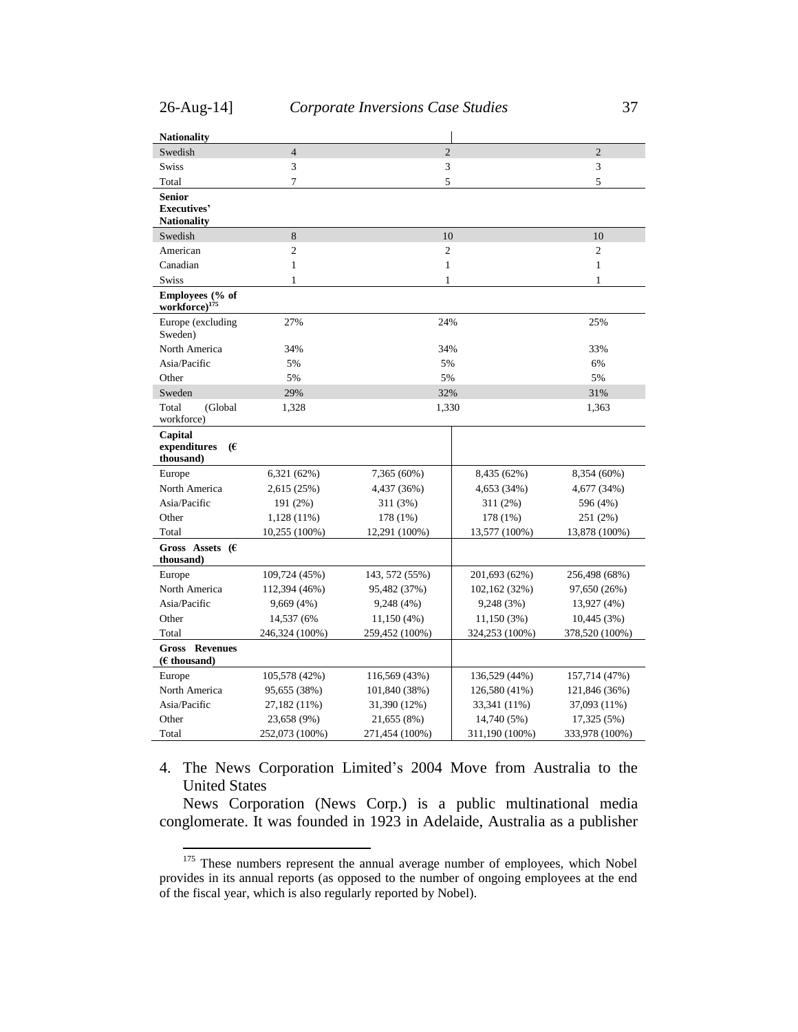$\overline{a}$ 

| <b>Nationality</b>                                        |                                  |                |                |                |
|-----------------------------------------------------------|----------------------------------|----------------|----------------|----------------|
| Swedish                                                   | $\overline{4}$<br>$\overline{2}$ |                |                | $\overline{2}$ |
| <b>Swiss</b>                                              | 3                                | 3              |                | 3              |
| Total                                                     | $\overline{7}$                   | 5              |                | 5              |
| <b>Senior</b><br><b>Executives'</b><br><b>Nationality</b> |                                  |                |                |                |
| Swedish                                                   | 8                                | 10             |                | 10             |
| American                                                  | $\overline{2}$                   | $\overline{2}$ |                | $\overline{c}$ |
| Canadian                                                  | $\mathbf{1}$                     | $\mathbf{1}$   |                | $\mathbf{1}$   |
| Swiss                                                     | 1                                | 1              |                | 1              |
| Employees (% of<br>workforce) <sup>175</sup>              |                                  |                |                |                |
| Europe (excluding<br>Sweden)                              | 27%                              | 24%            |                | 25%            |
| North America                                             | 34%                              | 34%            |                | 33%            |
| Asia/Pacific                                              | 5%                               | 5%             |                | 6%             |
| Other                                                     | 5%                               | 5%             |                | 5%             |
| Sweden                                                    | 29%                              | 32%            |                | 31%            |
| Total<br>(Global<br>workforce)                            | 1,328                            | 1,330          |                | 1,363          |
| Capital<br>expenditures<br>€<br>thousand)                 |                                  |                |                |                |
| Europe                                                    | 6,321 (62%)                      | 7,365 (60%)    | 8,435 (62%)    | 8,354 (60%)    |
| North America                                             | 2,615 (25%)                      | 4,437 (36%)    | 4,653 (34%)    | 4,677 (34%)    |
| Asia/Pacific                                              | 191 (2%)                         | 311 (3%)       | 311 (2%)       | 596 (4%)       |
| Other                                                     | 1,128 (11%)                      | 178 (1%)       | 178 (1%)       | 251 (2%)       |
| Total                                                     | 10,255 (100%)                    | 12,291 (100%)  | 13,577 (100%)  | 13,878 (100%)  |
| Gross Assets $(E)$<br>thousand)                           |                                  |                |                |                |
| Europe                                                    | 109,724 (45%)                    | 143, 572 (55%) | 201,693 (62%)  | 256,498 (68%)  |
| North America                                             | 112,394 (46%)                    | 95,482 (37%)   | 102,162 (32%)  | 97,650 (26%)   |
| Asia/Pacific                                              | 9,669 (4%)                       | 9,248 (4%)     | 9,248 (3%)     | 13,927 (4%)    |
| Other                                                     | 14,537 (6%)                      | 11,150 (4%)    | 11,150(3%)     | 10,445 (3%)    |
| Total                                                     | 246,324 (100%)                   | 259,452 (100%) | 324,253 (100%) | 378,520 (100%) |
| <b>Revenues</b><br>Gross<br>$(E$ thousand)                |                                  |                |                |                |
| Europe                                                    | 105,578 (42%)                    | 116,569 (43%)  | 136,529 (44%)  | 157,714 (47%)  |
| North America                                             | 95,655 (38%)                     | 101,840 (38%)  | 126,580 (41%)  | 121,846 (36%)  |
| Asia/Pacific                                              | 27,182 (11%)                     | 31,390 (12%)   | 33,341 (11%)   | 37,093 (11%)   |
| Other                                                     | 23,658 (9%)                      | 21,655 (8%)    | 14,740 (5%)    | 17,325 (5%)    |
| Total                                                     | 252,073 (100%)                   | 271,454 (100%) | 311,190 (100%) | 333,978 (100%) |

<span id="page-36-0"></span>4. The News Corporation Limited's 2004 Move from Australia to the United States

News Corporation (News Corp.) is a public multinational media conglomerate. It was founded in 1923 in Adelaide, Australia as a publisher

<sup>&</sup>lt;sup>175</sup> These numbers represent the annual average number of employees, which Nobel provides in its annual reports (as opposed to the number of ongoing employees at the end of the fiscal year, which is also regularly reported by Nobel).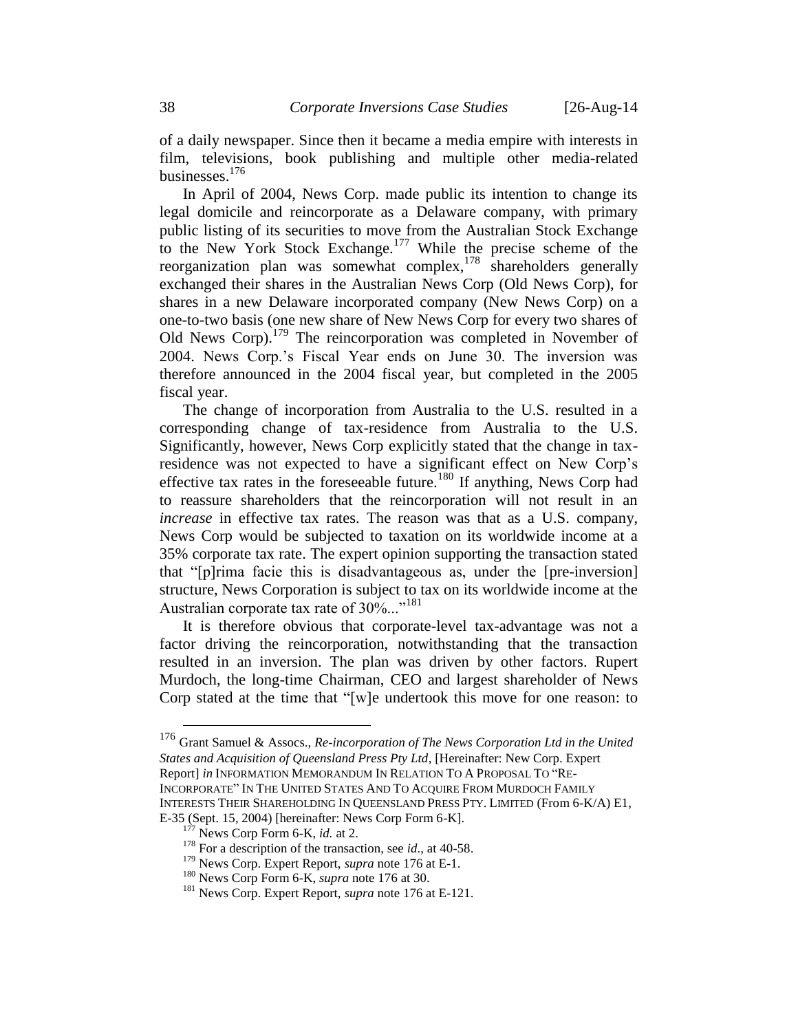of a daily newspaper. Since then it became a media empire with interests in film, televisions, book publishing and multiple other media-related businesses. 176

<span id="page-37-0"></span>In April of 2004, News Corp. made public its intention to change its legal domicile and reincorporate as a Delaware company, with primary public listing of its securities to move from the Australian Stock Exchange to the New York Stock Exchange.<sup>177</sup> While the precise scheme of the reorganization plan was somewhat complex,<sup>178</sup> shareholders generally exchanged their shares in the Australian News Corp (Old News Corp), for shares in a new Delaware incorporated company (New News Corp) on a one-to-two basis (one new share of New News Corp for every two shares of Old News Corp).<sup>179</sup> The reincorporation was completed in November of 2004. News Corp.'s Fiscal Year ends on June 30. The inversion was therefore announced in the 2004 fiscal year, but completed in the 2005 fiscal year.

The change of incorporation from Australia to the U.S. resulted in a corresponding change of tax-residence from Australia to the U.S. Significantly, however, News Corp explicitly stated that the change in taxresidence was not expected to have a significant effect on New Corp's effective tax rates in the foreseeable future.<sup>180</sup> If anything, News Corp had to reassure shareholders that the reincorporation will not result in an *increase* in effective tax rates. The reason was that as a U.S. company, News Corp would be subjected to taxation on its worldwide income at a 35% corporate tax rate. The expert opinion supporting the transaction stated that "[p]rima facie this is disadvantageous as, under the [pre-inversion] structure, News Corporation is subject to tax on its worldwide income at the Australian corporate tax rate of 30%..."<sup>181</sup>

It is therefore obvious that corporate-level tax-advantage was not a factor driving the reincorporation, notwithstanding that the transaction resulted in an inversion. The plan was driven by other factors. Rupert Murdoch, the long-time Chairman, CEO and largest shareholder of News Corp stated at the time that "[w]e undertook this move for one reason: to

<sup>176</sup> Grant Samuel & Assocs., *Re-incorporation of The News Corporation Ltd in the United States and Acquisition of Queensland Press Pty Ltd*, [Hereinafter: New Corp. Expert Report] *in* INFORMATION MEMORANDUM IN RELATION TO A PROPOSAL TO "RE-INCORPORATE" IN THE UNITED STATES AND TO ACQUIRE FROM MURDOCH FAMILY INTERESTS THEIR SHAREHOLDING IN QUEENSLAND PRESS PTY. LIMITED (From 6-K/A) E1,

E-35 (Sept. 15, 2004) [hereinafter: News Corp Form 6-K].

 $<sup>7</sup>$  News Corp Form 6-K, *id.* at 2.</sup>

<sup>&</sup>lt;sup>178</sup> For a description of the transaction, see *id.*, at 40-58.

<sup>179</sup> News Corp. Expert Report, *supra* note [176](#page-37-0) at E-1.

<sup>180</sup> News Corp Form 6-K, *supra* note [176](#page-37-0) at 30.

<sup>181</sup> News Corp. Expert Report, *supra* note [176](#page-37-0) at E-121.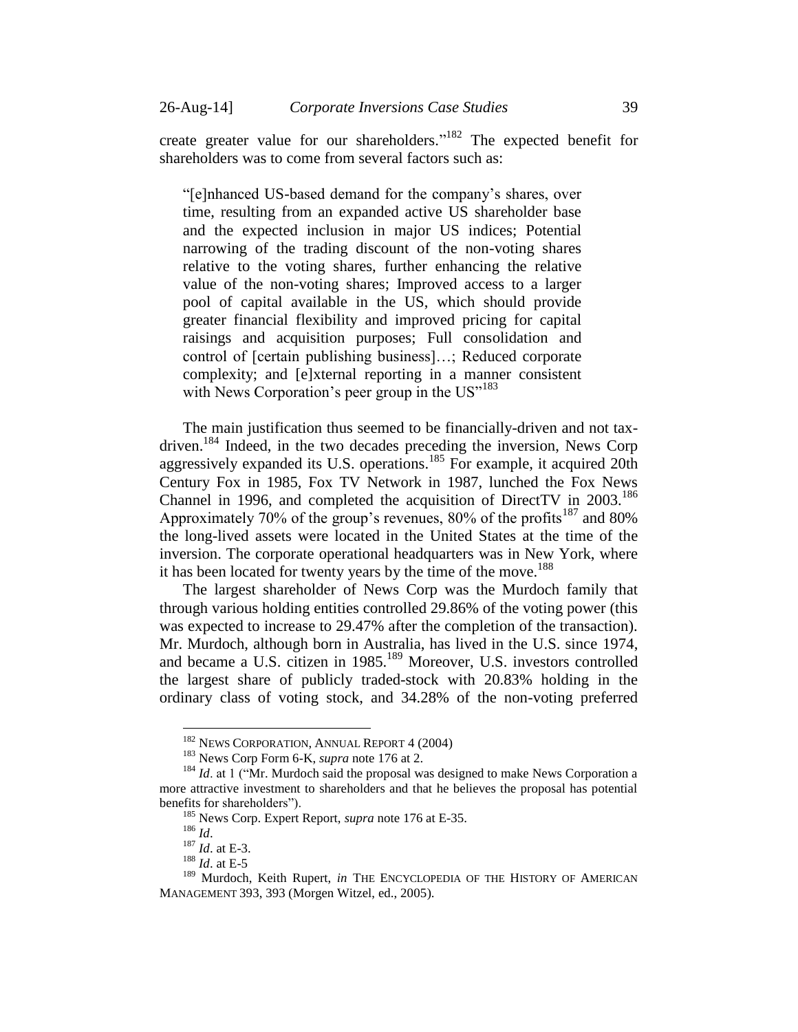create greater value for our shareholders."<sup>182</sup> The expected benefit for shareholders was to come from several factors such as:

"[e]nhanced US-based demand for the company's shares, over time, resulting from an expanded active US shareholder base and the expected inclusion in major US indices; Potential narrowing of the trading discount of the non-voting shares relative to the voting shares, further enhancing the relative value of the non-voting shares; Improved access to a larger pool of capital available in the US, which should provide greater financial flexibility and improved pricing for capital raisings and acquisition purposes; Full consolidation and control of [certain publishing business]…; Reduced corporate complexity; and [e]xternal reporting in a manner consistent with News Corporation's peer group in the  $US''^{183}$ 

The main justification thus seemed to be financially-driven and not taxdriven.<sup>184</sup> Indeed, in the two decades preceding the inversion, News Corp aggressively expanded its U.S. operations.<sup>185</sup> For example, it acquired 20th Century Fox in 1985, Fox TV Network in 1987, lunched the Fox News Channel in 1996, and completed the acquisition of DirectTV in 2003.<sup>186</sup> Approximately 70% of the group's revenues, 80% of the profits<sup>187</sup> and 80% the long-lived assets were located in the United States at the time of the inversion. The corporate operational headquarters was in New York, where it has been located for twenty years by the time of the move.<sup>188</sup>

The largest shareholder of News Corp was the Murdoch family that through various holding entities controlled 29.86% of the voting power (this was expected to increase to 29.47% after the completion of the transaction). Mr. Murdoch, although born in Australia, has lived in the U.S. since 1974, and became a U.S. citizen in 1985.<sup>189</sup> Moreover, U.S. investors controlled the largest share of publicly traded-stock with 20.83% holding in the ordinary class of voting stock, and 34.28% of the non-voting preferred

<sup>&</sup>lt;sup>182</sup> NEWS CORPORATION, ANNUAL REPORT 4 (2004)

<sup>183</sup> News Corp Form 6-K, *supra* note [176](#page-37-0) at 2.

<sup>&</sup>lt;sup>184</sup> *Id.* at 1 ("Mr. Murdoch said the proposal was designed to make News Corporation a more attractive investment to shareholders and that he believes the proposal has potential benefits for shareholders").

<sup>185</sup> News Corp. Expert Report, *supra* note [176](#page-37-0) at E-35.

<sup>186</sup> *Id*.

<sup>187</sup> *Id*. at E-3.

<sup>188</sup> *Id*. at E-5

<sup>&</sup>lt;sup>189</sup> Murdoch, Keith Rupert, *in* THE ENCYCLOPEDIA OF THE HISTORY OF AMERICAN MANAGEMENT 393, 393 (Morgen Witzel, ed., 2005).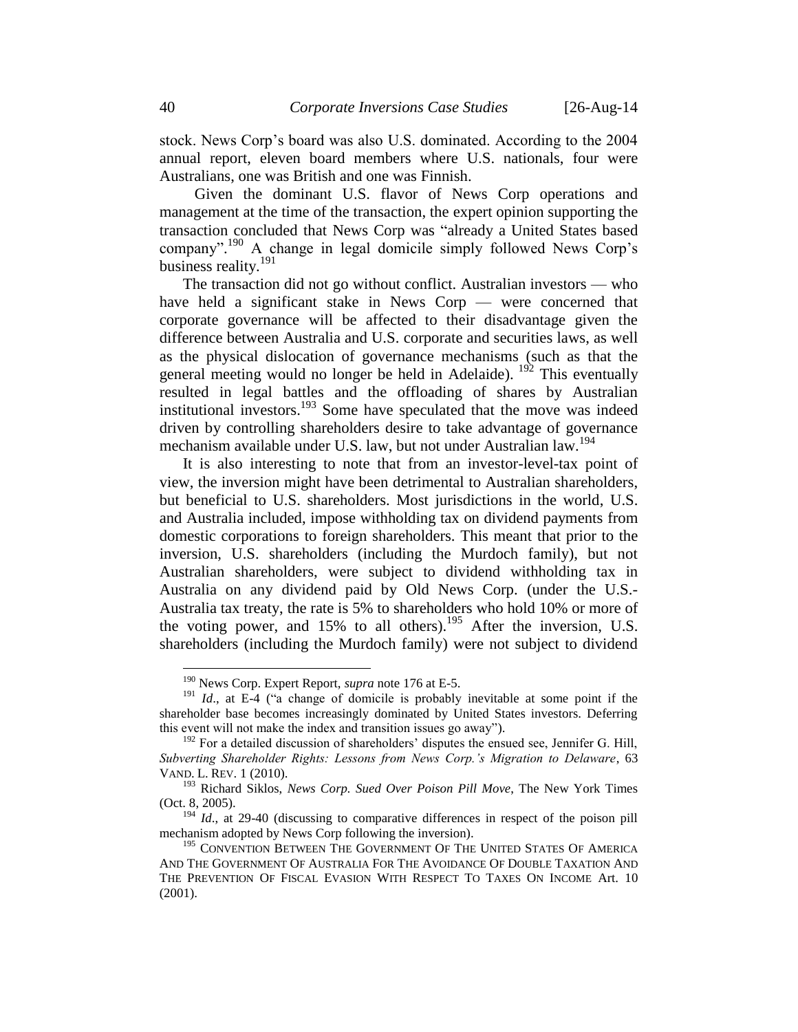stock. News Corp's board was also U.S. dominated. According to the 2004 annual report, eleven board members where U.S. nationals, four were Australians, one was British and one was Finnish.

 Given the dominant U.S. flavor of News Corp operations and management at the time of the transaction, the expert opinion supporting the transaction concluded that News Corp was "already a United States based company".<sup>190</sup> A change in legal domicile simply followed News Corp's business reality.<sup>191</sup>

<span id="page-39-0"></span>The transaction did not go without conflict. Australian investors — who have held a significant stake in News Corp — were concerned that corporate governance will be affected to their disadvantage given the difference between Australia and U.S. corporate and securities laws, as well as the physical dislocation of governance mechanisms (such as that the general meeting would no longer be held in Adelaide).  $^{192}$  This eventually resulted in legal battles and the offloading of shares by Australian institutional investors.<sup>193</sup> Some have speculated that the move was indeed driven by controlling shareholders desire to take advantage of governance mechanism available under U.S. law, but not under Australian law.<sup>194</sup>

It is also interesting to note that from an investor-level-tax point of view, the inversion might have been detrimental to Australian shareholders, but beneficial to U.S. shareholders. Most jurisdictions in the world, U.S. and Australia included, impose withholding tax on dividend payments from domestic corporations to foreign shareholders. This meant that prior to the inversion, U.S. shareholders (including the Murdoch family), but not Australian shareholders, were subject to dividend withholding tax in Australia on any dividend paid by Old News Corp. (under the U.S.- Australia tax treaty, the rate is 5% to shareholders who hold 10% or more of the voting power, and  $15\%$  to all others).<sup>195</sup> After the inversion, U.S. shareholders (including the Murdoch family) were not subject to dividend

<sup>190</sup> News Corp. Expert Report, *supra* note [176](#page-37-0) at E-5.

<sup>&</sup>lt;sup>191</sup> *Id.*, at E-4 ("a change of domicile is probably inevitable at some point if the shareholder base becomes increasingly dominated by United States investors. Deferring this event will not make the index and transition issues go away").

 $192$  For a detailed discussion of shareholders' disputes the ensued see, Jennifer G. Hill, *Subverting Shareholder Rights: Lessons from News Corp.'s Migration to Delaware*, 63 VAND. L. REV. 1 (2010).

<sup>193</sup> Richard Siklos, *News Corp. Sued Over Poison Pill Move*, The New York Times (Oct. 8, 2005).

<sup>&</sup>lt;sup>194</sup> *Id.*, at 29-40 (discussing to comparative differences in respect of the poison pill mechanism adopted by News Corp following the inversion).

<sup>&</sup>lt;sup>195</sup> CONVENTION BETWEEN THE GOVERNMENT OF THE UNITED STATES OF AMERICA AND THE GOVERNMENT OF AUSTRALIA FOR THE AVOIDANCE OF DOUBLE TAXATION AND THE PREVENTION OF FISCAL EVASION WITH RESPECT TO TAXES ON INCOME Art. 10 (2001).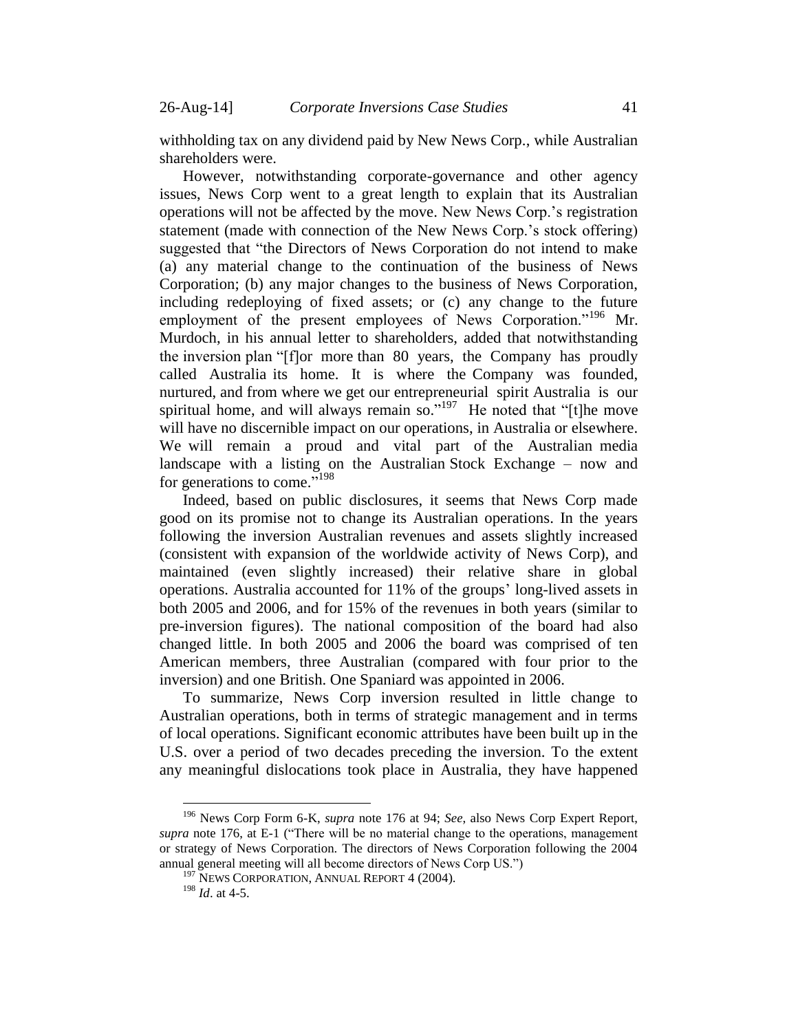withholding tax on any dividend paid by New News Corp., while Australian shareholders were.

However, notwithstanding corporate-governance and other agency issues, News Corp went to a great length to explain that its Australian operations will not be affected by the move. New News Corp.'s registration statement (made with connection of the New News Corp.'s stock offering) suggested that "the Directors of News Corporation do not intend to make (a) any material change to the continuation of the business of News Corporation; (b) any major changes to the business of News Corporation, including redeploying of fixed assets; or (c) any change to the future employment of the present employees of News Corporation."<sup>196</sup> Mr. Murdoch, in his annual letter to shareholders, added that notwithstanding the inversion plan "[f]or more than 80 years, the Company has proudly called Australia its home. It is where the Company was founded, nurtured, and from where we get our entrepreneurial spirit Australia is our spiritual home, and will always remain so." $197$  He noted that "[t]he move will have no discernible impact on our operations, in Australia or elsewhere. We will remain a proud and vital part of the Australian media landscape with a listing on the Australian Stock Exchange – now and for generations to come." 198

Indeed, based on public disclosures, it seems that News Corp made good on its promise not to change its Australian operations. In the years following the inversion Australian revenues and assets slightly increased (consistent with expansion of the worldwide activity of News Corp), and maintained (even slightly increased) their relative share in global operations. Australia accounted for 11% of the groups' long-lived assets in both 2005 and 2006, and for 15% of the revenues in both years (similar to pre-inversion figures). The national composition of the board had also changed little. In both 2005 and 2006 the board was comprised of ten American members, three Australian (compared with four prior to the inversion) and one British. One Spaniard was appointed in 2006.

To summarize, News Corp inversion resulted in little change to Australian operations, both in terms of strategic management and in terms of local operations. Significant economic attributes have been built up in the U.S. over a period of two decades preceding the inversion. To the extent any meaningful dislocations took place in Australia, they have happened

<sup>196</sup> News Corp Form 6-K, *supra* note [176](#page-37-0) at 94; *See*, also News Corp Expert Report, *supra* note [176,](#page-37-0) at E-1 ("There will be no material change to the operations, management or strategy of News Corporation. The directors of News Corporation following the 2004 annual general meeting will all become directors of News Corp US.")

<sup>&</sup>lt;sup>197</sup> NEWS CORPORATION, ANNUAL REPORT 4 (2004).

<sup>198</sup> *Id*. at 4-5.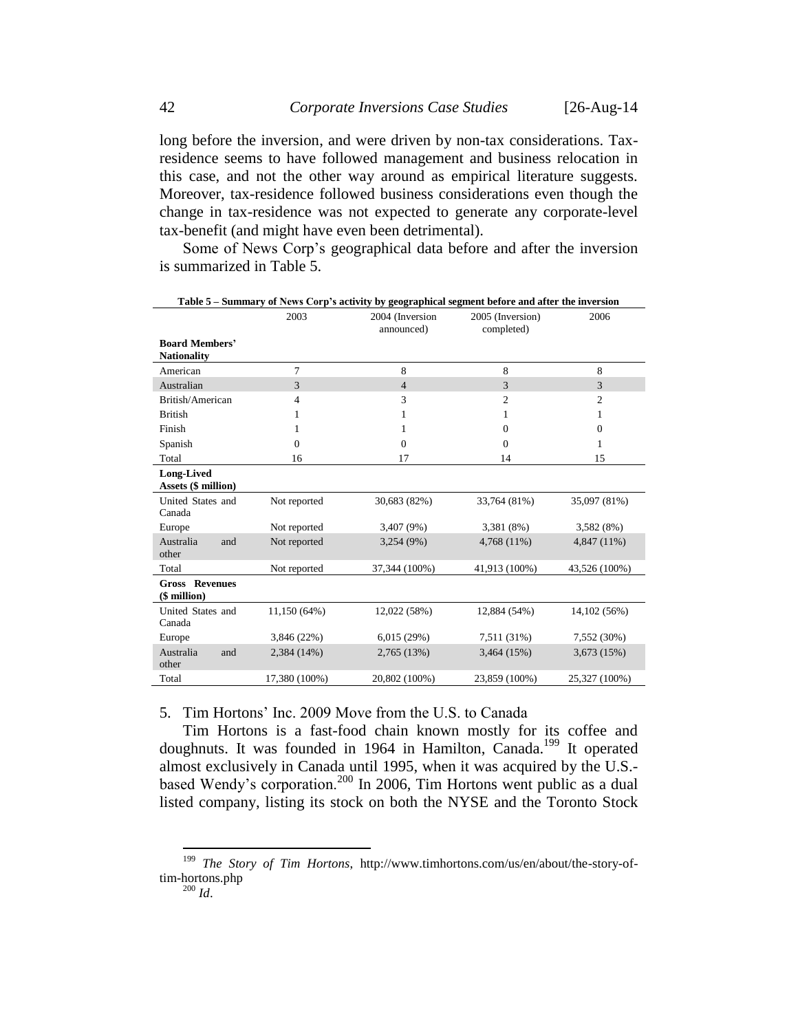long before the inversion, and were driven by non-tax considerations. Taxresidence seems to have followed management and business relocation in this case, and not the other way around as empirical literature suggests. Moreover, tax-residence followed business considerations even though the change in tax-residence was not expected to generate any corporate-level tax-benefit (and might have even been detrimental).

Some of News Corp's geographical data before and after the inversion is summarized in Table 5.

|                                                 |                | Table 5 - Summary of News Corp's activity by geographical segment before and after the inversion |                                |               |
|-------------------------------------------------|----------------|--------------------------------------------------------------------------------------------------|--------------------------------|---------------|
|                                                 | 2003           | 2004 (Inversion<br>announced)                                                                    | 2005 (Inversion)<br>completed) | 2006          |
| <b>Board Members'</b><br><b>Nationality</b>     |                |                                                                                                  |                                |               |
| American                                        | 7              | 8                                                                                                | 8                              | 8             |
| Australian                                      | 3              | $\overline{4}$                                                                                   | 3                              | 3             |
| British/American                                | 4              | 3                                                                                                | $\overline{c}$                 | 2             |
| <b>British</b>                                  | 1              | 1                                                                                                | 1                              | 1             |
| Finish                                          | 1              | 1                                                                                                | $\Omega$                       | $\mathbf{0}$  |
| Spanish                                         | $\overline{0}$ | $\mathbf{0}$                                                                                     | $\overline{0}$                 | 1             |
| Total                                           | 16             | 17                                                                                               | 14                             | 15            |
| <b>Long-Lived</b><br><b>Assets (\$ million)</b> |                |                                                                                                  |                                |               |
| United States and<br>Canada                     | Not reported   | 30,683 (82%)                                                                                     | 33,764 (81%)                   | 35,097 (81%)  |
| Europe                                          | Not reported   | 3,407 (9%)                                                                                       | 3,381 (8%)                     | 3,582 (8%)    |
| Australia<br>and<br>other                       | Not reported   | 3,254 (9%)                                                                                       | 4,768 (11%)                    | 4,847 (11%)   |
| Total                                           | Not reported   | 37,344 (100%)                                                                                    | 41,913 (100%)                  | 43,526 (100%) |
| <b>Gross Revenues</b><br>(\$ million)           |                |                                                                                                  |                                |               |
| United States and<br>Canada                     | 11,150 (64%)   | 12,022 (58%)                                                                                     | 12,884 (54%)                   | 14, 102 (56%) |
| Europe                                          | 3,846 (22%)    | 6,015(29%)                                                                                       | 7,511 (31%)                    | 7,552 (30%)   |
| Australia<br>and<br>other                       | 2,384 (14%)    | 2,765 (13%)                                                                                      | 3,464 (15%)                    | 3,673 (15%)   |
| Total                                           | 17,380 (100%)  | 20,802 (100%)                                                                                    | 23,859 (100%)                  | 25,327 (100%) |

<span id="page-41-0"></span>5. Tim Hortons' Inc. 2009 Move from the U.S. to Canada

Tim Hortons is a fast-food chain known mostly for its coffee and doughnuts. It was founded in 1964 in Hamilton, Canada.<sup>199</sup> It operated almost exclusively in Canada until 1995, when it was acquired by the U.S. based Wendy's corporation.<sup>200</sup> In 2006, Tim Hortons went public as a dual listed company, listing its stock on both the NYSE and the Toronto Stock

<sup>199</sup> *The Story of Tim Hortons*, http://www.timhortons.com/us/en/about/the-story-oftim-hortons.php  $^{200}$  *Id.*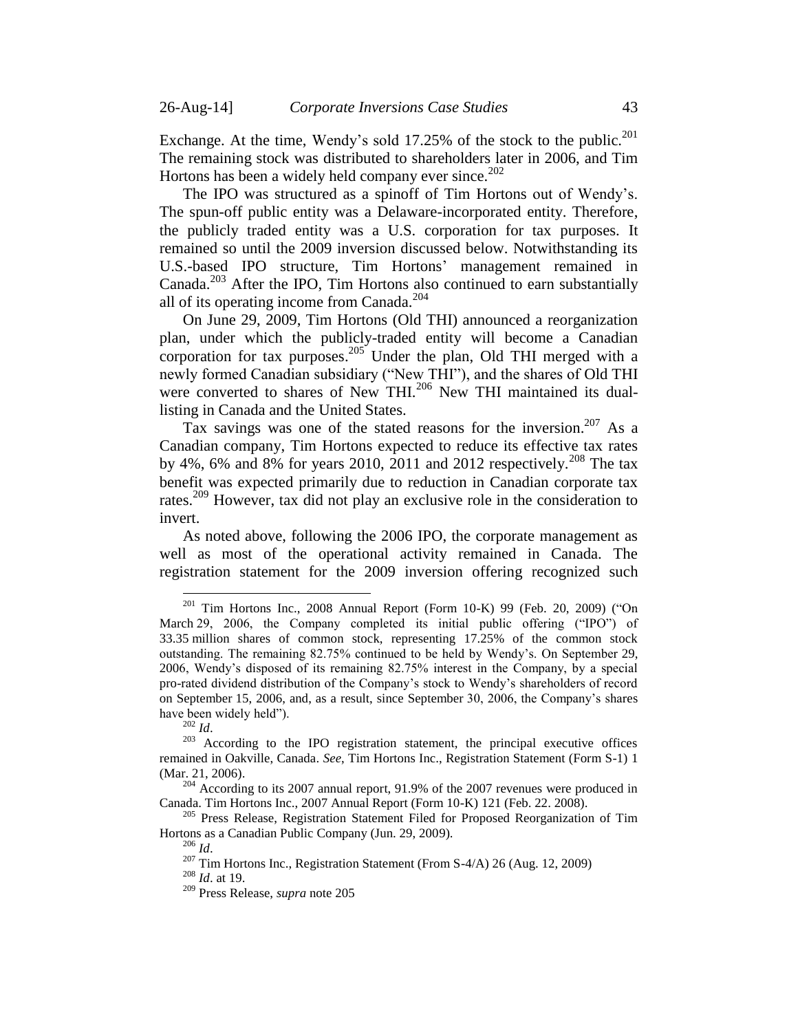<span id="page-42-1"></span>Exchange. At the time, Wendy's sold 17.25% of the stock to the public.<sup>201</sup> The remaining stock was distributed to shareholders later in 2006, and Tim Hortons has been a widely held company ever since. $202$ 

The IPO was structured as a spinoff of Tim Hortons out of Wendy's. The spun-off public entity was a Delaware-incorporated entity. Therefore, the publicly traded entity was a U.S. corporation for tax purposes. It remained so until the 2009 inversion discussed below. Notwithstanding its U.S.-based IPO structure, Tim Hortons' management remained in Canada. <sup>203</sup> After the IPO, Tim Hortons also continued to earn substantially all of its operating income from Canada.<sup>204</sup>

<span id="page-42-0"></span>On June 29, 2009, Tim Hortons (Old THI) announced a reorganization plan, under which the publicly-traded entity will become a Canadian corporation for tax purposes.<sup>205</sup> Under the plan, Old THI merged with a newly formed Canadian subsidiary ("New THI"), and the shares of Old THI were converted to shares of New THI.<sup>206</sup> New THI maintained its duallisting in Canada and the United States.

Tax savings was one of the stated reasons for the inversion.<sup>207</sup> As a Canadian company, Tim Hortons expected to reduce its effective tax rates by 4%, 6% and 8% for years 2010, 2011 and 2012 respectively.<sup>208</sup> The tax benefit was expected primarily due to reduction in Canadian corporate tax rates.<sup>209</sup> However, tax did not play an exclusive role in the consideration to invert.

As noted above, following the 2006 IPO, the corporate management as well as most of the operational activity remained in Canada. The registration statement for the 2009 inversion offering recognized such

 $201$  Tim Hortons Inc., 2008 Annual Report (Form 10-K) 99 (Feb. 20, 2009) ("On March 29, 2006, the Company completed its initial public offering ("IPO") of 33.35 million shares of common stock, representing 17.25% of the common stock outstanding. The remaining 82.75% continued to be held by Wendy's. On September 29, 2006, Wendy's disposed of its remaining 82.75% interest in the Company, by a special pro-rated dividend distribution of the Company's stock to Wendy's shareholders of record on September 15, 2006, and, as a result, since September 30, 2006, the Company's shares have been widely held").

<sup>202</sup> *Id*.

<sup>&</sup>lt;sup>203</sup> According to the IPO registration statement, the principal executive offices remained in Oakville, Canada. *See*, Tim Hortons Inc., Registration Statement (Form S-1) 1 (Mar. 21, 2006).

 $204$  According to its 2007 annual report, 91.9% of the 2007 revenues were produced in Canada. Tim Hortons Inc., 2007 Annual Report (Form 10-K) 121 (Feb. 22. 2008).

<sup>&</sup>lt;sup>205</sup> Press Release, Registration Statement Filed for Proposed Reorganization of Tim Hortons as a Canadian Public Company (Jun. 29, 2009).

<sup>206</sup> *Id*.

<sup>&</sup>lt;sup>207</sup> Tim Hortons Inc., Registration Statement (From S-4/A) 26 (Aug. 12, 2009)

<sup>208</sup> *Id*. at 19.

<sup>209</sup> Press Release, *supra* note [205](#page-42-0)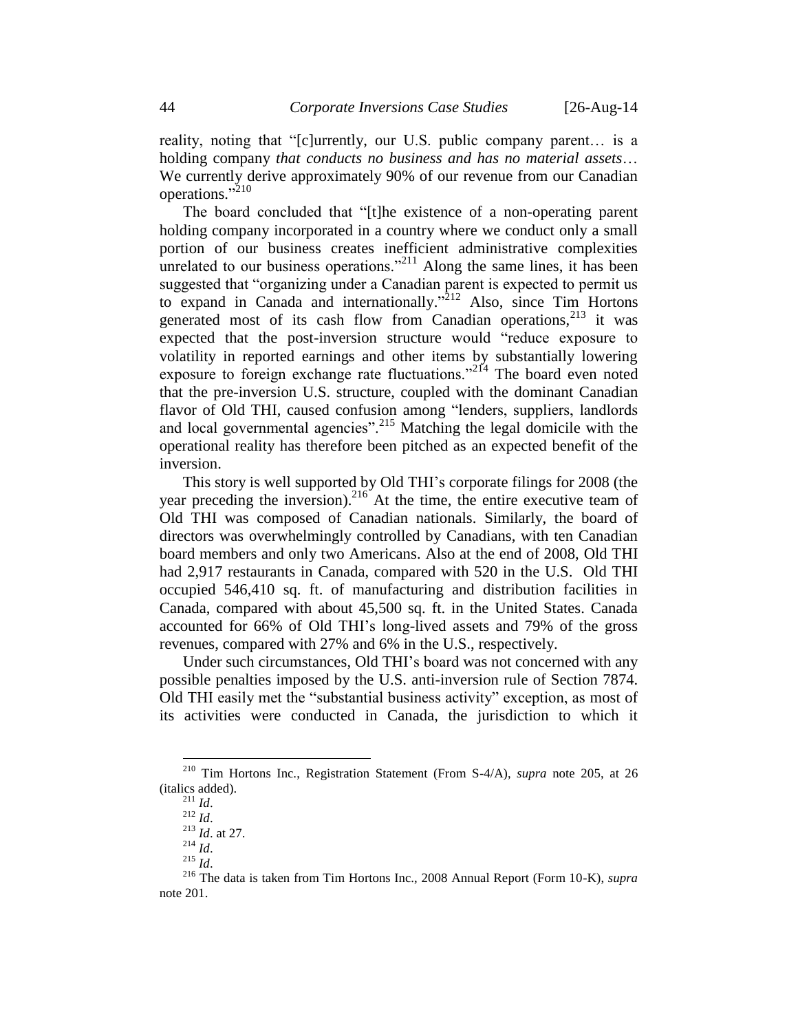reality, noting that "[c]urrently, our U.S. public company parent… is a holding company *that conducts no business and has no material assets*… We currently derive approximately 90% of our revenue from our Canadian operations."<sup>210</sup>

The board concluded that "[t]he existence of a non-operating parent holding company incorporated in a country where we conduct only a small portion of our business creates inefficient administrative complexities unrelated to our business operations."<sup>211</sup> Along the same lines, it has been suggested that "organizing under a Canadian parent is expected to permit us to expand in Canada and internationally."<sup>212</sup> Also, since Tim Hortons generated most of its cash flow from Canadian operations,<sup>213</sup> it was expected that the post-inversion structure would "reduce exposure to volatility in reported earnings and other items by substantially lowering exposure to foreign exchange rate fluctuations."<sup>214</sup> The board even noted that the pre-inversion U.S. structure, coupled with the dominant Canadian flavor of Old THI, caused confusion among "lenders, suppliers, landlords and local governmental agencies".<sup>215</sup> Matching the legal domicile with the operational reality has therefore been pitched as an expected benefit of the inversion.

This story is well supported by Old THI's corporate filings for 2008 (the year preceding the inversion). <sup>216</sup> At the time, the entire executive team of Old THI was composed of Canadian nationals. Similarly, the board of directors was overwhelmingly controlled by Canadians, with ten Canadian board members and only two Americans. Also at the end of 2008, Old THI had 2,917 restaurants in Canada, compared with 520 in the U.S. Old THI occupied 546,410 sq. ft. of manufacturing and distribution facilities in Canada, compared with about 45,500 sq. ft. in the United States. Canada accounted for 66% of Old THI's long-lived assets and 79% of the gross revenues, compared with 27% and 6% in the U.S., respectively.

Under such circumstances, Old THI's board was not concerned with any possible penalties imposed by the U.S. anti-inversion rule of Section 7874. Old THI easily met the "substantial business activity" exception, as most of its activities were conducted in Canada, the jurisdiction to which it

 $\overline{a}$ 

<sup>215</sup> *Id*.

<sup>210</sup> Tim Hortons Inc., Registration Statement (From S-4/A), *supra* note [205,](#page-42-0) at 26 (italics added).

<sup>211</sup> *Id*.

 $^{212}$  *Id.* 

<sup>213</sup> *Id*. at 27.

<sup>214</sup> *Id*.

<sup>216</sup> The data is taken from Tim Hortons Inc., 2008 Annual Report (Form 10-K), *supra*  note [201.](#page-42-1)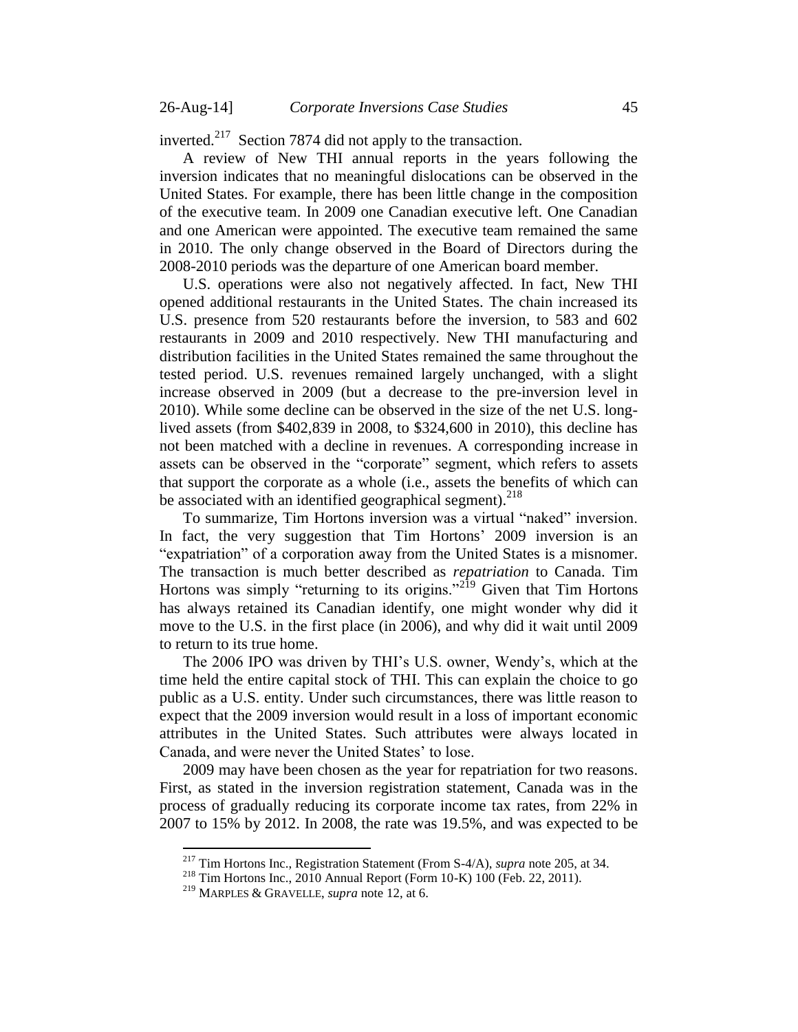inverted.<sup>217</sup> Section 7874 did not apply to the transaction.

A review of New THI annual reports in the years following the inversion indicates that no meaningful dislocations can be observed in the United States. For example, there has been little change in the composition of the executive team. In 2009 one Canadian executive left. One Canadian and one American were appointed. The executive team remained the same in 2010. The only change observed in the Board of Directors during the 2008-2010 periods was the departure of one American board member.

U.S. operations were also not negatively affected. In fact, New THI opened additional restaurants in the United States. The chain increased its U.S. presence from 520 restaurants before the inversion, to 583 and 602 restaurants in 2009 and 2010 respectively. New THI manufacturing and distribution facilities in the United States remained the same throughout the tested period. U.S. revenues remained largely unchanged, with a slight increase observed in 2009 (but a decrease to the pre-inversion level in 2010). While some decline can be observed in the size of the net U.S. longlived assets (from \$402,839 in 2008, to \$324,600 in 2010), this decline has not been matched with a decline in revenues. A corresponding increase in assets can be observed in the "corporate" segment, which refers to assets that support the corporate as a whole (i.e., assets the benefits of which can be associated with an identified geographical segment).<sup>218</sup>

To summarize, Tim Hortons inversion was a virtual "naked" inversion. In fact, the very suggestion that Tim Hortons' 2009 inversion is an "expatriation" of a corporation away from the United States is a misnomer. The transaction is much better described as *repatriation* to Canada. Tim Hortons was simply "returning to its origins."<sup>219</sup> Given that Tim Hortons has always retained its Canadian identify, one might wonder why did it move to the U.S. in the first place (in 2006), and why did it wait until 2009 to return to its true home.

The 2006 IPO was driven by THI's U.S. owner, Wendy's, which at the time held the entire capital stock of THI. This can explain the choice to go public as a U.S. entity. Under such circumstances, there was little reason to expect that the 2009 inversion would result in a loss of important economic attributes in the United States. Such attributes were always located in Canada, and were never the United States' to lose.

2009 may have been chosen as the year for repatriation for two reasons. First, as stated in the inversion registration statement, Canada was in the process of gradually reducing its corporate income tax rates, from 22% in 2007 to 15% by 2012. In 2008, the rate was 19.5%, and was expected to be

<sup>217</sup> Tim Hortons Inc., Registration Statement (From S-4/A), *supra* note [205,](#page-42-0) at 34.

<sup>218</sup> Tim Hortons Inc., 2010 Annual Report (Form 10-K) 100 (Feb. 22, 2011).

<sup>219</sup> MARPLES & GRAVELLE, *supra* note [12,](#page-3-0) at 6.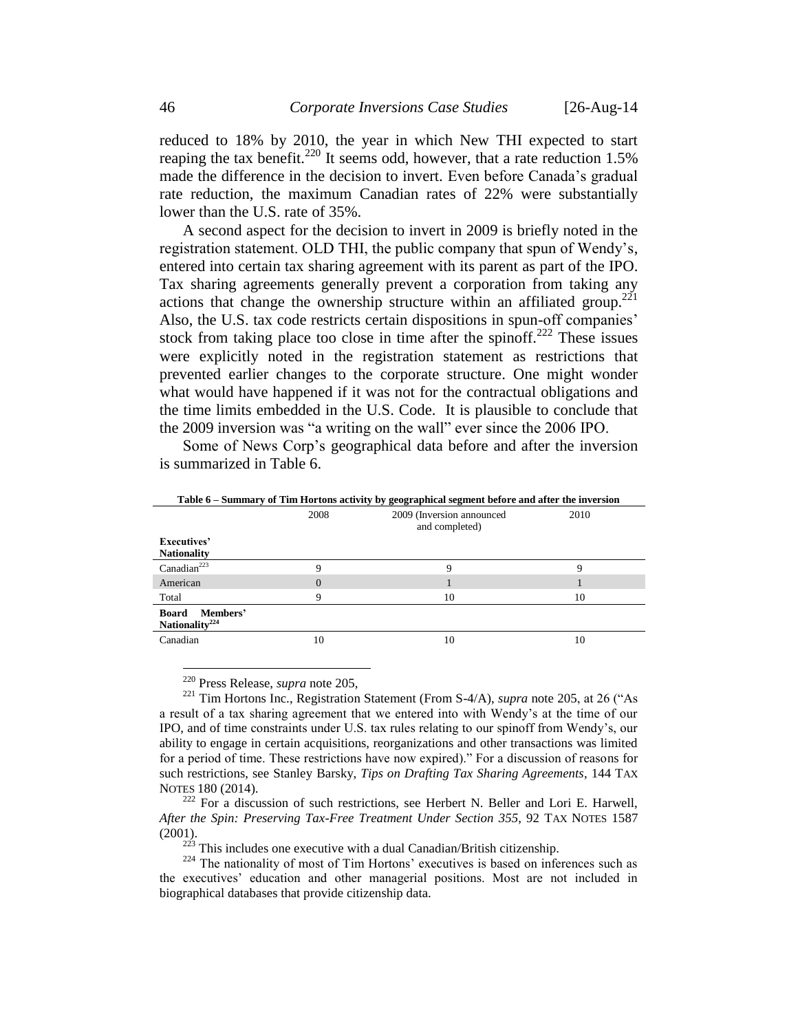reduced to 18% by 2010, the year in which New THI expected to start reaping the tax benefit.<sup>220</sup> It seems odd, however, that a rate reduction  $1.5\%$ made the difference in the decision to invert. Even before Canada's gradual rate reduction, the maximum Canadian rates of 22% were substantially lower than the U.S. rate of 35%.

A second aspect for the decision to invert in 2009 is briefly noted in the registration statement. OLD THI, the public company that spun of Wendy's, entered into certain tax sharing agreement with its parent as part of the IPO. Tax sharing agreements generally prevent a corporation from taking any actions that change the ownership structure within an affiliated group.<sup>221</sup> Also, the U.S. tax code restricts certain dispositions in spun-off companies' stock from taking place too close in time after the spinoff.<sup>222</sup> These issues were explicitly noted in the registration statement as restrictions that prevented earlier changes to the corporate structure. One might wonder what would have happened if it was not for the contractual obligations and the time limits embedded in the U.S. Code. It is plausible to conclude that the 2009 inversion was "a writing on the wall" ever since the 2006 IPO.

Some of News Corp's geographical data before and after the inversion is summarized in Table 6.

|                                                 |          | таже о – запинату от тип тюголь асимну жу geographical segment жноге ана атег пне піметыми |      |
|-------------------------------------------------|----------|--------------------------------------------------------------------------------------------|------|
|                                                 | 2008     | 2009 (Inversion announced)<br>and completed)                                               | 2010 |
| Executives'                                     |          |                                                                                            |      |
| <b>Nationality</b>                              |          |                                                                                            |      |
| Canadian <sup>223</sup>                         | Q        | a                                                                                          | Q    |
| American                                        | $\Omega$ |                                                                                            |      |
| Total                                           |          | 10                                                                                         | 10   |
| Members'<br>Board<br>Nationality <sup>224</sup> |          |                                                                                            |      |
| Canadian                                        | 10       | 10                                                                                         | 10   |

**Table 6 – Summary of Tim Hortons activity by geographical segment before and after the inversion**

<sup>220</sup> Press Release, *supra* note [205,](#page-42-0)

<sup>221</sup> Tim Hortons Inc., Registration Statement (From S-4/A), *supra* note [205,](#page-42-0) at 26 ("As a result of a tax sharing agreement that we entered into with Wendy's at the time of our IPO, and of time constraints under U.S. tax rules relating to our spinoff from Wendy's, our ability to engage in certain acquisitions, reorganizations and other transactions was limited for a period of time. These restrictions have now expired)." For a discussion of reasons for such restrictions, see Stanley Barsky, *Tips on Drafting Tax Sharing Agreements*, 144 TAX NOTES 180 (2014).

 $222$  For a discussion of such restrictions, see Herbert N. Beller and Lori E. Harwell, *After the Spin: Preserving Tax-Free Treatment Under Section 355*, 92 TAX NOTES 1587 (2001).

 $2^{223}$  This includes one executive with a dual Canadian/British citizenship.

<sup>&</sup>lt;sup>224</sup> The nationality of most of Tim Hortons' executives is based on inferences such as the executives' education and other managerial positions. Most are not included in biographical databases that provide citizenship data.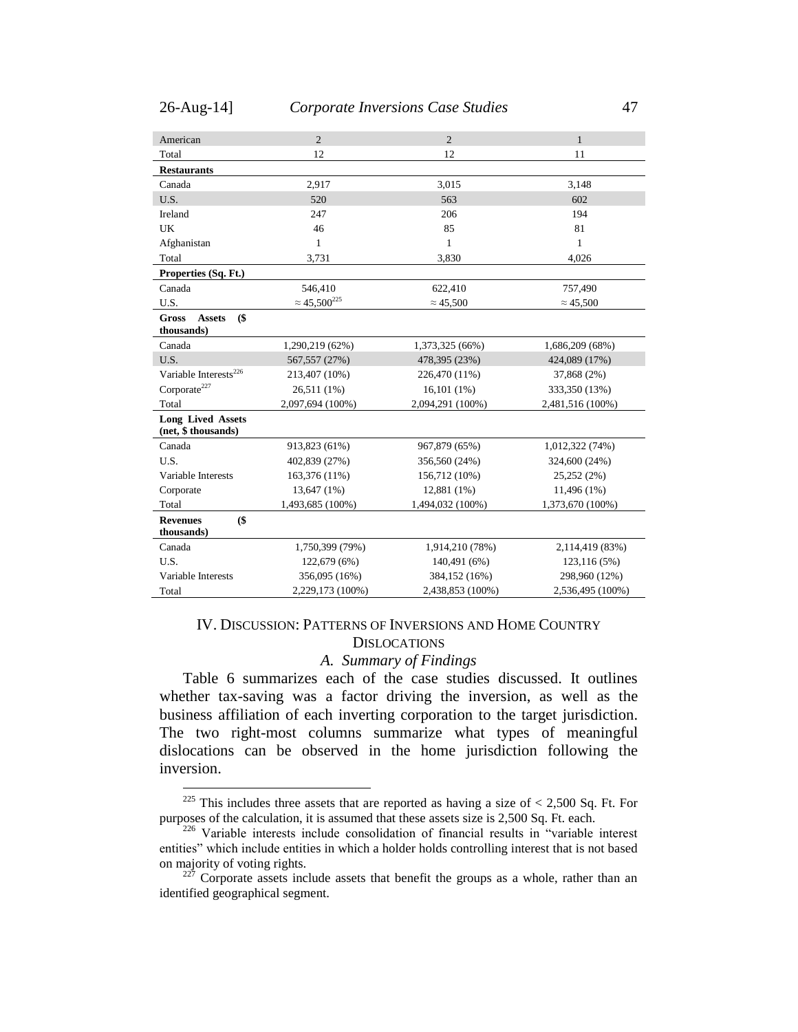$\overline{a}$ 

| American                                              | $\overline{c}$         | $\overline{2}$   | $\mathbf{1}$     |
|-------------------------------------------------------|------------------------|------------------|------------------|
| Total                                                 | 12                     | 12               | 11               |
| <b>Restaurants</b>                                    |                        |                  |                  |
| Canada                                                | 2,917                  | 3,015            | 3,148            |
| U.S.                                                  | 520                    | 563              | 602              |
| Ireland                                               | 247                    | 206              | 194              |
| UK                                                    | 46                     | 85               | 81               |
| Afghanistan                                           | $\mathbf{1}$           | $\mathbf{1}$     | $\mathbf{1}$     |
| Total                                                 | 3,731                  | 3,830            | 4,026            |
| Properties (Sq. Ft.)                                  |                        |                  |                  |
| Canada                                                | 546,410                | 622,410          | 757,490          |
| U.S.                                                  | $\approx 45,500^{225}$ | $\approx 45,500$ | $\approx 45,500$ |
| $($ \$<br><b>Gross</b><br><b>Assets</b><br>thousands) |                        |                  |                  |
| Canada                                                | 1,290,219 (62%)        | 1,373,325 (66%)  | 1,686,209 (68%)  |
| U.S.                                                  | 567, 557 (27%)         | 478,395 (23%)    | 424,089 (17%)    |
| Variable Interests <sup>226</sup>                     | 213,407 (10%)          | 226,470 (11%)    | 37,868 (2%)      |
| Corporate <sup>227</sup>                              | 26,511 (1%)            | 16,101(1%)       | 333,350 (13%)    |
| Total                                                 | 2,097,694 (100%)       | 2,094,291 (100%) | 2,481,516 (100%) |
| <b>Long Lived Assets</b><br>(net, \$ thousands)       |                        |                  |                  |
| Canada                                                | 913,823 (61%)          | 967,879 (65%)    | 1,012,322 (74%)  |
| U.S.                                                  | 402,839 (27%)          | 356,560 (24%)    | 324,600 (24%)    |
| Variable Interests                                    | 163,376 (11%)          | 156,712 (10%)    | 25,252 (2%)      |
| Corporate                                             | 13,647 (1%)            | 12,881 (1%)      | 11,496 (1%)      |
| Total                                                 | 1,493,685 (100%)       | 1,494,032 (100%) | 1,373,670 (100%) |
| \$<br><b>Revenues</b><br>thousands)                   |                        |                  |                  |
| Canada                                                | 1,750,399 (79%)        | 1,914,210 (78%)  | 2,114,419 (83%)  |
| U.S.                                                  | 122,679 (6%)           | 140,491 (6%)     | 123,116 (5%)     |
| Variable Interests                                    | 356,095 (16%)          | 384,152 (16%)    | 298,960 (12%)    |
| Total                                                 | 2,229,173 (100%)       | 2,438,853 (100%) | 2,536,495 (100%) |

### <span id="page-46-0"></span>IV. DISCUSSION: PATTERNS OF INVERSIONS AND HOME COUNTRY **DISLOCATIONS**

#### *A. Summary of Findings*

<span id="page-46-1"></span>Table 6 summarizes each of the case studies discussed. It outlines whether tax-saving was a factor driving the inversion, as well as the business affiliation of each inverting corporation to the target jurisdiction. The two right-most columns summarize what types of meaningful dislocations can be observed in the home jurisdiction following the inversion.

<sup>&</sup>lt;sup>225</sup> This includes three assets that are reported as having a size of  $\lt$  2,500 Sq. Ft. For purposes of the calculation, it is assumed that these assets size is 2,500 Sq. Ft. each.

<sup>&</sup>lt;sup>226</sup> Variable interests include consolidation of financial results in "variable interest entities" which include entities in which a holder holds controlling interest that is not based on majority of voting rights.

 $227$  Corporate assets include assets that benefit the groups as a whole, rather than an identified geographical segment.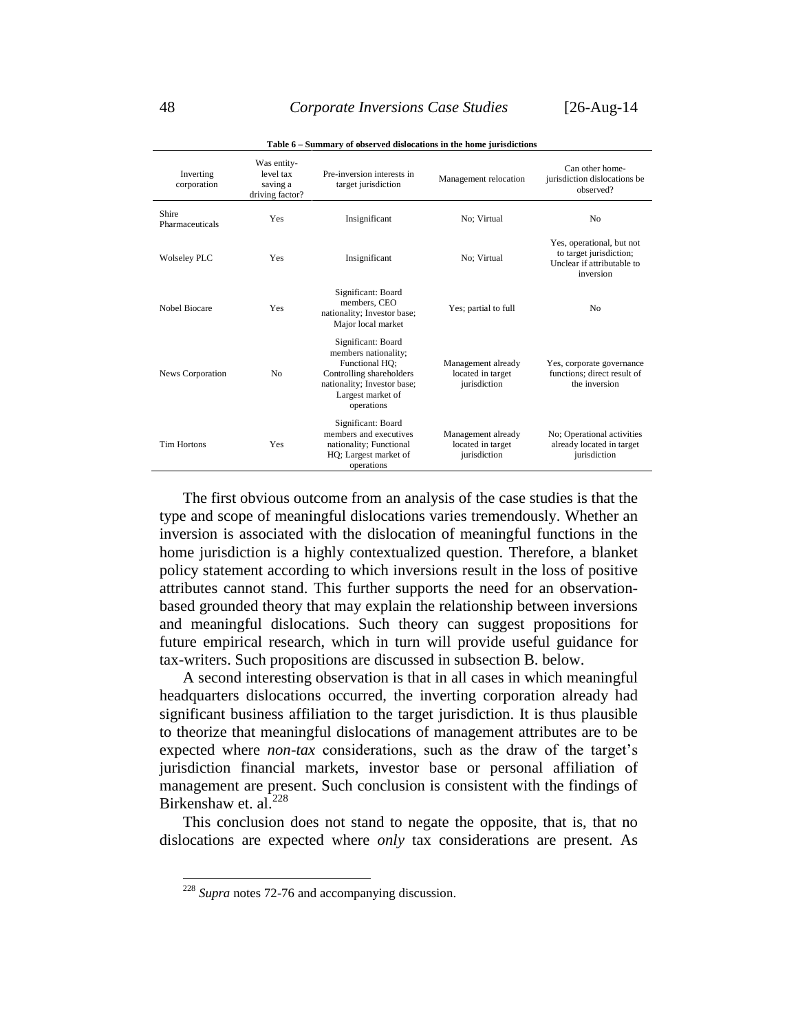| Inverting<br>corporation | Was entity-<br>level tax<br>saving a<br>driving factor? | Pre-inversion interests in<br>target jurisdiction                                                                                                          | Management relocation                                   | Can other home-<br>jurisdiction dislocations be<br>observed?                                    |
|--------------------------|---------------------------------------------------------|------------------------------------------------------------------------------------------------------------------------------------------------------------|---------------------------------------------------------|-------------------------------------------------------------------------------------------------|
| Shire<br>Pharmaceuticals | Yes                                                     | Insignificant                                                                                                                                              | No: Virtual                                             | N <sub>0</sub>                                                                                  |
| <b>Wolseley PLC</b>      | Yes                                                     | Insignificant                                                                                                                                              | No: Virtual                                             | Yes, operational, but not<br>to target jurisdiction;<br>Unclear if attributable to<br>inversion |
| Nobel Biocare            | Yes                                                     | Significant: Board<br>members, CEO<br>nationality; Investor base;<br>Major local market                                                                    | Yes; partial to full                                    | N <sub>0</sub>                                                                                  |
| <b>News Corporation</b>  | N <sub>0</sub>                                          | Significant: Board<br>members nationality;<br>Functional HQ:<br>Controlling shareholders<br>nationality; Investor base;<br>Largest market of<br>operations | Management already<br>located in target<br>jurisdiction | Yes, corporate governance<br>functions: direct result of<br>the inversion                       |
| <b>Tim Hortons</b>       | Yes                                                     | Significant: Board<br>members and executives<br>nationality; Functional<br>HO; Largest market of<br>operations                                             | Management already<br>located in target<br>jurisdiction | No; Operational activities<br>already located in target<br>jurisdiction                         |

**Table 6 – Summary of observed dislocations in the home jurisdictions**

The first obvious outcome from an analysis of the case studies is that the type and scope of meaningful dislocations varies tremendously. Whether an inversion is associated with the dislocation of meaningful functions in the home jurisdiction is a highly contextualized question. Therefore, a blanket policy statement according to which inversions result in the loss of positive attributes cannot stand. This further supports the need for an observationbased grounded theory that may explain the relationship between inversions and meaningful dislocations. Such theory can suggest propositions for future empirical research, which in turn will provide useful guidance for tax-writers. Such propositions are discussed in subsection B. below.

A second interesting observation is that in all cases in which meaningful headquarters dislocations occurred, the inverting corporation already had significant business affiliation to the target jurisdiction. It is thus plausible to theorize that meaningful dislocations of management attributes are to be expected where *non-tax* considerations, such as the draw of the target's jurisdiction financial markets, investor base or personal affiliation of management are present. Such conclusion is consistent with the findings of Birkenshaw et.  $a^{\frac{228}{228}}$ 

This conclusion does not stand to negate the opposite, that is, that no dislocations are expected where *only* tax considerations are present. As

<sup>228</sup> *Supra* note[s 72-](#page-13-0)[76](#page-13-1) and accompanying discussion.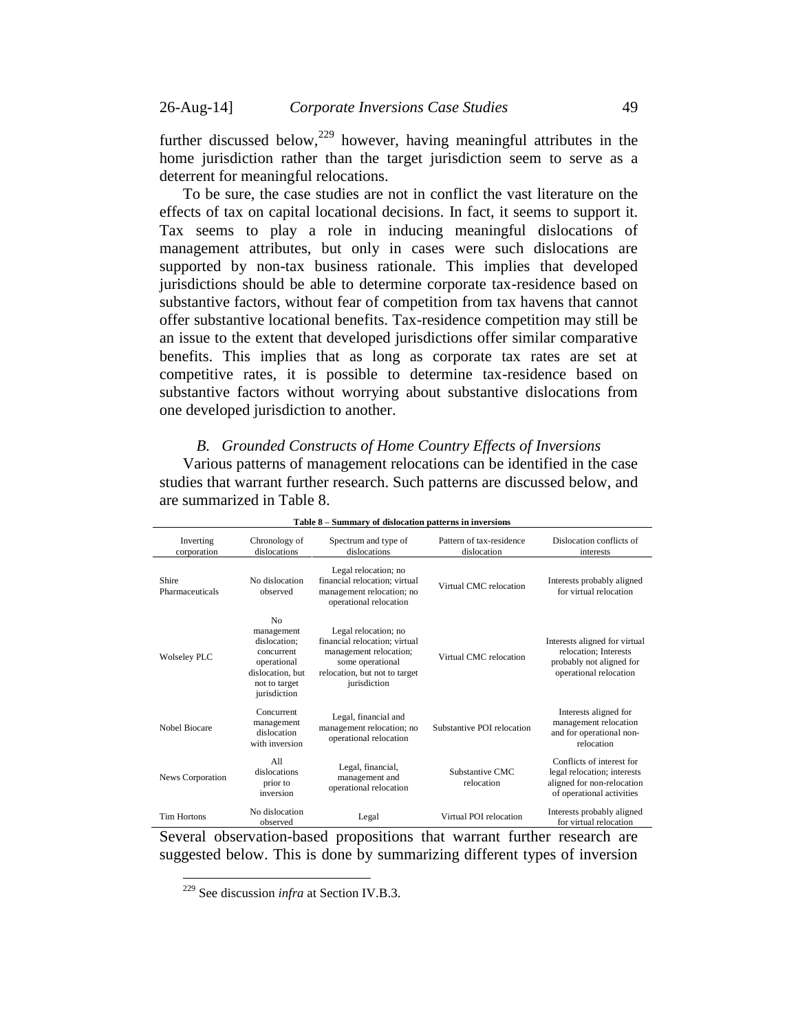further discussed below,  $229$  however, having meaningful attributes in the home jurisdiction rather than the target jurisdiction seem to serve as a deterrent for meaningful relocations.

To be sure, the case studies are not in conflict the vast literature on the effects of tax on capital locational decisions. In fact, it seems to support it. Tax seems to play a role in inducing meaningful dislocations of management attributes, but only in cases were such dislocations are supported by non-tax business rationale. This implies that developed jurisdictions should be able to determine corporate tax-residence based on substantive factors, without fear of competition from tax havens that cannot offer substantive locational benefits. Tax-residence competition may still be an issue to the extent that developed jurisdictions offer similar comparative benefits. This implies that as long as corporate tax rates are set at competitive rates, it is possible to determine tax-residence based on substantive factors without worrying about substantive dislocations from one developed jurisdiction to another.

### <span id="page-48-0"></span>*B. Grounded Constructs of Home Country Effects of Inversions*

Various patterns of management relocations can be identified in the case studies that warrant further research. Such patterns are discussed below, and are summarized in Table 8.

| Inverting<br>corporation | Chronology of<br>dislocations                                                                                                  | Spectrum and type of<br>dislocations                                                                                                                 | Pattern of tax-residence<br>dislocation | Dislocation conflicts of<br>interests                                                                               |
|--------------------------|--------------------------------------------------------------------------------------------------------------------------------|------------------------------------------------------------------------------------------------------------------------------------------------------|-----------------------------------------|---------------------------------------------------------------------------------------------------------------------|
| Shire<br>Pharmaceuticals | No dislocation<br>observed                                                                                                     | Legal relocation; no<br>financial relocation: virtual<br>management relocation; no<br>operational relocation                                         | Virtual CMC relocation                  | Interests probably aligned<br>for virtual relocation                                                                |
| <b>Wolseley PLC</b>      | N <sub>0</sub><br>management<br>dislocation:<br>concurrent<br>operational<br>dislocation, but<br>not to target<br>jurisdiction | Legal relocation; no<br>financial relocation: virtual<br>management relocation;<br>some operational<br>relocation, but not to target<br>jurisdiction | Virtual CMC relocation                  | Interests aligned for virtual<br>relocation; Interests<br>probably not aligned for<br>operational relocation        |
| Nobel Biocare            | Concurrent<br>management<br>dislocation<br>with inversion                                                                      | Legal, financial and<br>management relocation; no<br>operational relocation                                                                          | Substantive POI relocation              | Interests aligned for<br>management relocation<br>and for operational non-<br>relocation                            |
| News Corporation         | A11<br>dislocations<br>prior to<br>inversion                                                                                   | Legal, financial,<br>management and<br>operational relocation                                                                                        | Substantive CMC<br>relocation           | Conflicts of interest for<br>legal relocation; interests<br>aligned for non-relocation<br>of operational activities |
| <b>Tim Hortons</b>       | No dislocation<br>observed                                                                                                     | Legal                                                                                                                                                | Virtual POI relocation                  | Interests probably aligned<br>for virtual relocation                                                                |

#### **Table 8 – Summary of dislocation patterns in inversions**

Several observation-based propositions that warrant further research are suggested below. This is done by summarizing different types of inversion

<sup>229</sup> See discussion *infra* at Section IV.B.3.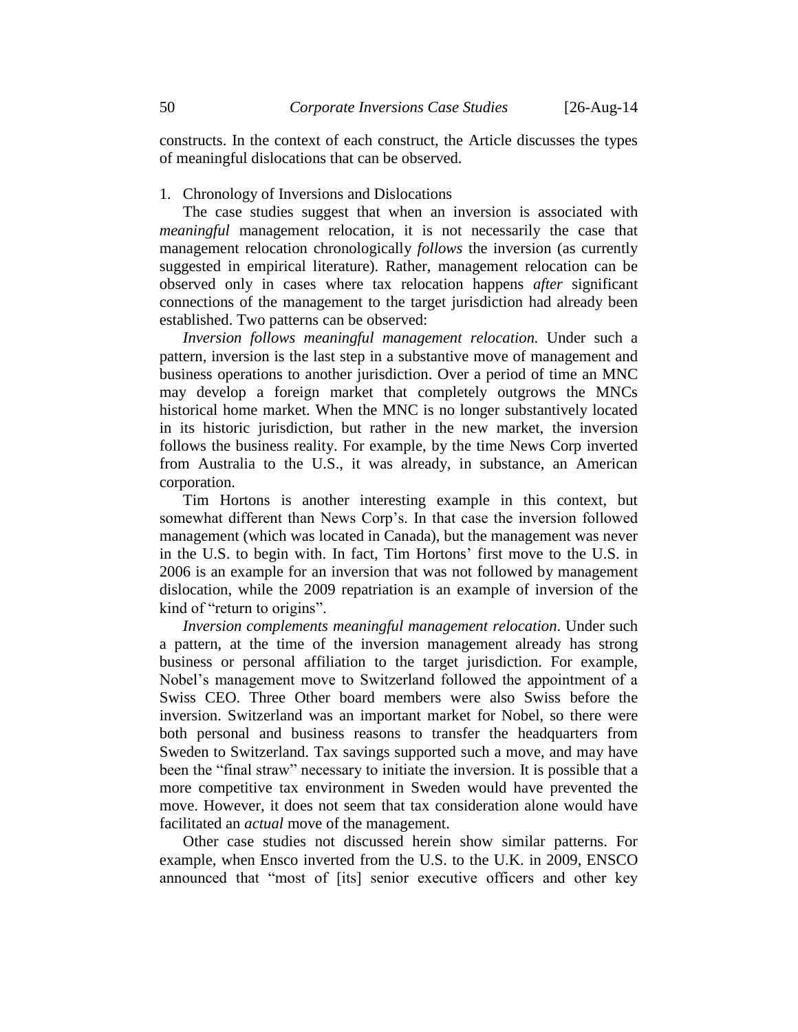constructs. In the context of each construct, the Article discusses the types of meaningful dislocations that can be observed.

### <span id="page-49-0"></span>1. Chronology of Inversions and Dislocations

The case studies suggest that when an inversion is associated with *meaningful* management relocation, it is not necessarily the case that management relocation chronologically *follows* the inversion (as currently suggested in empirical literature). Rather, management relocation can be observed only in cases where tax relocation happens *after* significant connections of the management to the target jurisdiction had already been established. Two patterns can be observed:

*Inversion follows meaningful management relocation.* Under such a pattern, inversion is the last step in a substantive move of management and business operations to another jurisdiction. Over a period of time an MNC may develop a foreign market that completely outgrows the MNCs historical home market. When the MNC is no longer substantively located in its historic jurisdiction, but rather in the new market, the inversion follows the business reality. For example, by the time News Corp inverted from Australia to the U.S., it was already, in substance, an American corporation.

Tim Hortons is another interesting example in this context, but somewhat different than News Corp's. In that case the inversion followed management (which was located in Canada), but the management was never in the U.S. to begin with. In fact, Tim Hortons' first move to the U.S. in 2006 is an example for an inversion that was not followed by management dislocation, while the 2009 repatriation is an example of inversion of the kind of "return to origins".

*Inversion complements meaningful management relocation*. Under such a pattern, at the time of the inversion management already has strong business or personal affiliation to the target jurisdiction. For example, Nobel's management move to Switzerland followed the appointment of a Swiss CEO. Three Other board members were also Swiss before the inversion. Switzerland was an important market for Nobel, so there were both personal and business reasons to transfer the headquarters from Sweden to Switzerland. Tax savings supported such a move, and may have been the "final straw" necessary to initiate the inversion. It is possible that a more competitive tax environment in Sweden would have prevented the move. However, it does not seem that tax consideration alone would have facilitated an *actual* move of the management.

Other case studies not discussed herein show similar patterns. For example, when Ensco inverted from the U.S. to the U.K. in 2009, ENSCO announced that "most of [its] senior executive officers and other key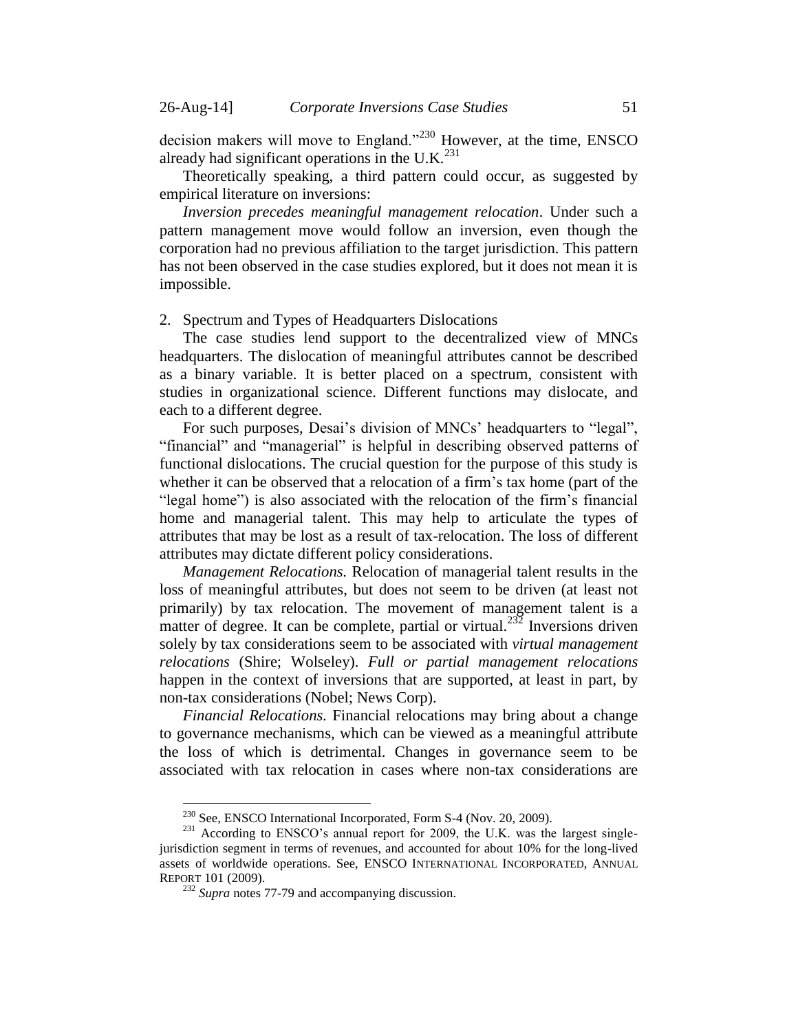decision makers will move to England."<sup>230</sup> However, at the time, ENSCO already had significant operations in the U.K. $^{231}$ 

Theoretically speaking, a third pattern could occur, as suggested by empirical literature on inversions:

*Inversion precedes meaningful management relocation*. Under such a pattern management move would follow an inversion, even though the corporation had no previous affiliation to the target jurisdiction. This pattern has not been observed in the case studies explored, but it does not mean it is impossible.

#### <span id="page-50-0"></span>2. Spectrum and Types of Headquarters Dislocations

The case studies lend support to the decentralized view of MNCs headquarters. The dislocation of meaningful attributes cannot be described as a binary variable. It is better placed on a spectrum, consistent with studies in organizational science. Different functions may dislocate, and each to a different degree.

For such purposes, Desai's division of MNCs' headquarters to "legal", "financial" and "managerial" is helpful in describing observed patterns of functional dislocations. The crucial question for the purpose of this study is whether it can be observed that a relocation of a firm's tax home (part of the "legal home") is also associated with the relocation of the firm's financial home and managerial talent. This may help to articulate the types of attributes that may be lost as a result of tax-relocation. The loss of different attributes may dictate different policy considerations.

*Management Relocations.* Relocation of managerial talent results in the loss of meaningful attributes, but does not seem to be driven (at least not primarily) by tax relocation. The movement of management talent is a matter of degree. It can be complete, partial or virtual.<sup>232</sup> Inversions driven solely by tax considerations seem to be associated with *virtual management relocations* (Shire; Wolseley). *Full or partial management relocations* happen in the context of inversions that are supported, at least in part, by non-tax considerations (Nobel; News Corp).

*Financial Relocations.* Financial relocations may bring about a change to governance mechanisms, which can be viewed as a meaningful attribute the loss of which is detrimental. Changes in governance seem to be associated with tax relocation in cases where non-tax considerations are

<sup>&</sup>lt;sup>230</sup> See, ENSCO International Incorporated, Form S-4 (Nov. 20, 2009).

<sup>&</sup>lt;sup>231</sup> According to ENSCO's annual report for 2009, the U.K. was the largest singlejurisdiction segment in terms of revenues, and accounted for about 10% for the long-lived assets of worldwide operations. See, ENSCO INTERNATIONAL INCORPORATED, ANNUAL REPORT 101 (2009).

<sup>232</sup> *Supra* note[s 77-](#page-13-2)[79](#page-14-1) and accompanying discussion.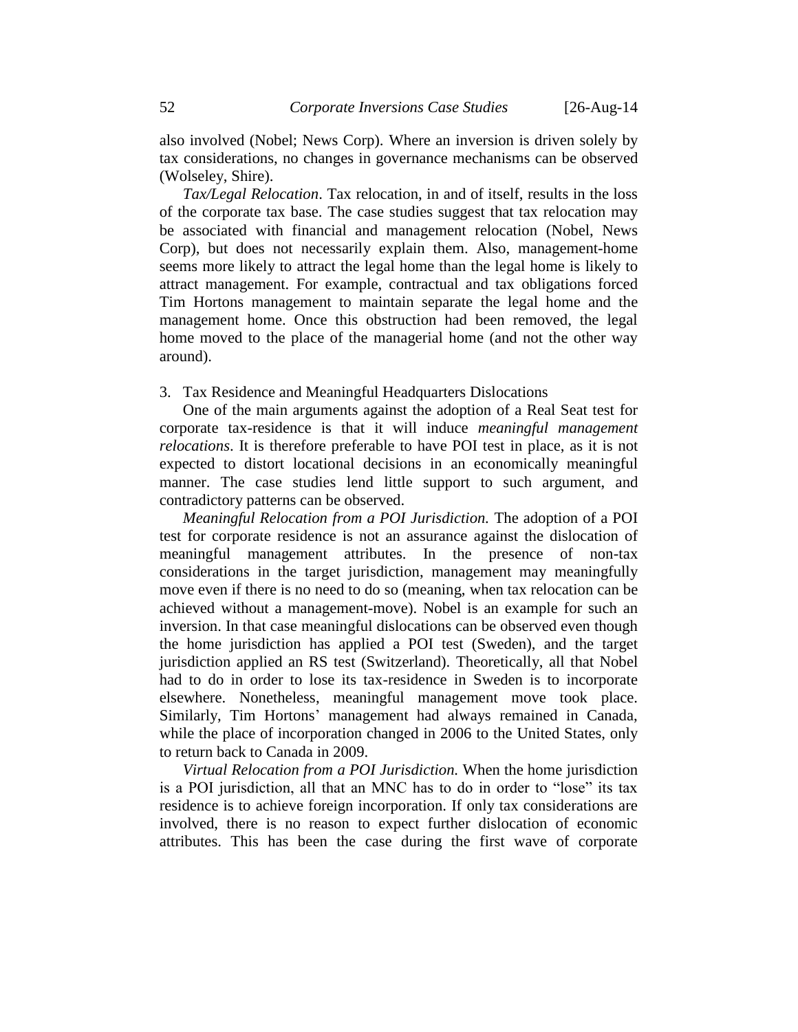also involved (Nobel; News Corp). Where an inversion is driven solely by tax considerations, no changes in governance mechanisms can be observed (Wolseley, Shire).

*Tax/Legal Relocation*. Tax relocation, in and of itself, results in the loss of the corporate tax base. The case studies suggest that tax relocation may be associated with financial and management relocation (Nobel, News Corp), but does not necessarily explain them. Also, management-home seems more likely to attract the legal home than the legal home is likely to attract management. For example, contractual and tax obligations forced Tim Hortons management to maintain separate the legal home and the management home. Once this obstruction had been removed, the legal home moved to the place of the managerial home (and not the other way around).

#### <span id="page-51-0"></span>3. Tax Residence and Meaningful Headquarters Dislocations

One of the main arguments against the adoption of a Real Seat test for corporate tax-residence is that it will induce *meaningful management relocations*. It is therefore preferable to have POI test in place, as it is not expected to distort locational decisions in an economically meaningful manner. The case studies lend little support to such argument, and contradictory patterns can be observed.

*Meaningful Relocation from a POI Jurisdiction.* The adoption of a POI test for corporate residence is not an assurance against the dislocation of meaningful management attributes. In the presence of non-tax considerations in the target jurisdiction, management may meaningfully move even if there is no need to do so (meaning, when tax relocation can be achieved without a management-move). Nobel is an example for such an inversion. In that case meaningful dislocations can be observed even though the home jurisdiction has applied a POI test (Sweden), and the target jurisdiction applied an RS test (Switzerland). Theoretically, all that Nobel had to do in order to lose its tax-residence in Sweden is to incorporate elsewhere. Nonetheless, meaningful management move took place. Similarly, Tim Hortons' management had always remained in Canada, while the place of incorporation changed in 2006 to the United States, only to return back to Canada in 2009.

*Virtual Relocation from a POI Jurisdiction.* When the home jurisdiction is a POI jurisdiction, all that an MNC has to do in order to "lose" its tax residence is to achieve foreign incorporation. If only tax considerations are involved, there is no reason to expect further dislocation of economic attributes. This has been the case during the first wave of corporate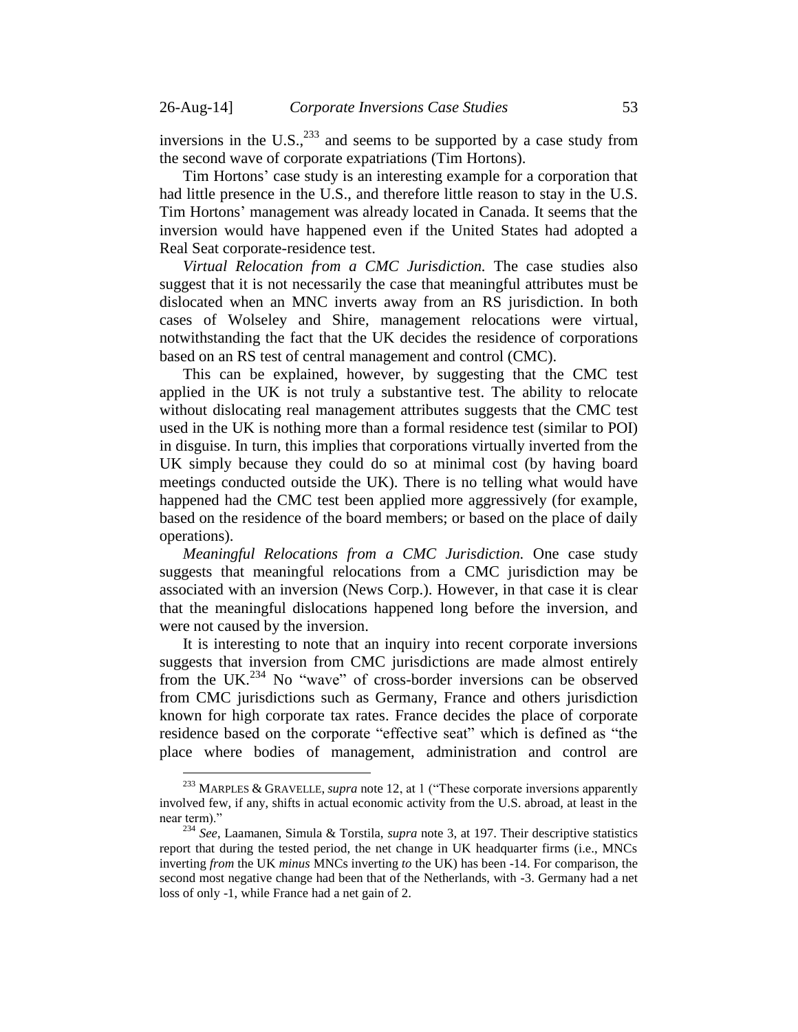inversions in the U.S., $^{233}$  and seems to be supported by a case study from the second wave of corporate expatriations (Tim Hortons).

Tim Hortons' case study is an interesting example for a corporation that had little presence in the U.S., and therefore little reason to stay in the U.S. Tim Hortons' management was already located in Canada. It seems that the inversion would have happened even if the United States had adopted a Real Seat corporate-residence test.

*Virtual Relocation from a CMC Jurisdiction.* The case studies also suggest that it is not necessarily the case that meaningful attributes must be dislocated when an MNC inverts away from an RS jurisdiction. In both cases of Wolseley and Shire, management relocations were virtual, notwithstanding the fact that the UK decides the residence of corporations based on an RS test of central management and control (CMC).

This can be explained, however, by suggesting that the CMC test applied in the UK is not truly a substantive test. The ability to relocate without dislocating real management attributes suggests that the CMC test used in the UK is nothing more than a formal residence test (similar to POI) in disguise. In turn, this implies that corporations virtually inverted from the UK simply because they could do so at minimal cost (by having board meetings conducted outside the UK). There is no telling what would have happened had the CMC test been applied more aggressively (for example, based on the residence of the board members; or based on the place of daily operations).

*Meaningful Relocations from a CMC Jurisdiction.* One case study suggests that meaningful relocations from a CMC jurisdiction may be associated with an inversion (News Corp.). However, in that case it is clear that the meaningful dislocations happened long before the inversion, and were not caused by the inversion.

It is interesting to note that an inquiry into recent corporate inversions suggests that inversion from CMC jurisdictions are made almost entirely from the UK.<sup>234</sup> No "wave" of cross-border inversions can be observed from CMC jurisdictions such as Germany, France and others jurisdiction known for high corporate tax rates. France decides the place of corporate residence based on the corporate "effective seat" which is defined as "the place where bodies of management, administration and control are

<sup>233</sup> MARPLES & GRAVELLE, *supra* not[e 12,](#page-3-0) at 1 ("These corporate inversions apparently involved few, if any, shifts in actual economic activity from the U.S. abroad, at least in the near term)."

<sup>234</sup> *See*, Laamanen, Simula & Torstila, *supra* note [3,](#page-1-2) at 197. Their descriptive statistics report that during the tested period, the net change in UK headquarter firms (i.e., MNCs inverting *from* the UK *minus* MNCs inverting *to* the UK) has been -14. For comparison, the second most negative change had been that of the Netherlands, with -3. Germany had a net loss of only -1, while France had a net gain of 2.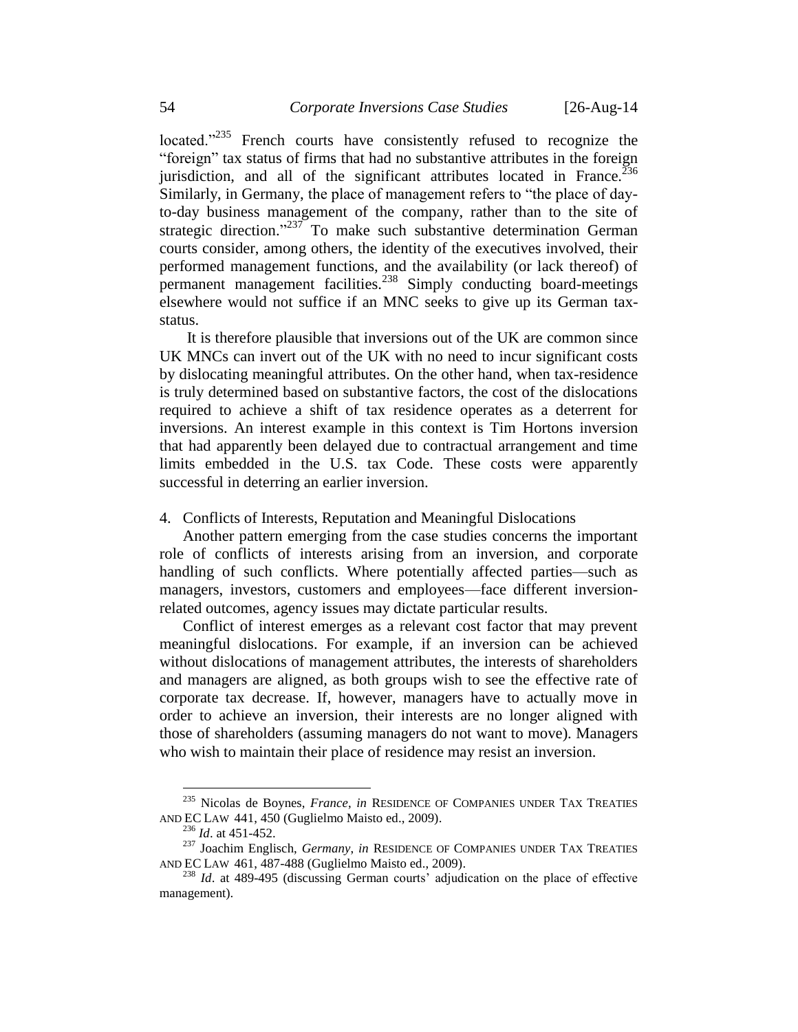located."<sup>235</sup> French courts have consistently refused to recognize the "foreign" tax status of firms that had no substantive attributes in the foreign jurisdiction, and all of the significant attributes located in France. $^{236}$ Similarly, in Germany, the place of management refers to "the place of dayto-day business management of the company, rather than to the site of strategic direction."<sup>237</sup> To make such substantive determination German courts consider, among others, the identity of the executives involved, their performed management functions, and the availability (or lack thereof) of permanent management facilities.<sup>238</sup> Simply conducting board-meetings elsewhere would not suffice if an MNC seeks to give up its German taxstatus.

It is therefore plausible that inversions out of the UK are common since UK MNCs can invert out of the UK with no need to incur significant costs by dislocating meaningful attributes. On the other hand, when tax-residence is truly determined based on substantive factors, the cost of the dislocations required to achieve a shift of tax residence operates as a deterrent for inversions. An interest example in this context is Tim Hortons inversion that had apparently been delayed due to contractual arrangement and time limits embedded in the U.S. tax Code. These costs were apparently successful in deterring an earlier inversion.

<span id="page-53-0"></span>4. Conflicts of Interests, Reputation and Meaningful Dislocations

Another pattern emerging from the case studies concerns the important role of conflicts of interests arising from an inversion, and corporate handling of such conflicts. Where potentially affected parties—such as managers, investors, customers and employees—face different inversionrelated outcomes, agency issues may dictate particular results.

Conflict of interest emerges as a relevant cost factor that may prevent meaningful dislocations. For example, if an inversion can be achieved without dislocations of management attributes, the interests of shareholders and managers are aligned, as both groups wish to see the effective rate of corporate tax decrease. If, however, managers have to actually move in order to achieve an inversion, their interests are no longer aligned with those of shareholders (assuming managers do not want to move). Managers who wish to maintain their place of residence may resist an inversion.

<sup>235</sup> Nicolas de Boynes, *France*, *in* RESIDENCE OF COMPANIES UNDER TAX TREATIES AND EC LAW 441, 450 (Guglielmo Maisto ed., 2009).

<sup>236</sup> *Id*. at 451-452.

<sup>&</sup>lt;sup>237</sup> Joachim Englisch, *Germany*, *in* RESIDENCE OF COMPANIES UNDER TAX TREATIES AND EC LAW 461, 487-488 (Guglielmo Maisto ed., 2009).

<sup>238</sup> *Id*. at 489-495 (discussing German courts' adjudication on the place of effective management).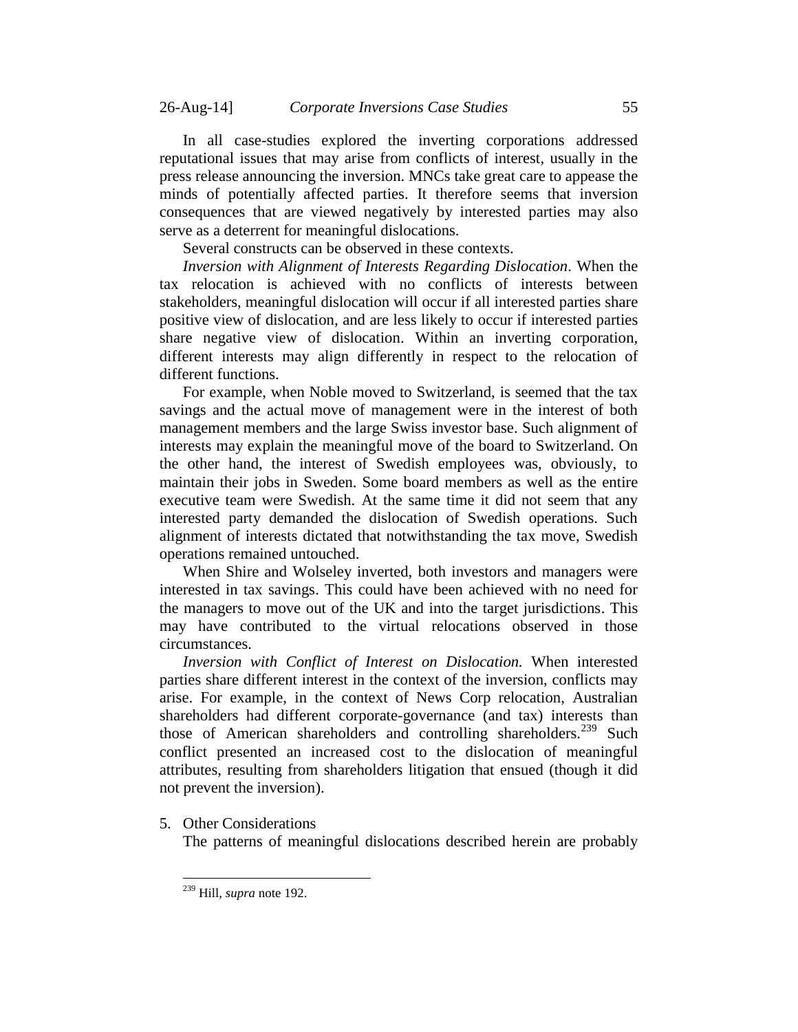In all case-studies explored the inverting corporations addressed reputational issues that may arise from conflicts of interest, usually in the press release announcing the inversion. MNCs take great care to appease the minds of potentially affected parties. It therefore seems that inversion consequences that are viewed negatively by interested parties may also serve as a deterrent for meaningful dislocations.

Several constructs can be observed in these contexts.

*Inversion with Alignment of Interests Regarding Dislocation*. When the tax relocation is achieved with no conflicts of interests between stakeholders, meaningful dislocation will occur if all interested parties share positive view of dislocation, and are less likely to occur if interested parties share negative view of dislocation. Within an inverting corporation, different interests may align differently in respect to the relocation of different functions.

For example, when Noble moved to Switzerland, is seemed that the tax savings and the actual move of management were in the interest of both management members and the large Swiss investor base. Such alignment of interests may explain the meaningful move of the board to Switzerland. On the other hand, the interest of Swedish employees was, obviously, to maintain their jobs in Sweden. Some board members as well as the entire executive team were Swedish. At the same time it did not seem that any interested party demanded the dislocation of Swedish operations. Such alignment of interests dictated that notwithstanding the tax move, Swedish operations remained untouched.

When Shire and Wolseley inverted, both investors and managers were interested in tax savings. This could have been achieved with no need for the managers to move out of the UK and into the target jurisdictions. This may have contributed to the virtual relocations observed in those circumstances.

*Inversion with Conflict of Interest on Dislocation.* When interested parties share different interest in the context of the inversion, conflicts may arise. For example, in the context of News Corp relocation, Australian shareholders had different corporate-governance (and tax) interests than those of American shareholders and controlling shareholders.<sup>239</sup> Such conflict presented an increased cost to the dislocation of meaningful attributes, resulting from shareholders litigation that ensued (though it did not prevent the inversion).

<span id="page-54-0"></span>5. Other Considerations

 $\overline{a}$ 

The patterns of meaningful dislocations described herein are probably

<sup>239</sup> Hill, *supra* note [192.](#page-39-0)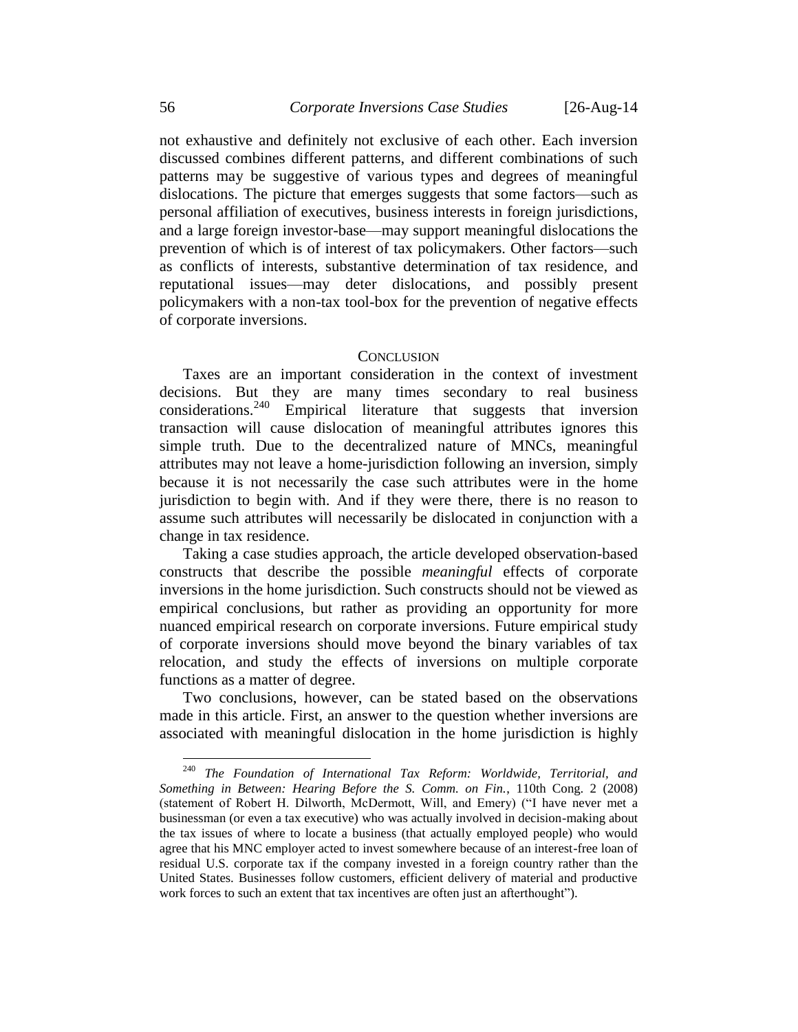not exhaustive and definitely not exclusive of each other. Each inversion discussed combines different patterns, and different combinations of such patterns may be suggestive of various types and degrees of meaningful dislocations. The picture that emerges suggests that some factors—such as personal affiliation of executives, business interests in foreign jurisdictions, and a large foreign investor-base—may support meaningful dislocations the prevention of which is of interest of tax policymakers. Other factors—such as conflicts of interests, substantive determination of tax residence, and reputational issues—may deter dislocations, and possibly present policymakers with a non-tax tool-box for the prevention of negative effects of corporate inversions.

#### **CONCLUSION**

<span id="page-55-0"></span>Taxes are an important consideration in the context of investment decisions. But they are many times secondary to real business considerations. <sup>240</sup> Empirical literature that suggests that inversion transaction will cause dislocation of meaningful attributes ignores this simple truth. Due to the decentralized nature of MNCs, meaningful attributes may not leave a home-jurisdiction following an inversion, simply because it is not necessarily the case such attributes were in the home jurisdiction to begin with. And if they were there, there is no reason to assume such attributes will necessarily be dislocated in conjunction with a change in tax residence.

Taking a case studies approach, the article developed observation-based constructs that describe the possible *meaningful* effects of corporate inversions in the home jurisdiction. Such constructs should not be viewed as empirical conclusions, but rather as providing an opportunity for more nuanced empirical research on corporate inversions. Future empirical study of corporate inversions should move beyond the binary variables of tax relocation, and study the effects of inversions on multiple corporate functions as a matter of degree.

Two conclusions, however, can be stated based on the observations made in this article. First, an answer to the question whether inversions are associated with meaningful dislocation in the home jurisdiction is highly

<sup>240</sup> *The Foundation of International Tax Reform: Worldwide, Territorial, and Something in Between: Hearing Before the S. Comm. on Fin.*, 110th Cong. 2 (2008) (statement of Robert H. Dilworth, McDermott, Will, and Emery) ("I have never met a businessman (or even a tax executive) who was actually involved in decision-making about the tax issues of where to locate a business (that actually employed people) who would agree that his MNC employer acted to invest somewhere because of an interest-free loan of residual U.S. corporate tax if the company invested in a foreign country rather than the United States. Businesses follow customers, efficient delivery of material and productive work forces to such an extent that tax incentives are often just an afterthought").